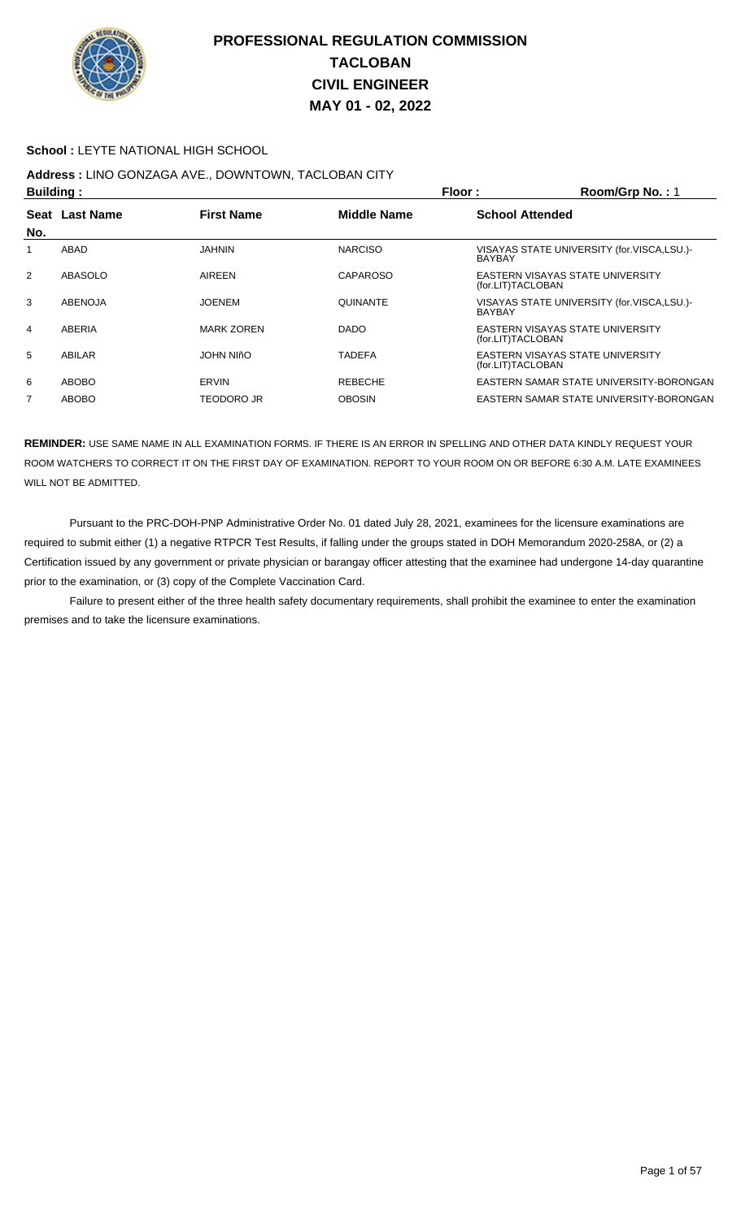

#### **School :** LEYTE NATIONAL HIGH SCHOOL

## **Address :** LINO GONZAGA AVE., DOWNTOWN, TACLOBAN CITY

| <b>Building:</b> |                |                   | Floor:             | Room/Grp No.: 1                                             |
|------------------|----------------|-------------------|--------------------|-------------------------------------------------------------|
|                  | Seat Last Name | <b>First Name</b> | <b>Middle Name</b> | <b>School Attended</b>                                      |
| No.              |                |                   |                    |                                                             |
|                  | ABAD           | JAHNIN            | <b>NARCISO</b>     | VISAYAS STATE UNIVERSITY (for.VISCA,LSU.)-<br><b>BAYBAY</b> |
| 2                | ABASOLO        | <b>AIREEN</b>     | CAPAROSO           | EASTERN VISAYAS STATE UNIVERSITY<br>(for.LIT)TACLOBAN       |
| 3                | <b>ABENOJA</b> | <b>JOENEM</b>     | <b>QUINANTE</b>    | VISAYAS STATE UNIVERSITY (for.VISCA,LSU.)-<br><b>BAYBAY</b> |
| 4                | ABERIA         | <b>MARK ZOREN</b> | <b>DADO</b>        | EASTERN VISAYAS STATE UNIVERSITY<br>(for.LIT)TACLOBAN       |
| 5                | ABILAR         | JOHN NIñO         | TADEFA             | EASTERN VISAYAS STATE UNIVERSITY<br>(for.LIT)TACLOBAN       |
| 6                | ABOBO          | ERVIN             | <b>REBECHE</b>     | EASTERN SAMAR STATE UNIVERSITY-BORONGAN                     |
| $\overline{7}$   | <b>ABOBO</b>   | TEODORO JR        | <b>OBOSIN</b>      | EASTERN SAMAR STATE UNIVERSITY-BORONGAN                     |

**REMINDER:** USE SAME NAME IN ALL EXAMINATION FORMS. IF THERE IS AN ERROR IN SPELLING AND OTHER DATA KINDLY REQUEST YOUR ROOM WATCHERS TO CORRECT IT ON THE FIRST DAY OF EXAMINATION. REPORT TO YOUR ROOM ON OR BEFORE 6:30 A.M. LATE EXAMINEES WILL NOT BE ADMITTED.

 Pursuant to the PRC-DOH-PNP Administrative Order No. 01 dated July 28, 2021, examinees for the licensure examinations are required to submit either (1) a negative RTPCR Test Results, if falling under the groups stated in DOH Memorandum 2020-258A, or (2) a Certification issued by any government or private physician or barangay officer attesting that the examinee had undergone 14-day quarantine prior to the examination, or (3) copy of the Complete Vaccination Card.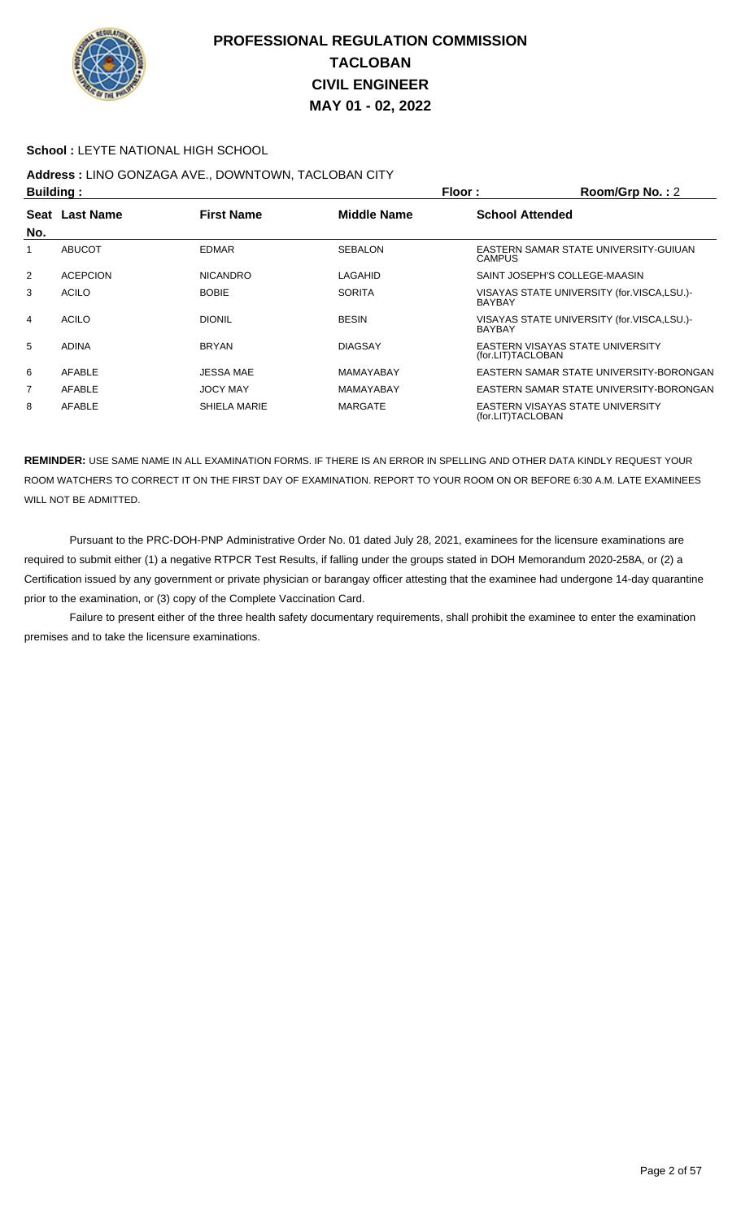

#### **School :** LEYTE NATIONAL HIGH SCHOOL

# **Address :** LINO GONZAGA AVE., DOWNTOWN, TACLOBAN CITY

| <b>Building:</b> |                                                                     |                  | Floor:         | Room/Grp No.: 2        |                                            |  |
|------------------|---------------------------------------------------------------------|------------------|----------------|------------------------|--------------------------------------------|--|
|                  | <b>Last Name</b><br><b>First Name</b><br><b>Middle Name</b><br>Seat |                  |                | <b>School Attended</b> |                                            |  |
| No.              |                                                                     |                  |                |                        |                                            |  |
|                  | <b>ABUCOT</b>                                                       | <b>EDMAR</b>     | <b>SEBALON</b> | <b>CAMPUS</b>          | EASTERN SAMAR STATE UNIVERSITY-GUIUAN      |  |
| 2                | <b>ACEPCION</b>                                                     | <b>NICANDRO</b>  | LAGAHID        |                        | SAINT JOSEPH'S COLLEGE-MAASIN              |  |
| 3                | <b>ACILO</b>                                                        | <b>BOBIE</b>     | <b>SORITA</b>  | <b>BAYBAY</b>          | VISAYAS STATE UNIVERSITY (for.VISCA,LSU.)- |  |
| 4                | <b>ACILO</b>                                                        | <b>DIONIL</b>    | <b>BESIN</b>   | <b>BAYBAY</b>          | VISAYAS STATE UNIVERSITY (for.VISCA,LSU.)- |  |
| 5                | <b>ADINA</b>                                                        | <b>BRYAN</b>     | <b>DIAGSAY</b> | (for.LIT)TACLOBAN      | EASTERN VISAYAS STATE UNIVERSITY           |  |
| 6                | AFABLE                                                              | <b>JESSA MAE</b> | MAMAYABAY      |                        | EASTERN SAMAR STATE UNIVERSITY-BORONGAN    |  |
| 7                | AFABLE                                                              | <b>JOCY MAY</b>  | MAMAYABAY      |                        | EASTERN SAMAR STATE UNIVERSITY-BORONGAN    |  |
| 8                | AFABLE                                                              | SHIELA MARIE     | <b>MARGATE</b> | (for.LIT)TACLOBAN      | EASTERN VISAYAS STATE UNIVERSITY           |  |

**REMINDER:** USE SAME NAME IN ALL EXAMINATION FORMS. IF THERE IS AN ERROR IN SPELLING AND OTHER DATA KINDLY REQUEST YOUR ROOM WATCHERS TO CORRECT IT ON THE FIRST DAY OF EXAMINATION. REPORT TO YOUR ROOM ON OR BEFORE 6:30 A.M. LATE EXAMINEES WILL NOT BE ADMITTED.

 Pursuant to the PRC-DOH-PNP Administrative Order No. 01 dated July 28, 2021, examinees for the licensure examinations are required to submit either (1) a negative RTPCR Test Results, if falling under the groups stated in DOH Memorandum 2020-258A, or (2) a Certification issued by any government or private physician or barangay officer attesting that the examinee had undergone 14-day quarantine prior to the examination, or (3) copy of the Complete Vaccination Card.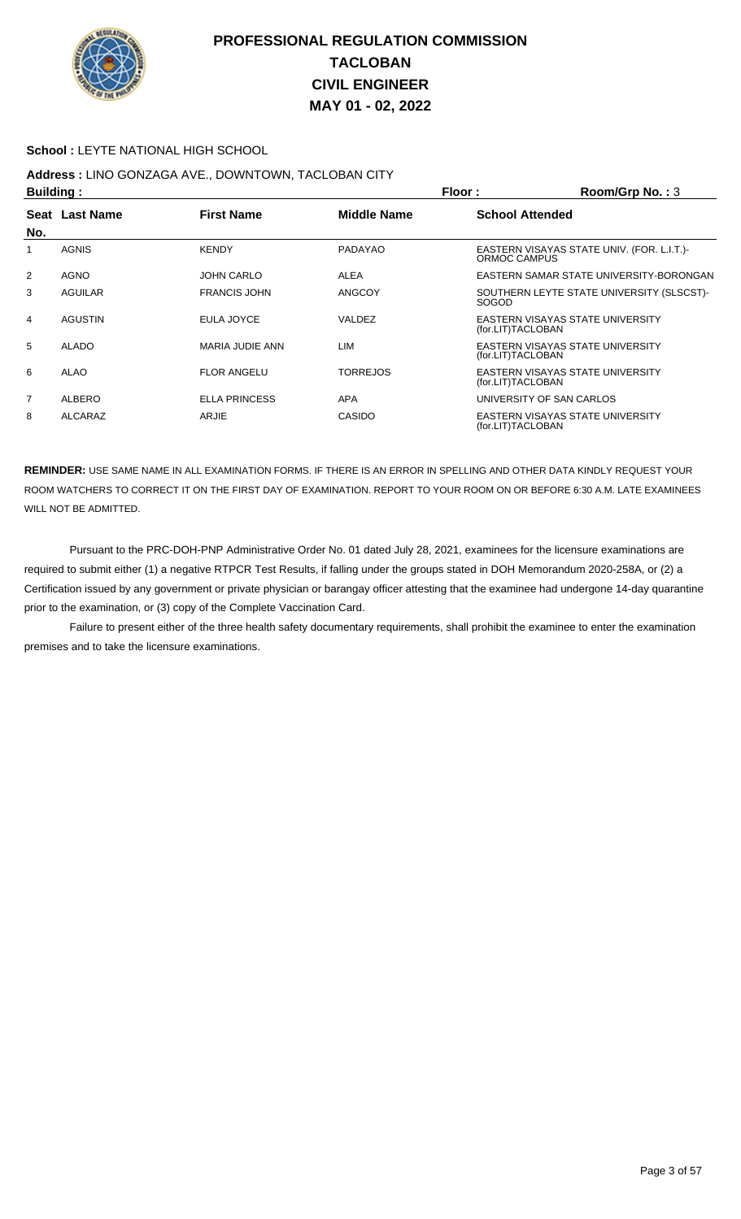

#### **School :** LEYTE NATIONAL HIGH SCHOOL

# **Address :** LINO GONZAGA AVE., DOWNTOWN, TACLOBAN CITY

| Building:      |                |                     |                 | Floor:                   | Room/Grp No.: 3                            |
|----------------|----------------|---------------------|-----------------|--------------------------|--------------------------------------------|
|                | Seat Last Name | <b>First Name</b>   | Middle Name     | <b>School Attended</b>   |                                            |
| No.            |                |                     |                 |                          |                                            |
|                | <b>AGNIS</b>   | <b>KENDY</b>        | PADAYAO         | ORMOC CAMPUS             | EASTERN VISAYAS STATE UNIV. (FOR. L.I.T.)- |
| 2              | <b>AGNO</b>    | JOHN CARLO          | ALEA            |                          | EASTERN SAMAR STATE UNIVERSITY-BORONGAN    |
| 3              | AGUILAR        | <b>FRANCIS JOHN</b> | <b>ANGCOY</b>   | <b>SOGOD</b>             | SOUTHERN LEYTE STATE UNIVERSITY (SLSCST)-  |
| 4              | <b>AGUSTIN</b> | EULA JOYCE          | VALDEZ          | (for.LIT)TACLOBAN        | EASTERN VISAYAS STATE UNIVERSITY           |
| 5              | ALADO          | MARIA JUDIE ANN     | <b>LIM</b>      | (for.LIT)TACLOBAN        | EASTERN VISAYAS STATE UNIVERSITY           |
| 6              | ALAO           | <b>FLOR ANGELU</b>  | <b>TORREJOS</b> | (for.LIT)TACLOBAN        | EASTERN VISAYAS STATE UNIVERSITY           |
| $\overline{7}$ | ALBERO         | ELLA PRINCESS       | <b>APA</b>      | UNIVERSITY OF SAN CARLOS |                                            |
| 8              | ALCARAZ        | ARJIE               | CASIDO          | (for.LIT)TACLOBAN        | EASTERN VISAYAS STATE UNIVERSITY           |

**REMINDER:** USE SAME NAME IN ALL EXAMINATION FORMS. IF THERE IS AN ERROR IN SPELLING AND OTHER DATA KINDLY REQUEST YOUR ROOM WATCHERS TO CORRECT IT ON THE FIRST DAY OF EXAMINATION. REPORT TO YOUR ROOM ON OR BEFORE 6:30 A.M. LATE EXAMINEES WILL NOT BE ADMITTED.

 Pursuant to the PRC-DOH-PNP Administrative Order No. 01 dated July 28, 2021, examinees for the licensure examinations are required to submit either (1) a negative RTPCR Test Results, if falling under the groups stated in DOH Memorandum 2020-258A, or (2) a Certification issued by any government or private physician or barangay officer attesting that the examinee had undergone 14-day quarantine prior to the examination, or (3) copy of the Complete Vaccination Card.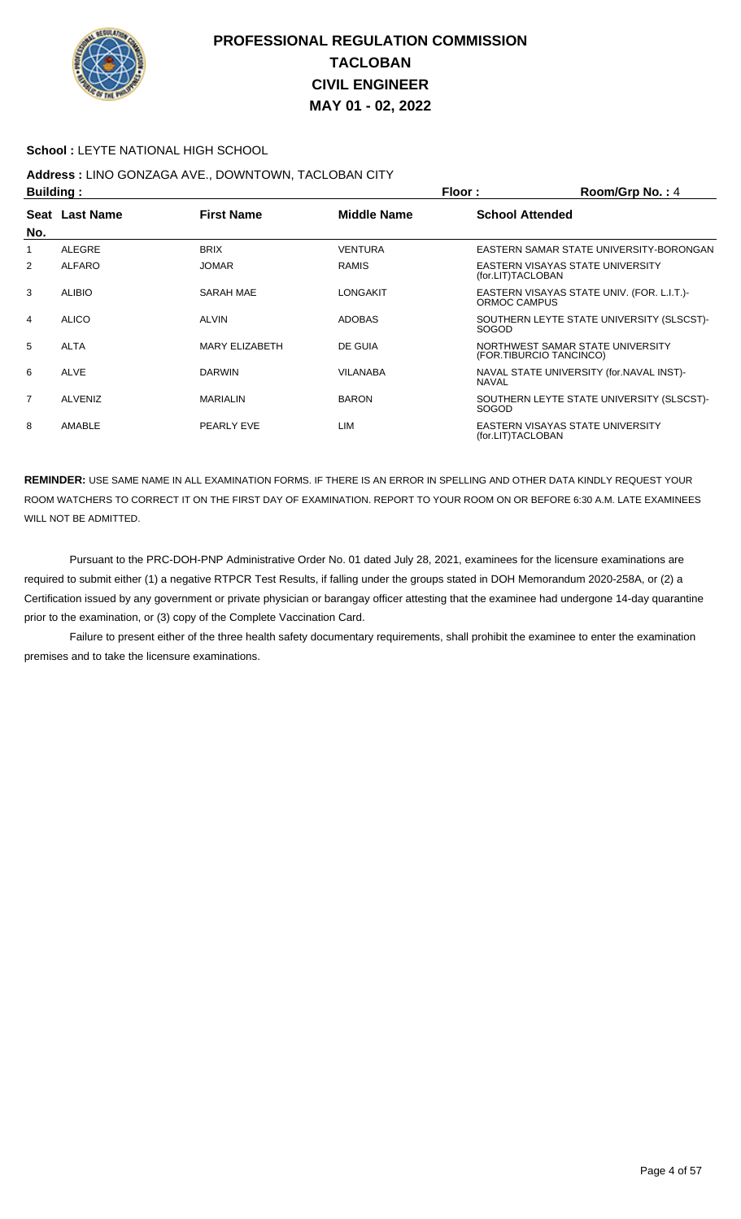

#### **School :** LEYTE NATIONAL HIGH SCHOOL

# **Address :** LINO GONZAGA AVE., DOWNTOWN, TACLOBAN CITY

| <b>Building:</b> |                |                       | Floor:          | Room/Grp No.: 4         |                                            |
|------------------|----------------|-----------------------|-----------------|-------------------------|--------------------------------------------|
|                  | Seat Last Name | <b>First Name</b>     | Middle Name     | <b>School Attended</b>  |                                            |
| No.              |                |                       |                 |                         |                                            |
| 1                | <b>ALEGRE</b>  | <b>BRIX</b>           | <b>VENTURA</b>  |                         | EASTERN SAMAR STATE UNIVERSITY-BORONGAN    |
| $\overline{2}$   | <b>ALFARO</b>  | <b>JOMAR</b>          | <b>RAMIS</b>    | (for.LIT)TACLOBAN       | EASTERN VISAYAS STATE UNIVERSITY           |
| 3                | <b>ALIBIO</b>  | SARAH MAE             | <b>LONGAKIT</b> | ORMOC CAMPUS            | EASTERN VISAYAS STATE UNIV. (FOR. L.I.T.)- |
| 4                | ALICO          | <b>ALVIN</b>          | <b>ADOBAS</b>   | <b>SOGOD</b>            | SOUTHERN LEYTE STATE UNIVERSITY (SLSCST)-  |
| 5                | <b>ALTA</b>    | <b>MARY ELIZABETH</b> | DE GUIA         | (FOR.TIBURCIO TANCINCO) | NORTHWEST SAMAR STATE UNIVERSITY           |
| 6                | <b>ALVE</b>    | <b>DARWIN</b>         | VILANABA        | <b>NAVAL</b>            | NAVAL STATE UNIVERSITY (for.NAVAL INST)-   |
| $\overline{7}$   | <b>ALVENIZ</b> | <b>MARIALIN</b>       | <b>BARON</b>    | <b>SOGOD</b>            | SOUTHERN LEYTE STATE UNIVERSITY (SLSCST)-  |
| 8                | AMABLE         | PEARLY EVE            | LIM             | (for.LIT)TACLOBAN       | EASTERN VISAYAS STATE UNIVERSITY           |

**REMINDER:** USE SAME NAME IN ALL EXAMINATION FORMS. IF THERE IS AN ERROR IN SPELLING AND OTHER DATA KINDLY REQUEST YOUR ROOM WATCHERS TO CORRECT IT ON THE FIRST DAY OF EXAMINATION. REPORT TO YOUR ROOM ON OR BEFORE 6:30 A.M. LATE EXAMINEES WILL NOT BE ADMITTED.

 Pursuant to the PRC-DOH-PNP Administrative Order No. 01 dated July 28, 2021, examinees for the licensure examinations are required to submit either (1) a negative RTPCR Test Results, if falling under the groups stated in DOH Memorandum 2020-258A, or (2) a Certification issued by any government or private physician or barangay officer attesting that the examinee had undergone 14-day quarantine prior to the examination, or (3) copy of the Complete Vaccination Card.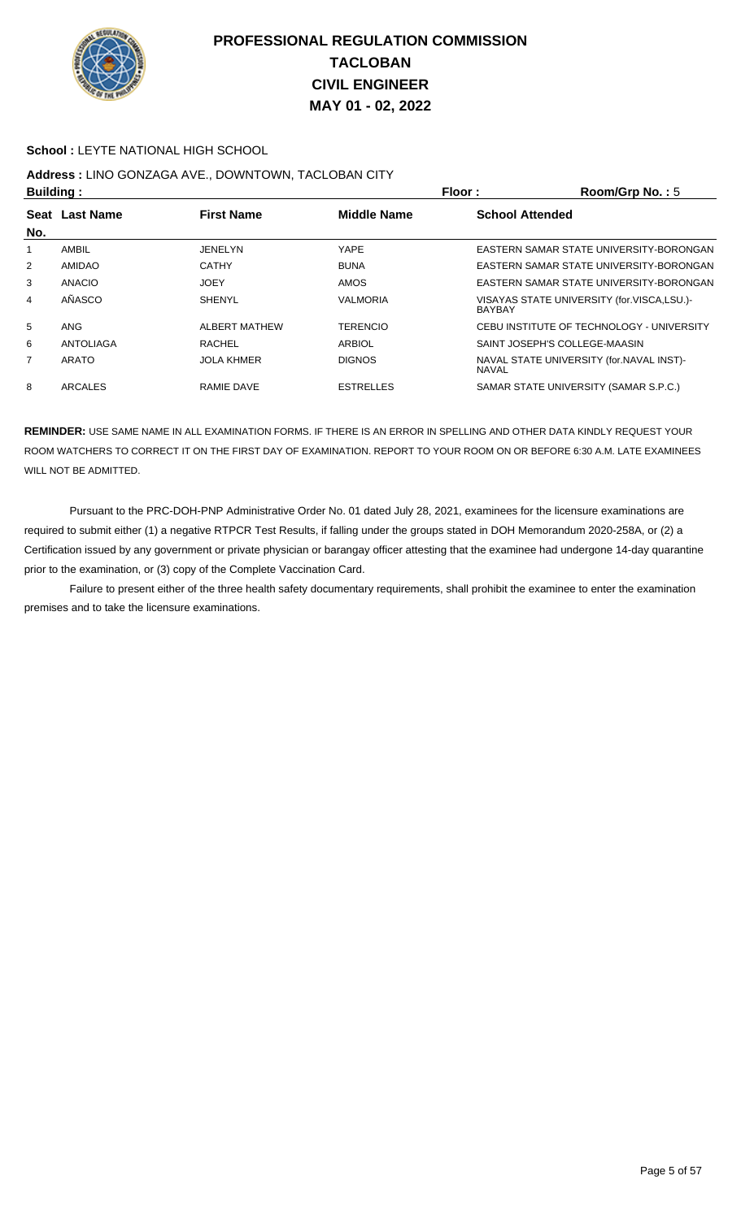

#### **School :** LEYTE NATIONAL HIGH SCHOOL

## **Address :** LINO GONZAGA AVE., DOWNTOWN, TACLOBAN CITY

| <b>Building:</b> |                                                             |                      |                 | Floor:                 | Room/Grp No.: 5                            |  |
|------------------|-------------------------------------------------------------|----------------------|-----------------|------------------------|--------------------------------------------|--|
| Seat             | <b>First Name</b><br><b>Middle Name</b><br><b>Last Name</b> |                      |                 | <b>School Attended</b> |                                            |  |
| No.              |                                                             |                      |                 |                        |                                            |  |
|                  | <b>AMBIL</b>                                                | JENELYN              | YAPE            |                        | EASTERN SAMAR STATE UNIVERSITY-BORONGAN    |  |
| $\overline{2}$   | AMIDAO                                                      | <b>CATHY</b>         | <b>BUNA</b>     |                        | EASTERN SAMAR STATE UNIVERSITY-BORONGAN    |  |
| 3                | ANACIO                                                      | JOEY                 | <b>AMOS</b>     |                        | EASTERN SAMAR STATE UNIVERSITY-BORONGAN    |  |
| $\overline{4}$   | AÑASCO                                                      | <b>SHENYL</b>        | <b>VALMORIA</b> | <b>BAYBAY</b>          | VISAYAS STATE UNIVERSITY (for.VISCA,LSU.)- |  |
| 5                | ANG                                                         | <b>ALBERT MATHEW</b> | <b>TERENCIO</b> |                        | CEBU INSTITUTE OF TECHNOLOGY - UNIVERSITY  |  |
| 6                | <b>ANTOLIAGA</b>                                            | <b>RACHEL</b>        | <b>ARBIOL</b>   |                        | SAINT JOSEPH'S COLLEGE-MAASIN              |  |
| 7                | ARATO                                                       | <b>JOLA KHMER</b>    | <b>DIGNOS</b>   | <b>NAVAL</b>           | NAVAL STATE UNIVERSITY (for. NAVAL INST)-  |  |
| 8                | ARCALES                                                     | RAMIE DAVE           | ESTRELLES       |                        | SAMAR STATE UNIVERSITY (SAMAR S.P.C.)      |  |

**REMINDER:** USE SAME NAME IN ALL EXAMINATION FORMS. IF THERE IS AN ERROR IN SPELLING AND OTHER DATA KINDLY REQUEST YOUR ROOM WATCHERS TO CORRECT IT ON THE FIRST DAY OF EXAMINATION. REPORT TO YOUR ROOM ON OR BEFORE 6:30 A.M. LATE EXAMINEES WILL NOT BE ADMITTED.

 Pursuant to the PRC-DOH-PNP Administrative Order No. 01 dated July 28, 2021, examinees for the licensure examinations are required to submit either (1) a negative RTPCR Test Results, if falling under the groups stated in DOH Memorandum 2020-258A, or (2) a Certification issued by any government or private physician or barangay officer attesting that the examinee had undergone 14-day quarantine prior to the examination, or (3) copy of the Complete Vaccination Card.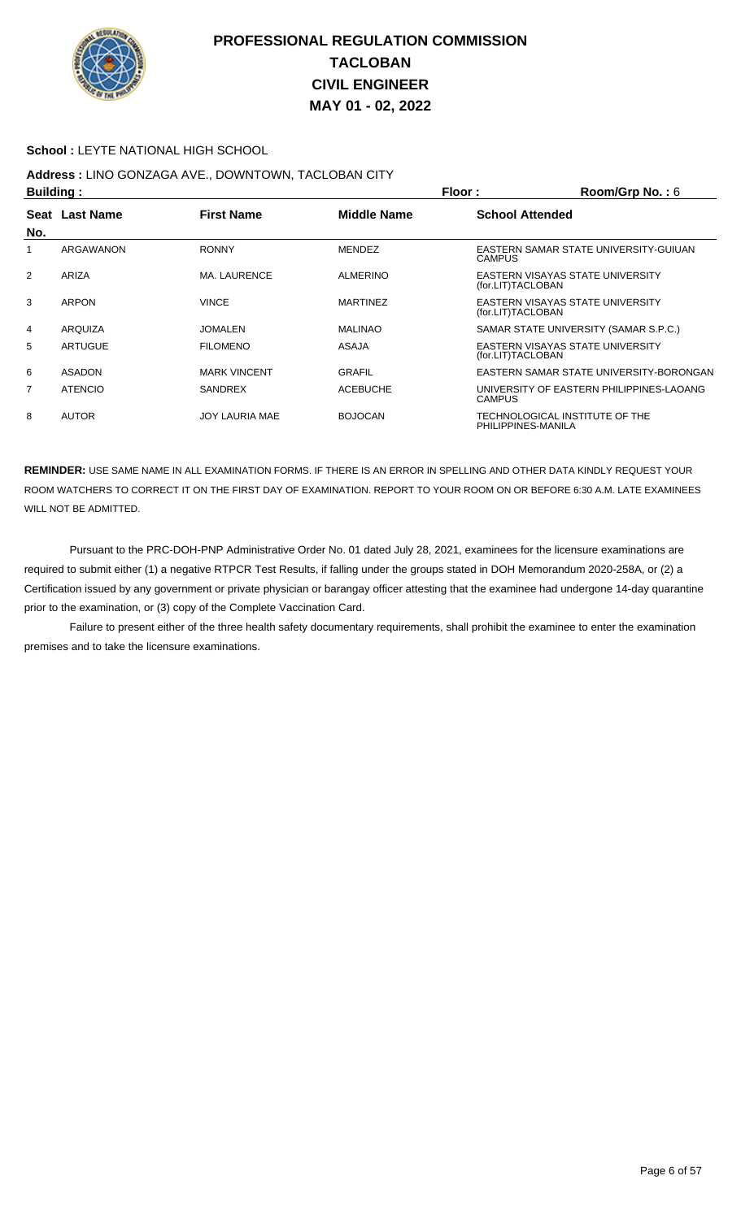

#### **School :** LEYTE NATIONAL HIGH SCHOOL

## **Address :** LINO GONZAGA AVE., DOWNTOWN, TACLOBAN CITY

| <b>Building:</b> |                |                     | Floor:             | Room/Grp No.: $6$      |                                          |
|------------------|----------------|---------------------|--------------------|------------------------|------------------------------------------|
|                  | Seat Last Name | <b>First Name</b>   | <b>Middle Name</b> | <b>School Attended</b> |                                          |
| No.              |                |                     |                    |                        |                                          |
|                  | ARGAWANON      | <b>RONNY</b>        | <b>MENDEZ</b>      | <b>CAMPUS</b>          | EASTERN SAMAR STATE UNIVERSITY-GUIUAN    |
| $\overline{2}$   | ARIZA          | <b>MA. LAURENCE</b> | <b>ALMERINO</b>    | (for.LIT)TACLOBAN      | EASTERN VISAYAS STATE UNIVERSITY         |
| 3                | <b>ARPON</b>   | <b>VINCE</b>        | <b>MARTINEZ</b>    | (for.LIT)TACLOBAN      | EASTERN VISAYAS STATE UNIVERSITY         |
| 4                | ARQUIZA        | <b>JOMALEN</b>      | <b>MALINAO</b>     |                        | SAMAR STATE UNIVERSITY (SAMAR S.P.C.)    |
| 5                | ARTUGUE        | <b>FILOMENO</b>     | <b>ASAJA</b>       | (for.LIT)TACLOBAN      | EASTERN VISAYAS STATE UNIVERSITY         |
| 6                | <b>ASADON</b>  | <b>MARK VINCENT</b> | <b>GRAFIL</b>      |                        | EASTERN SAMAR STATE UNIVERSITY-BORONGAN  |
| 7                | <b>ATENCIO</b> | <b>SANDREX</b>      | <b>ACEBUCHE</b>    | <b>CAMPUS</b>          | UNIVERSITY OF EASTERN PHILIPPINES-LAOANG |
| 8                | <b>AUTOR</b>   | JOY LAURIA MAE      | <b>BOJOCAN</b>     | PHILIPPINES-MANILA     | TECHNOLOGICAL INSTITUTE OF THE           |

**REMINDER:** USE SAME NAME IN ALL EXAMINATION FORMS. IF THERE IS AN ERROR IN SPELLING AND OTHER DATA KINDLY REQUEST YOUR ROOM WATCHERS TO CORRECT IT ON THE FIRST DAY OF EXAMINATION. REPORT TO YOUR ROOM ON OR BEFORE 6:30 A.M. LATE EXAMINEES WILL NOT BE ADMITTED.

 Pursuant to the PRC-DOH-PNP Administrative Order No. 01 dated July 28, 2021, examinees for the licensure examinations are required to submit either (1) a negative RTPCR Test Results, if falling under the groups stated in DOH Memorandum 2020-258A, or (2) a Certification issued by any government or private physician or barangay officer attesting that the examinee had undergone 14-day quarantine prior to the examination, or (3) copy of the Complete Vaccination Card.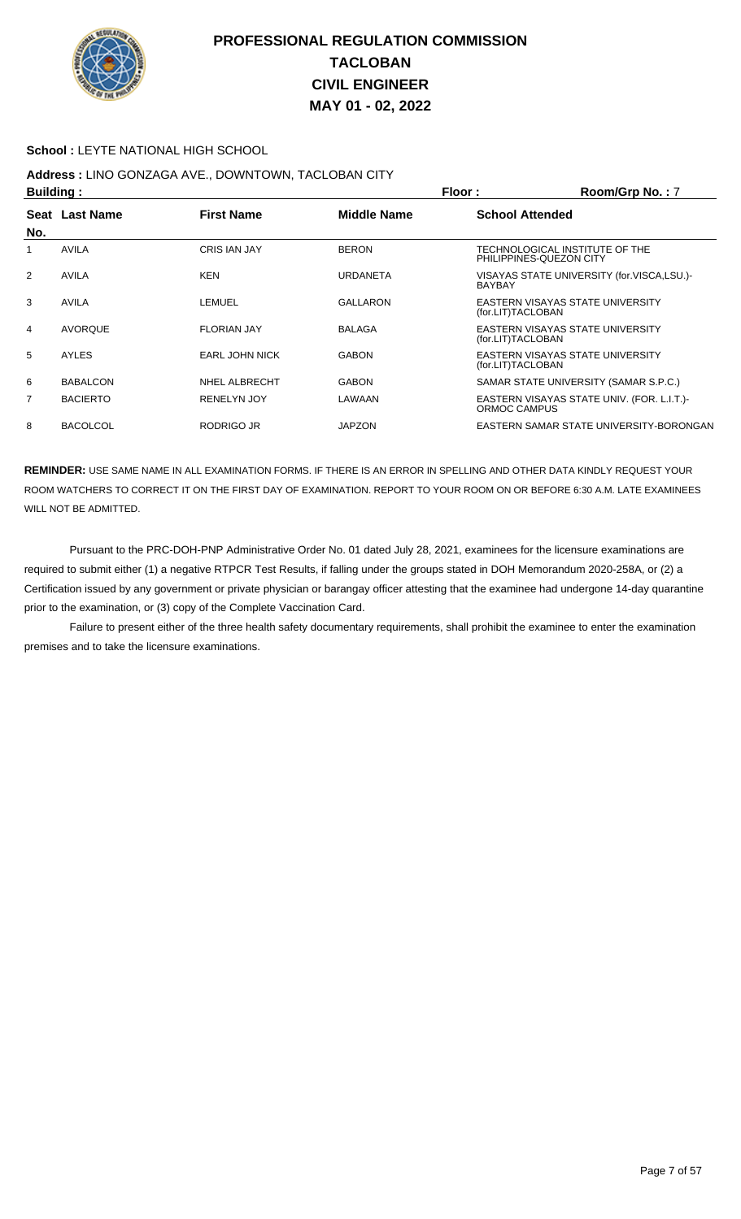

#### **School :** LEYTE NATIONAL HIGH SCHOOL

## **Address :** LINO GONZAGA AVE., DOWNTOWN, TACLOBAN CITY

| <b>Building:</b> |                 |                       | Floor:          | Room/Grp No.: 7                                       |                                                           |
|------------------|-----------------|-----------------------|-----------------|-------------------------------------------------------|-----------------------------------------------------------|
|                  | Seat Last Name  | <b>First Name</b>     | Middle Name     | <b>School Attended</b>                                |                                                           |
| No.              |                 |                       |                 |                                                       |                                                           |
| 1                | AVILA           | <b>CRIS IAN JAY</b>   | <b>BERON</b>    |                                                       | TECHNOLOGICAL INSTITUTE OF THE<br>PHILIPPINES-QUEZON CITY |
| $\overline{2}$   | <b>AVILA</b>    | <b>KEN</b>            | <b>URDANETA</b> | <b>BAYBAY</b>                                         | VISAYAS STATE UNIVERSITY (for.VISCA,LSU.)-                |
| 3                | <b>AVILA</b>    | LEMUEL                | <b>GALLARON</b> | EASTERN VISAYAS STATE UNIVERSITY<br>(for.LIT)TACLOBAN |                                                           |
| 4                | <b>AVORQUE</b>  | <b>FLORIAN JAY</b>    | <b>BALAGA</b>   | (for.LIT)TACLOBAN                                     | EASTERN VISAYAS STATE UNIVERSITY                          |
| 5                | AYLES           | <b>EARL JOHN NICK</b> | <b>GABON</b>    | (for.LIT)TACLOBAN                                     | EASTERN VISAYAS STATE UNIVERSITY                          |
| 6                | <b>BABALCON</b> | NHEL ALBRECHT         | <b>GABON</b>    |                                                       | SAMAR STATE UNIVERSITY (SAMAR S.P.C.)                     |
| 7                | <b>BACIERTO</b> | <b>RENELYN JOY</b>    | LAWAAN          | ORMOC CAMPUS                                          | EASTERN VISAYAS STATE UNIV. (FOR. L.I.T.)-                |
| 8                | <b>BACOLCOL</b> | RODRIGO JR            | <b>JAPZON</b>   |                                                       | EASTERN SAMAR STATE UNIVERSITY-BORONGAN                   |

**REMINDER:** USE SAME NAME IN ALL EXAMINATION FORMS. IF THERE IS AN ERROR IN SPELLING AND OTHER DATA KINDLY REQUEST YOUR ROOM WATCHERS TO CORRECT IT ON THE FIRST DAY OF EXAMINATION. REPORT TO YOUR ROOM ON OR BEFORE 6:30 A.M. LATE EXAMINEES WILL NOT BE ADMITTED.

 Pursuant to the PRC-DOH-PNP Administrative Order No. 01 dated July 28, 2021, examinees for the licensure examinations are required to submit either (1) a negative RTPCR Test Results, if falling under the groups stated in DOH Memorandum 2020-258A, or (2) a Certification issued by any government or private physician or barangay officer attesting that the examinee had undergone 14-day quarantine prior to the examination, or (3) copy of the Complete Vaccination Card.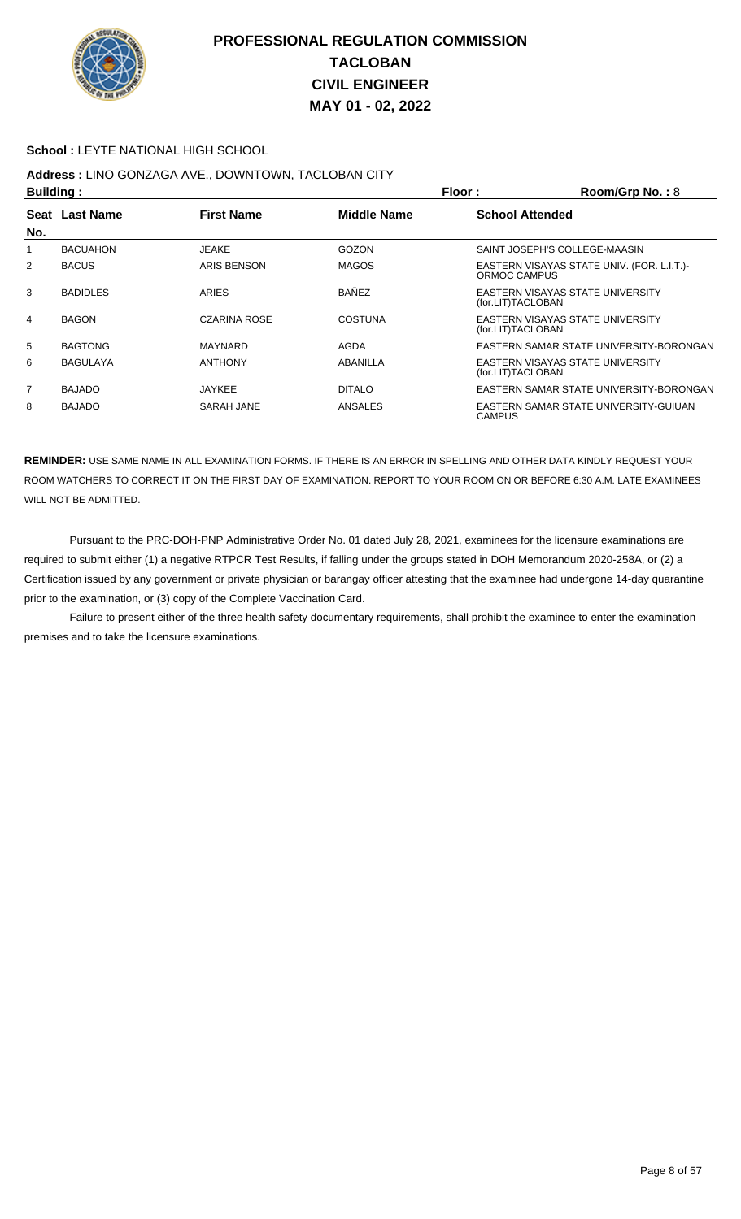

#### **School :** LEYTE NATIONAL HIGH SCHOOL

# **Address :** LINO GONZAGA AVE., DOWNTOWN, TACLOBAN CITY

| Building:      |                  |                     | Floor:<br>Room/Grp No.: $8$ |                        |                                            |
|----------------|------------------|---------------------|-----------------------------|------------------------|--------------------------------------------|
| Seat           | <b>Last Name</b> | <b>First Name</b>   | <b>Middle Name</b>          | <b>School Attended</b> |                                            |
| No.            |                  |                     |                             |                        |                                            |
|                | <b>BACUAHON</b>  | JEAKE               | GOZON                       |                        | SAINT JOSEPH'S COLLEGE-MAASIN              |
| $\overline{2}$ | <b>BACUS</b>     | ARIS BENSON         | <b>MAGOS</b>                | ORMOC CAMPUS           | EASTERN VISAYAS STATE UNIV. (FOR. L.I.T.)- |
| 3              | <b>BADIDLES</b>  | <b>ARIES</b>        | <b>BANEZ</b>                | (for.LIT)TACLOBAN      | EASTERN VISAYAS STATE UNIVERSITY           |
| 4              | <b>BAGON</b>     | <b>CZARINA ROSE</b> | COSTUNA                     | (for.LIT)TACLOBAN      | EASTERN VISAYAS STATE UNIVERSITY           |
| 5              | <b>BAGTONG</b>   | MAYNARD             | AGDA                        |                        | EASTERN SAMAR STATE UNIVERSITY-BORONGAN    |
| 6              | <b>BAGULAYA</b>  | <b>ANTHONY</b>      | ABANILLA                    | (for.LIT)TACLOBAN      | EASTERN VISAYAS STATE UNIVERSITY           |
| 7              | <b>BAJADO</b>    | <b>JAYKEE</b>       | <b>DITALO</b>               |                        | EASTERN SAMAR STATE UNIVERSITY-BORONGAN    |
| 8              | <b>BAJADO</b>    | <b>SARAH JANE</b>   | ANSALES                     | <b>CAMPUS</b>          | EASTERN SAMAR STATE UNIVERSITY-GUIUAN      |

**REMINDER:** USE SAME NAME IN ALL EXAMINATION FORMS. IF THERE IS AN ERROR IN SPELLING AND OTHER DATA KINDLY REQUEST YOUR ROOM WATCHERS TO CORRECT IT ON THE FIRST DAY OF EXAMINATION. REPORT TO YOUR ROOM ON OR BEFORE 6:30 A.M. LATE EXAMINEES WILL NOT BE ADMITTED.

 Pursuant to the PRC-DOH-PNP Administrative Order No. 01 dated July 28, 2021, examinees for the licensure examinations are required to submit either (1) a negative RTPCR Test Results, if falling under the groups stated in DOH Memorandum 2020-258A, or (2) a Certification issued by any government or private physician or barangay officer attesting that the examinee had undergone 14-day quarantine prior to the examination, or (3) copy of the Complete Vaccination Card.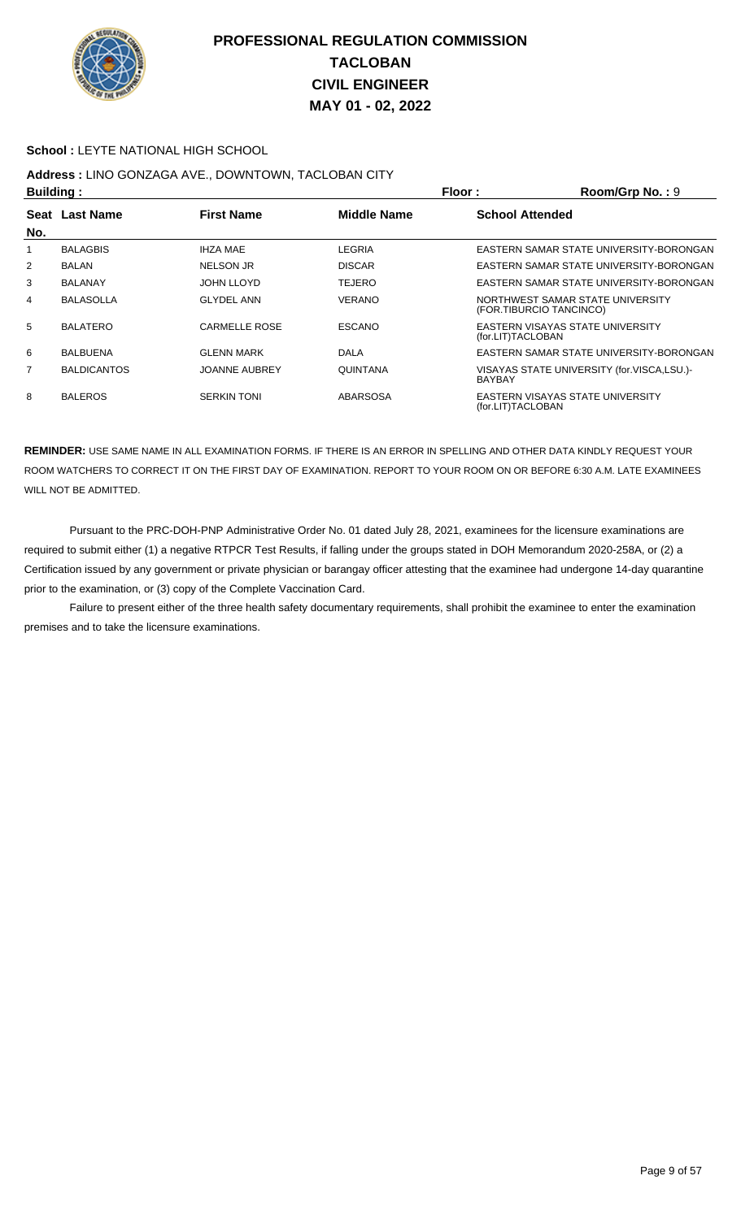

#### **School :** LEYTE NATIONAL HIGH SCHOOL

## **Address :** LINO GONZAGA AVE., DOWNTOWN, TACLOBAN CITY

| <b>Building:</b> |                    |                      |                    | Floor:                  | Room/Grp No.: 9                            |
|------------------|--------------------|----------------------|--------------------|-------------------------|--------------------------------------------|
|                  | Seat Last Name     | <b>First Name</b>    | <b>Middle Name</b> | <b>School Attended</b>  |                                            |
| No.              |                    |                      |                    |                         |                                            |
|                  | <b>BALAGBIS</b>    | <b>IHZA MAE</b>      | LEGRIA             |                         | EASTERN SAMAR STATE UNIVERSITY-BORONGAN    |
| $\overline{2}$   | <b>BALAN</b>       | <b>NELSON JR</b>     | <b>DISCAR</b>      |                         | EASTERN SAMAR STATE UNIVERSITY-BORONGAN    |
| 3                | <b>BALANAY</b>     | JOHN LLOYD           | <b>TEJERO</b>      |                         | EASTERN SAMAR STATE UNIVERSITY-BORONGAN    |
| 4                | <b>BALASOLLA</b>   | <b>GLYDEL ANN</b>    | <b>VERANO</b>      | (FOR.TIBURCIO TANCINCO) | NORTHWEST SAMAR STATE UNIVERSITY           |
| 5                | <b>BALATERO</b>    | <b>CARMELLE ROSE</b> | <b>ESCANO</b>      | (for.LIT)TACLOBAN       | EASTERN VISAYAS STATE UNIVERSITY           |
| 6                | <b>BALBUENA</b>    | <b>GLENN MARK</b>    | <b>DALA</b>        |                         | EASTERN SAMAR STATE UNIVERSITY-BORONGAN    |
| 7                | <b>BALDICANTOS</b> | <b>JOANNE AUBREY</b> | QUINTANA           | <b>BAYBAY</b>           | VISAYAS STATE UNIVERSITY (for.VISCA,LSU.)- |
| 8                | <b>BALEROS</b>     | <b>SERKIN TONI</b>   | <b>ABARSOSA</b>    | (for.LIT)TACLOBAN       | EASTERN VISAYAS STATE UNIVERSITY           |

**REMINDER:** USE SAME NAME IN ALL EXAMINATION FORMS. IF THERE IS AN ERROR IN SPELLING AND OTHER DATA KINDLY REQUEST YOUR ROOM WATCHERS TO CORRECT IT ON THE FIRST DAY OF EXAMINATION. REPORT TO YOUR ROOM ON OR BEFORE 6:30 A.M. LATE EXAMINEES WILL NOT BE ADMITTED.

 Pursuant to the PRC-DOH-PNP Administrative Order No. 01 dated July 28, 2021, examinees for the licensure examinations are required to submit either (1) a negative RTPCR Test Results, if falling under the groups stated in DOH Memorandum 2020-258A, or (2) a Certification issued by any government or private physician or barangay officer attesting that the examinee had undergone 14-day quarantine prior to the examination, or (3) copy of the Complete Vaccination Card.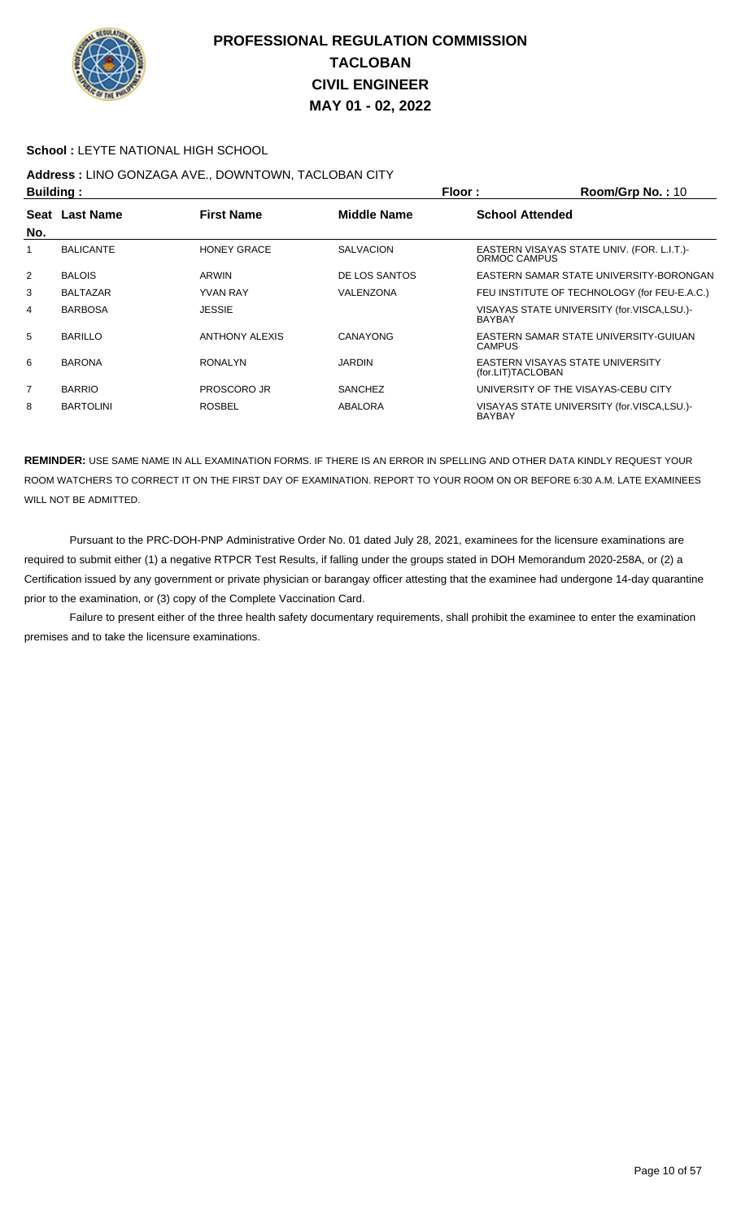

#### **School :** LEYTE NATIONAL HIGH SCHOOL

# **Address :** LINO GONZAGA AVE., DOWNTOWN, TACLOBAN CITY

| <b>Building:</b> |                  |                       |                    | Floor:                 | Room/Grp No.: 10                             |
|------------------|------------------|-----------------------|--------------------|------------------------|----------------------------------------------|
| <b>Seat</b>      | <b>Last Name</b> | <b>First Name</b>     | <b>Middle Name</b> | <b>School Attended</b> |                                              |
| No.              |                  |                       |                    |                        |                                              |
|                  | <b>BALICANTE</b> | <b>HONEY GRACE</b>    | <b>SALVACION</b>   | ORMOC CAMPUS           | EASTERN VISAYAS STATE UNIV. (FOR. L.I.T.)-   |
| $\overline{2}$   | <b>BALOIS</b>    | <b>ARWIN</b>          | DE LOS SANTOS      |                        | EASTERN SAMAR STATE UNIVERSITY-BORONGAN      |
| 3                | <b>BALTAZAR</b>  | <b>YVAN RAY</b>       | VALENZONA          |                        | FEU INSTITUTE OF TECHNOLOGY (for FEU-E.A.C.) |
| 4                | <b>BARBOSA</b>   | <b>JESSIE</b>         |                    | <b>BAYBAY</b>          | VISAYAS STATE UNIVERSITY (for.VISCA,LSU.)-   |
| 5                | <b>BARILLO</b>   | <b>ANTHONY ALEXIS</b> | CANAYONG           | <b>CAMPUS</b>          | EASTERN SAMAR STATE UNIVERSITY GUIUAN        |
| 6                | <b>BARONA</b>    | <b>RONALYN</b>        | <b>JARDIN</b>      | (for.LIT)TACLOBAN      | EASTERN VISAYAS STATE UNIVERSITY             |
| $\overline{7}$   | <b>BARRIO</b>    | <b>PROSCORO JR</b>    | <b>SANCHEZ</b>     |                        | UNIVERSITY OF THE VISAYAS-CEBU CITY          |
| 8                | <b>BARTOLINI</b> | <b>ROSBEL</b>         | ABALORA            | <b>BAYBAY</b>          | VISAYAS STATE UNIVERSITY (for.VISCA,LSU.)-   |

**REMINDER:** USE SAME NAME IN ALL EXAMINATION FORMS. IF THERE IS AN ERROR IN SPELLING AND OTHER DATA KINDLY REQUEST YOUR ROOM WATCHERS TO CORRECT IT ON THE FIRST DAY OF EXAMINATION. REPORT TO YOUR ROOM ON OR BEFORE 6:30 A.M. LATE EXAMINEES WILL NOT BE ADMITTED.

 Pursuant to the PRC-DOH-PNP Administrative Order No. 01 dated July 28, 2021, examinees for the licensure examinations are required to submit either (1) a negative RTPCR Test Results, if falling under the groups stated in DOH Memorandum 2020-258A, or (2) a Certification issued by any government or private physician or barangay officer attesting that the examinee had undergone 14-day quarantine prior to the examination, or (3) copy of the Complete Vaccination Card.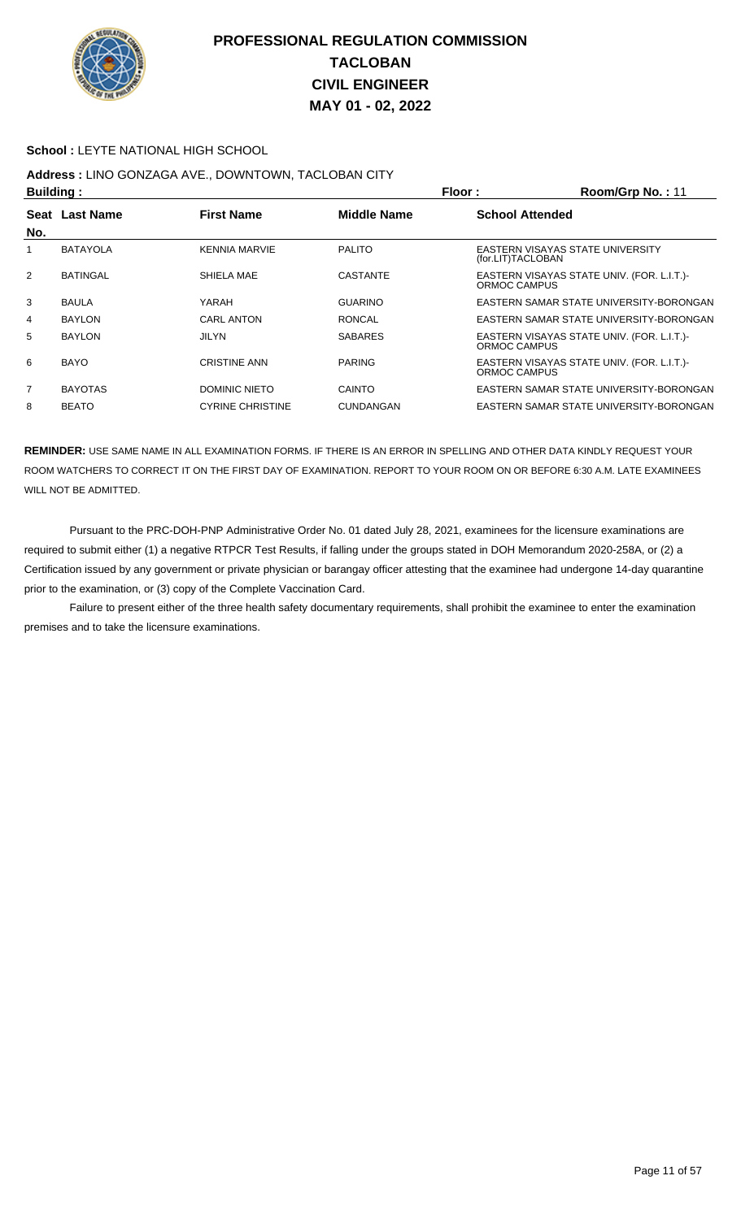

#### **School :** LEYTE NATIONAL HIGH SCHOOL

## **Address :** LINO GONZAGA AVE., DOWNTOWN, TACLOBAN CITY

| Building: |                 |                         |                    | Floor:                 | Room/Grp No.: 11                           |
|-----------|-----------------|-------------------------|--------------------|------------------------|--------------------------------------------|
|           | Seat Last Name  | <b>First Name</b>       | <b>Middle Name</b> | <b>School Attended</b> |                                            |
| No.       |                 |                         |                    |                        |                                            |
|           | <b>BATAYOLA</b> | <b>KENNIA MARVIE</b>    | <b>PALITO</b>      | (for.LIT)TACLOBAN      | EASTERN VISAYAS STATE UNIVERSITY           |
| 2         | <b>BATINGAL</b> | SHIELA MAE              | <b>CASTANTE</b>    | ORMOC CAMPUS           | EASTERN VISAYAS STATE UNIV. (FOR. L.I.T.)- |
| 3         | <b>BAULA</b>    | YARAH                   | <b>GUARINO</b>     |                        | EASTERN SAMAR STATE UNIVERSITY-BORONGAN    |
| 4         | <b>BAYLON</b>   | <b>CARL ANTON</b>       | <b>RONCAL</b>      |                        | EASTERN SAMAR STATE UNIVERSITY-BORONGAN    |
| 5         | <b>BAYLON</b>   | <b>JILYN</b>            | <b>SABARES</b>     | ORMOC CAMPUS           | EASTERN VISAYAS STATE UNIV. (FOR. L.I.T.)- |
| 6         | <b>BAYO</b>     | <b>CRISTINE ANN</b>     | <b>PARING</b>      | ORMOC CAMPUS           | EASTERN VISAYAS STATE UNIV. (FOR. L.I.T.)- |
| 7         | <b>BAYOTAS</b>  | DOMINIC NIETO           | CAINTO             |                        | EASTERN SAMAR STATE UNIVERSITY-BORONGAN    |
| 8         | <b>BEATO</b>    | <b>CYRINE CHRISTINE</b> | <b>CUNDANGAN</b>   |                        | EASTERN SAMAR STATE UNIVERSITY-BORONGAN    |

**REMINDER:** USE SAME NAME IN ALL EXAMINATION FORMS. IF THERE IS AN ERROR IN SPELLING AND OTHER DATA KINDLY REQUEST YOUR ROOM WATCHERS TO CORRECT IT ON THE FIRST DAY OF EXAMINATION. REPORT TO YOUR ROOM ON OR BEFORE 6:30 A.M. LATE EXAMINEES WILL NOT BE ADMITTED.

 Pursuant to the PRC-DOH-PNP Administrative Order No. 01 dated July 28, 2021, examinees for the licensure examinations are required to submit either (1) a negative RTPCR Test Results, if falling under the groups stated in DOH Memorandum 2020-258A, or (2) a Certification issued by any government or private physician or barangay officer attesting that the examinee had undergone 14-day quarantine prior to the examination, or (3) copy of the Complete Vaccination Card.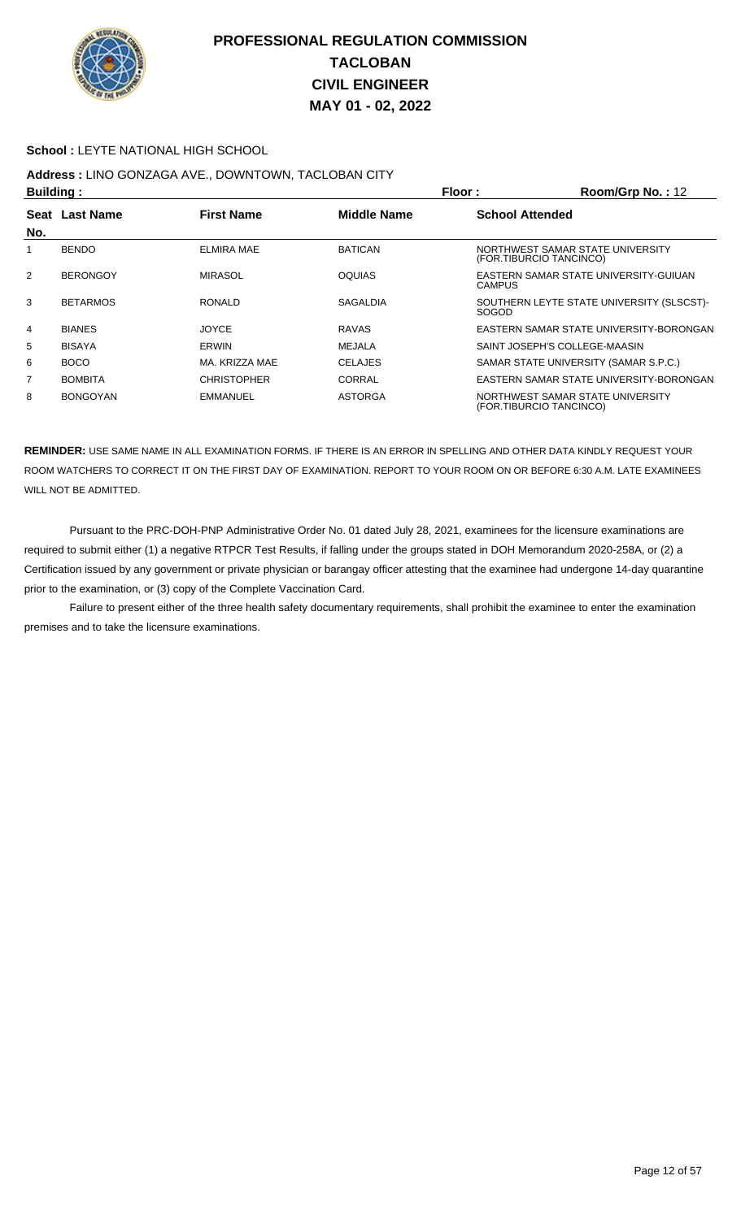

#### **School :** LEYTE NATIONAL HIGH SCHOOL

## **Address :** LINO GONZAGA AVE., DOWNTOWN, TACLOBAN CITY

| <b>Building:</b> |                 |                    |                    | Floor:                 | Room/Grp No.: 12                                            |
|------------------|-----------------|--------------------|--------------------|------------------------|-------------------------------------------------------------|
|                  | Seat Last Name  | <b>First Name</b>  | <b>Middle Name</b> | <b>School Attended</b> |                                                             |
| No.              |                 |                    |                    |                        |                                                             |
|                  | <b>BENDO</b>    | <b>ELMIRA MAE</b>  | <b>BATICAN</b>     |                        | NORTHWEST SAMAR STATE UNIVERSITY<br>(FOR.TIBURCIO TANCINCO) |
| 2                | <b>BERONGOY</b> | <b>MIRASOL</b>     | <b>OQUIAS</b>      | <b>CAMPUS</b>          | EASTERN SAMAR STATE UNIVERSITY-GUIUAN                       |
| 3                | <b>BETARMOS</b> | <b>RONALD</b>      | <b>SAGALDIA</b>    | <b>SOGOD</b>           | SOUTHERN LEYTE STATE UNIVERSITY (SLSCST)-                   |
| 4                | <b>BIANES</b>   | <b>JOYCE</b>       | <b>RAVAS</b>       |                        | EASTERN SAMAR STATE UNIVERSITY-BORONGAN                     |
| 5                | <b>BISAYA</b>   | <b>ERWIN</b>       | MEJALA             |                        | SAINT JOSEPH'S COLLEGE-MAASIN                               |
| 6                | <b>BOCO</b>     | MA. KRIZZA MAE     | <b>CELAJES</b>     |                        | SAMAR STATE UNIVERSITY (SAMAR S.P.C.)                       |
| 7                | <b>BOMBITA</b>  | <b>CHRISTOPHER</b> | <b>CORRAL</b>      |                        | EASTERN SAMAR STATE UNIVERSITY-BORONGAN                     |
| 8                | <b>BONGOYAN</b> | <b>EMMANUEL</b>    | <b>ASTORGA</b>     |                        | NORTHWEST SAMAR STATE UNIVERSITY<br>(FOR.TIBURCIO TANCINCO) |

**REMINDER:** USE SAME NAME IN ALL EXAMINATION FORMS. IF THERE IS AN ERROR IN SPELLING AND OTHER DATA KINDLY REQUEST YOUR ROOM WATCHERS TO CORRECT IT ON THE FIRST DAY OF EXAMINATION. REPORT TO YOUR ROOM ON OR BEFORE 6:30 A.M. LATE EXAMINEES WILL NOT BE ADMITTED.

 Pursuant to the PRC-DOH-PNP Administrative Order No. 01 dated July 28, 2021, examinees for the licensure examinations are required to submit either (1) a negative RTPCR Test Results, if falling under the groups stated in DOH Memorandum 2020-258A, or (2) a Certification issued by any government or private physician or barangay officer attesting that the examinee had undergone 14-day quarantine prior to the examination, or (3) copy of the Complete Vaccination Card.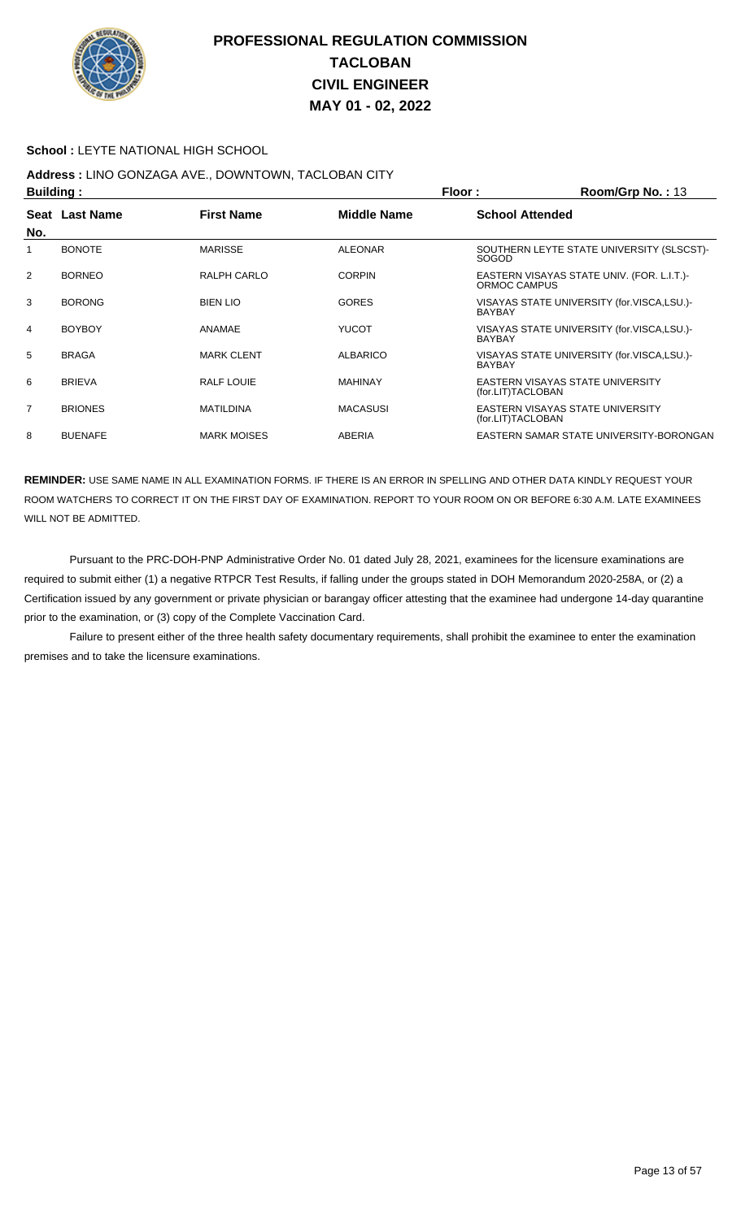

#### **School :** LEYTE NATIONAL HIGH SCHOOL

## **Address :** LINO GONZAGA AVE., DOWNTOWN, TACLOBAN CITY

| <b>Building:</b> |                |                    |                    | Floor:<br>Room/Grp No.: 13                                  |
|------------------|----------------|--------------------|--------------------|-------------------------------------------------------------|
| No.              | Seat Last Name | <b>First Name</b>  | <b>Middle Name</b> | <b>School Attended</b>                                      |
|                  | <b>BONOTE</b>  | <b>MARISSE</b>     | <b>ALEONAR</b>     | SOUTHERN LEYTE STATE UNIVERSITY (SLSCST)-<br><b>SOGOD</b>   |
| 2                | <b>BORNEO</b>  | RALPH CARLO        | <b>CORPIN</b>      | EASTERN VISAYAS STATE UNIV. (FOR. L.I.T.)<br>ORMOC CAMPUS   |
| 3                | <b>BORONG</b>  | <b>BIEN LIO</b>    | <b>GORES</b>       | VISAYAS STATE UNIVERSITY (for.VISCA,LSU.)-<br><b>BAYBAY</b> |
| 4                | <b>BOYBOY</b>  | ANAMAE             | <b>YUCOT</b>       | VISAYAS STATE UNIVERSITY (for.VISCA,LSU.)-<br><b>BAYBAY</b> |
| 5                | <b>BRAGA</b>   | <b>MARK CLENT</b>  | <b>ALBARICO</b>    | VISAYAS STATE UNIVERSITY (for.VISCA,LSU.)-<br><b>BAYBAY</b> |
| 6                | <b>BRIEVA</b>  | <b>RALF LOUIE</b>  | <b>MAHINAY</b>     | EASTERN VISAYAS STATE UNIVERSITY<br>(for.LIT)TACLOBAN       |
| $\overline{7}$   | <b>BRIONES</b> | <b>MATILDINA</b>   | <b>MACASUSI</b>    | EASTERN VISAYAS STATE UNIVERSITY<br>(for.LIT)TACLOBAN       |
| 8                | <b>BUENAFE</b> | <b>MARK MOISES</b> | <b>ABERIA</b>      | EASTERN SAMAR STATE UNIVERSITY-BORONGAN                     |

**REMINDER:** USE SAME NAME IN ALL EXAMINATION FORMS. IF THERE IS AN ERROR IN SPELLING AND OTHER DATA KINDLY REQUEST YOUR ROOM WATCHERS TO CORRECT IT ON THE FIRST DAY OF EXAMINATION. REPORT TO YOUR ROOM ON OR BEFORE 6:30 A.M. LATE EXAMINEES WILL NOT BE ADMITTED.

 Pursuant to the PRC-DOH-PNP Administrative Order No. 01 dated July 28, 2021, examinees for the licensure examinations are required to submit either (1) a negative RTPCR Test Results, if falling under the groups stated in DOH Memorandum 2020-258A, or (2) a Certification issued by any government or private physician or barangay officer attesting that the examinee had undergone 14-day quarantine prior to the examination, or (3) copy of the Complete Vaccination Card.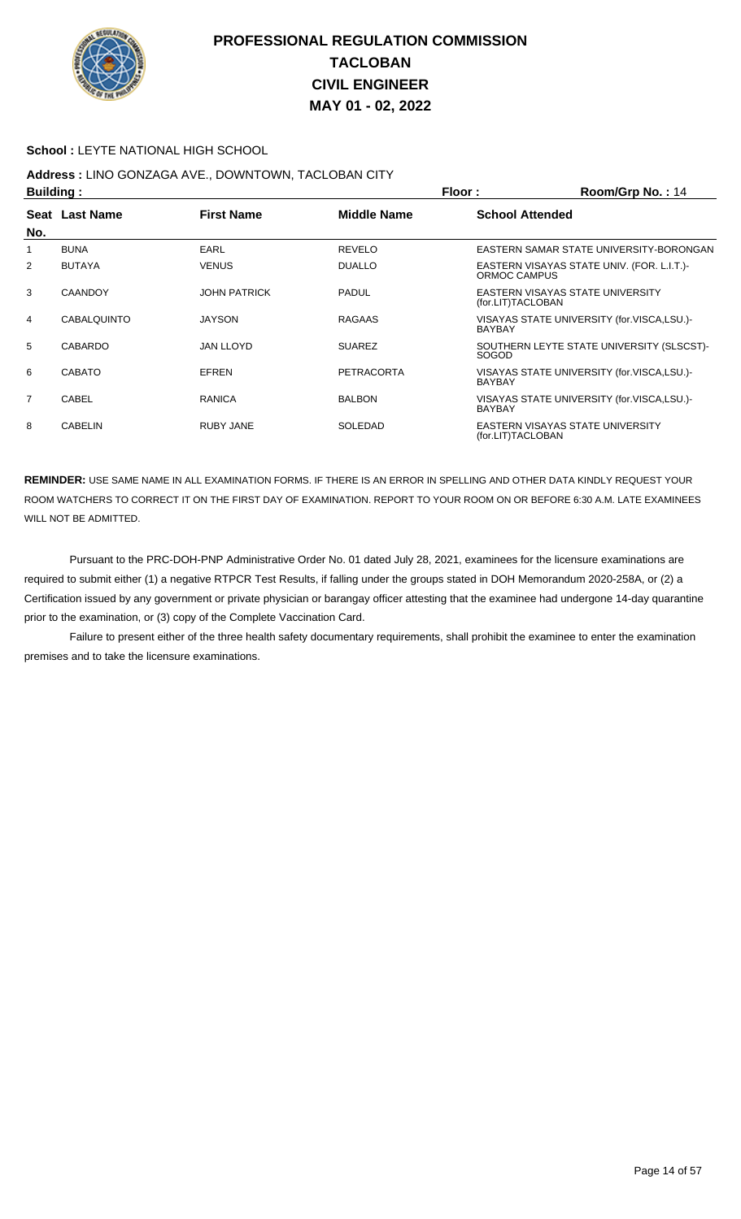

#### **School :** LEYTE NATIONAL HIGH SCHOOL

## **Address :** LINO GONZAGA AVE., DOWNTOWN, TACLOBAN CITY

| <b>Building:</b> |                |                     |                    | Floor:                 | Room/Grp No.: 14                           |
|------------------|----------------|---------------------|--------------------|------------------------|--------------------------------------------|
|                  | Seat Last Name | <b>First Name</b>   | <b>Middle Name</b> | <b>School Attended</b> |                                            |
| No.              |                |                     |                    |                        |                                            |
|                  | <b>BUNA</b>    | <b>EARL</b>         | <b>REVELO</b>      |                        | EASTERN SAMAR STATE UNIVERSITY-BORONGAN    |
| 2                | <b>BUTAYA</b>  | <b>VENUS</b>        | <b>DUALLO</b>      | ORMOC CAMPUS           | EASTERN VISAYAS STATE UNIV. (FOR. L.I.T.)- |
| 3                | <b>CAANDOY</b> | <b>JOHN PATRICK</b> | <b>PADUL</b>       | (for.LIT)TACLOBAN      | EASTERN VISAYAS STATE UNIVERSITY           |
| 4                | CABALQUINTO    | <b>JAYSON</b>       | RAGAAS             | <b>BAYBAY</b>          | VISAYAS STATE UNIVERSITY (for.VISCA,LSU.)- |
| 5                | CABARDO        | <b>JAN LLOYD</b>    | <b>SUAREZ</b>      | <b>SOGOD</b>           | SOUTHERN LEYTE STATE UNIVERSITY (SLSCST)-  |
| 6                | <b>CABATO</b>  | <b>EFREN</b>        | PETRACORTA         | <b>BAYBAY</b>          | VISAYAS STATE UNIVERSITY (for.VISCA,LSU.)- |
| $\overline{7}$   | CABEL          | RANICA              | <b>BALBON</b>      | <b>BAYBAY</b>          | VISAYAS STATE UNIVERSITY (for.VISCA,LSU.)- |
| 8                | <b>CABELIN</b> | <b>RUBY JANE</b>    | SOLEDAD            | (for.LIT)TACLOBAN      | EASTERN VISAYAS STATE UNIVERSITY           |

**REMINDER:** USE SAME NAME IN ALL EXAMINATION FORMS. IF THERE IS AN ERROR IN SPELLING AND OTHER DATA KINDLY REQUEST YOUR ROOM WATCHERS TO CORRECT IT ON THE FIRST DAY OF EXAMINATION. REPORT TO YOUR ROOM ON OR BEFORE 6:30 A.M. LATE EXAMINEES WILL NOT BE ADMITTED.

 Pursuant to the PRC-DOH-PNP Administrative Order No. 01 dated July 28, 2021, examinees for the licensure examinations are required to submit either (1) a negative RTPCR Test Results, if falling under the groups stated in DOH Memorandum 2020-258A, or (2) a Certification issued by any government or private physician or barangay officer attesting that the examinee had undergone 14-day quarantine prior to the examination, or (3) copy of the Complete Vaccination Card.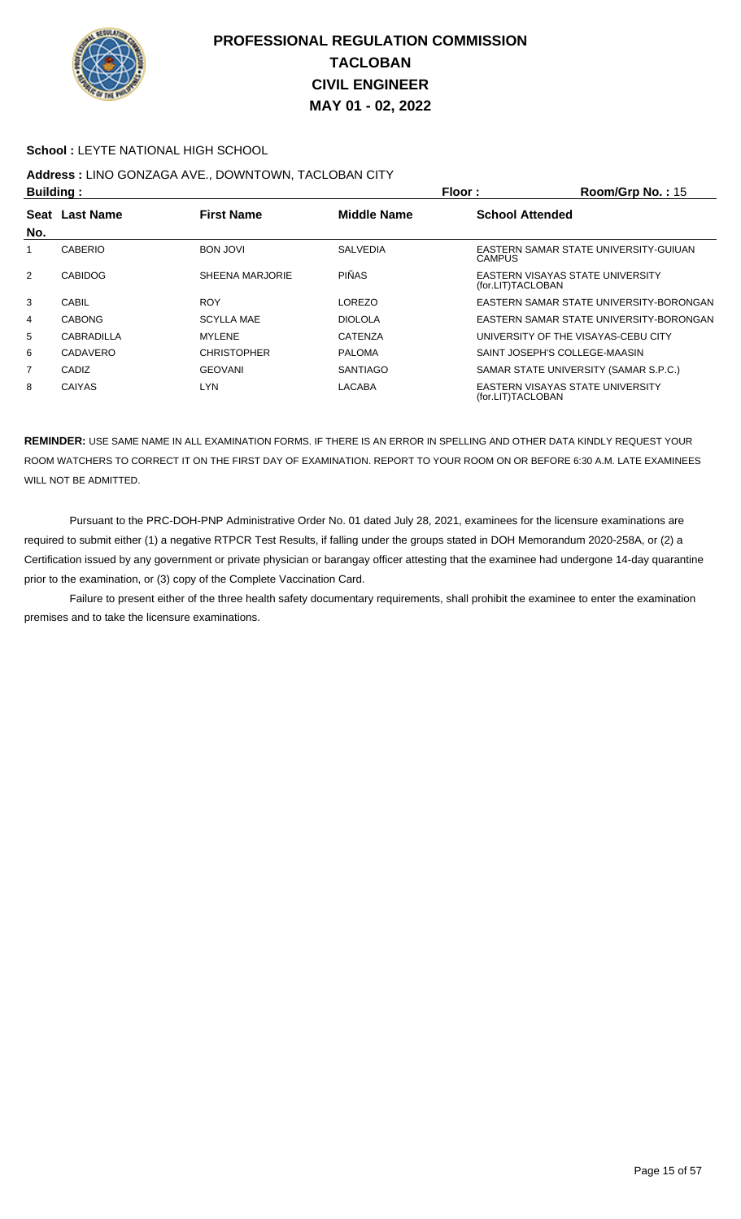

#### **School :** LEYTE NATIONAL HIGH SCHOOL

# **Address :** LINO GONZAGA AVE., DOWNTOWN, TACLOBAN CITY

| Building:                                                           |                |                    |                        | Floor:            | Room/Grp No.: 15                        |
|---------------------------------------------------------------------|----------------|--------------------|------------------------|-------------------|-----------------------------------------|
| <b>Last Name</b><br><b>First Name</b><br><b>Middle Name</b><br>Seat |                |                    | <b>School Attended</b> |                   |                                         |
| No.                                                                 |                |                    |                        |                   |                                         |
|                                                                     | <b>CABERIO</b> | <b>BON JOVI</b>    | <b>SALVEDIA</b>        | <b>CAMPUS</b>     | EASTERN SAMAR STATE UNIVERSITY-GUIUAN   |
| $\overline{2}$                                                      | <b>CABIDOG</b> | SHEENA MARJORIE    | <b>PIÑAS</b>           | (for.LIT)TACLOBAN | EASTERN VISAYAS STATE UNIVERSITY        |
| 3                                                                   | CABIL          | <b>ROY</b>         | LOREZO                 |                   | EASTERN SAMAR STATE UNIVERSITY-BORONGAN |
| 4                                                                   | <b>CABONG</b>  | <b>SCYLLA MAE</b>  | <b>DIOLOLA</b>         |                   | EASTERN SAMAR STATE UNIVERSITY-BORONGAN |
| 5                                                                   | CABRADILLA     | <b>MYLENE</b>      | <b>CATENZA</b>         |                   | UNIVERSITY OF THE VISAYAS-CEBU CITY     |
| 6                                                                   | CADAVERO       | <b>CHRISTOPHER</b> | <b>PALOMA</b>          |                   | SAINT JOSEPH'S COLLEGE-MAASIN           |
| 7                                                                   | CADIZ          | <b>GEOVANI</b>     | <b>SANTIAGO</b>        |                   | SAMAR STATE UNIVERSITY (SAMAR S.P.C.)   |
| 8                                                                   | <b>CAIYAS</b>  | <b>LYN</b>         | <b>LACABA</b>          | (for.LIT)TACLOBAN | EASTERN VISAYAS STATE UNIVERSITY        |

**REMINDER:** USE SAME NAME IN ALL EXAMINATION FORMS. IF THERE IS AN ERROR IN SPELLING AND OTHER DATA KINDLY REQUEST YOUR ROOM WATCHERS TO CORRECT IT ON THE FIRST DAY OF EXAMINATION. REPORT TO YOUR ROOM ON OR BEFORE 6:30 A.M. LATE EXAMINEES WILL NOT BE ADMITTED.

 Pursuant to the PRC-DOH-PNP Administrative Order No. 01 dated July 28, 2021, examinees for the licensure examinations are required to submit either (1) a negative RTPCR Test Results, if falling under the groups stated in DOH Memorandum 2020-258A, or (2) a Certification issued by any government or private physician or barangay officer attesting that the examinee had undergone 14-day quarantine prior to the examination, or (3) copy of the Complete Vaccination Card.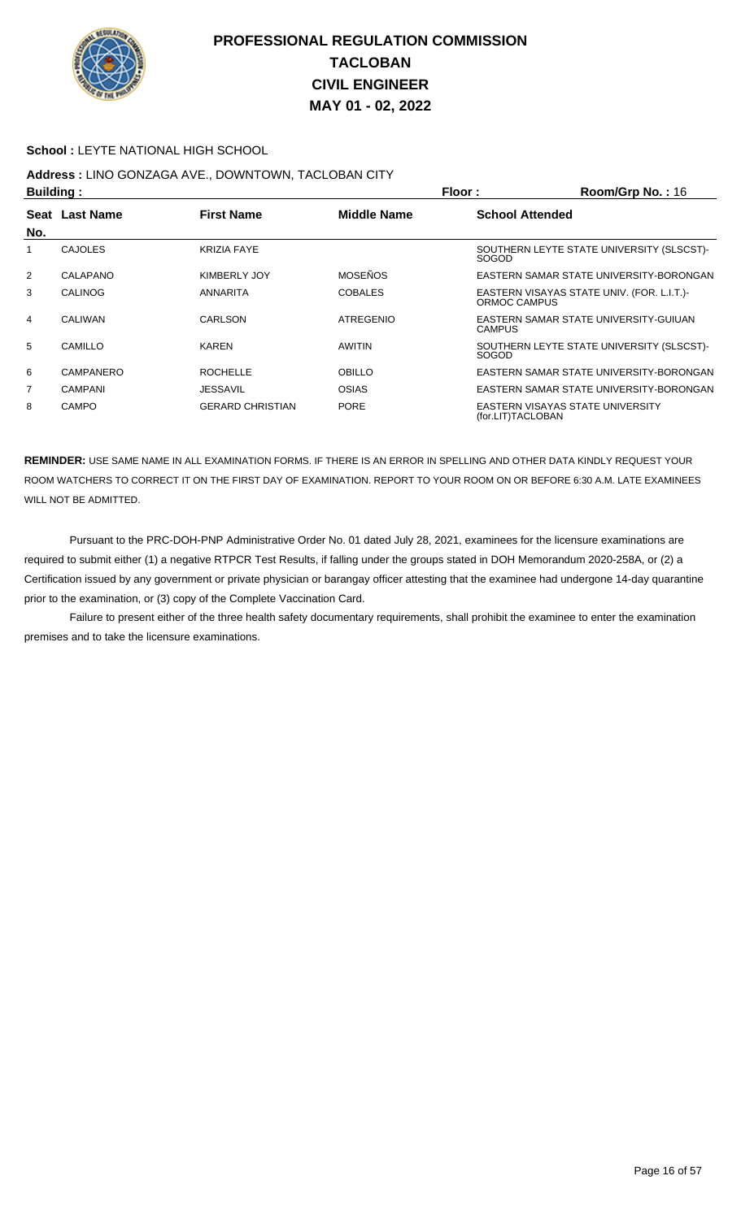

#### **School :** LEYTE NATIONAL HIGH SCHOOL

# **Address :** LINO GONZAGA AVE., DOWNTOWN, TACLOBAN CITY

| Building:      |                  |                         | Floor:<br>Room/Grp No.: 16 |                        |                                            |
|----------------|------------------|-------------------------|----------------------------|------------------------|--------------------------------------------|
| <b>Seat</b>    | <b>Last Name</b> | <b>First Name</b>       | <b>Middle Name</b>         | <b>School Attended</b> |                                            |
| No.            |                  |                         |                            |                        |                                            |
|                | <b>CAJOLES</b>   | <b>KRIZIA FAYE</b>      |                            | <b>SOGOD</b>           | SOUTHERN LEYTE STATE UNIVERSITY (SLSCST)-  |
| $\overline{2}$ | CALAPANO         | KIMBERLY JOY            | <b>MOSEÑOS</b>             |                        | EASTERN SAMAR STATE UNIVERSITY-BORONGAN    |
| 3              | CALINOG          | ANNARITA                | <b>COBALES</b>             | ORMOC CAMPUS           | EASTERN VISAYAS STATE UNIV. (FOR. L.I.T.)- |
| 4              | CALIWAN          | CARLSON                 | <b>ATREGENIO</b>           | <b>CAMPUS</b>          | EASTERN SAMAR STATE UNIVERSITY-GUIUAN      |
| 5              | CAMILLO          | <b>KAREN</b>            | <b>AWITIN</b>              | SOGOD                  | SOUTHERN LEYTE STATE UNIVERSITY (SLSCST)-  |
| 6              | CAMPANERO        | <b>ROCHELLE</b>         | <b>OBILLO</b>              |                        | EASTERN SAMAR STATE UNIVERSITY-BORONGAN    |
| 7              | <b>CAMPANI</b>   | <b>JESSAVIL</b>         | <b>OSIAS</b>               |                        | EASTERN SAMAR STATE UNIVERSITY-BORONGAN    |
| 8              | <b>CAMPO</b>     | <b>GERARD CHRISTIAN</b> | <b>PORE</b>                | (for.LIT)TACLOBAN      | EASTERN VISAYAS STATE UNIVERSITY           |

**REMINDER:** USE SAME NAME IN ALL EXAMINATION FORMS. IF THERE IS AN ERROR IN SPELLING AND OTHER DATA KINDLY REQUEST YOUR ROOM WATCHERS TO CORRECT IT ON THE FIRST DAY OF EXAMINATION. REPORT TO YOUR ROOM ON OR BEFORE 6:30 A.M. LATE EXAMINEES WILL NOT BE ADMITTED.

 Pursuant to the PRC-DOH-PNP Administrative Order No. 01 dated July 28, 2021, examinees for the licensure examinations are required to submit either (1) a negative RTPCR Test Results, if falling under the groups stated in DOH Memorandum 2020-258A, or (2) a Certification issued by any government or private physician or barangay officer attesting that the examinee had undergone 14-day quarantine prior to the examination, or (3) copy of the Complete Vaccination Card.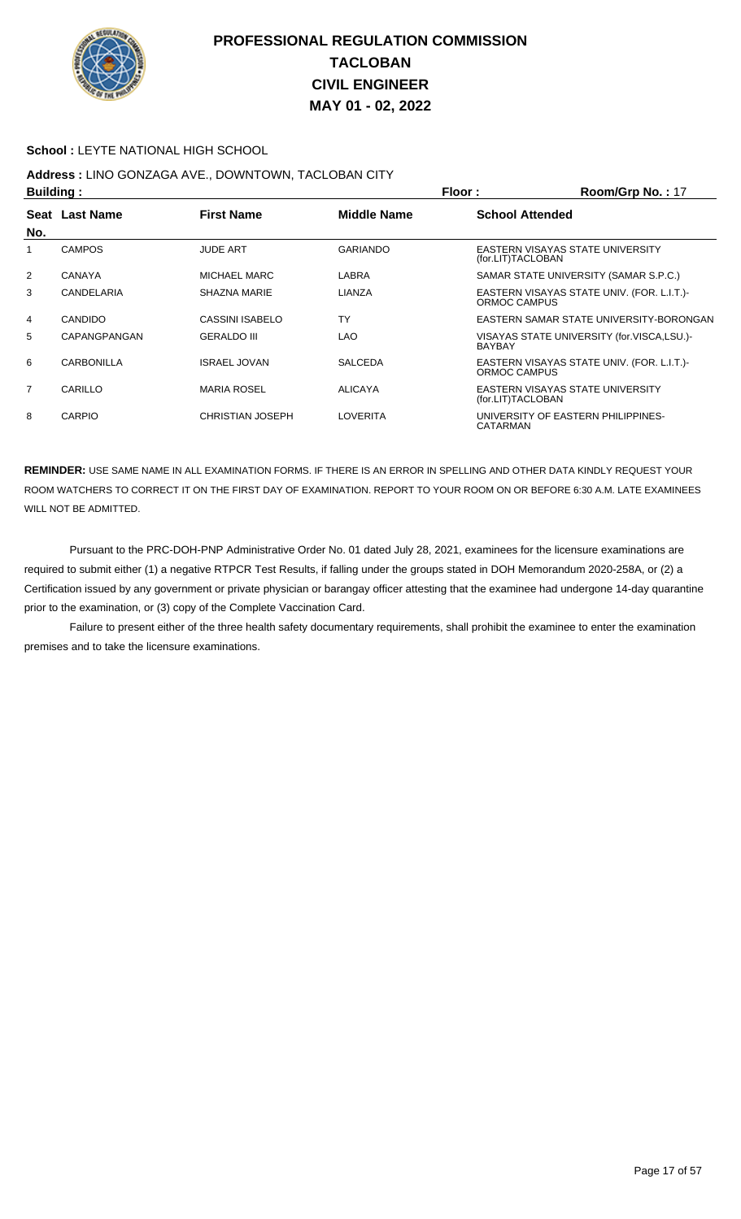

#### **School :** LEYTE NATIONAL HIGH SCHOOL

# **Address :** LINO GONZAGA AVE., DOWNTOWN, TACLOBAN CITY

| <b>Building:</b> |                |                         |                    | Floor:<br>Room/Grp No.: 17 |                                            |  |
|------------------|----------------|-------------------------|--------------------|----------------------------|--------------------------------------------|--|
|                  | Seat Last Name | <b>First Name</b>       | <b>Middle Name</b> | <b>School Attended</b>     |                                            |  |
| No.              |                |                         |                    |                            |                                            |  |
|                  | <b>CAMPOS</b>  | <b>JUDE ART</b>         | <b>GARIANDO</b>    | (for.LIT)TACLOBAN          | EASTERN VISAYAS STATE UNIVERSITY           |  |
| 2                | <b>CANAYA</b>  | MICHAEL MARC            | LABRA              |                            | SAMAR STATE UNIVERSITY (SAMAR S.P.C.)      |  |
| 3                | CANDELARIA     | SHAZNA MARIE            | LIANZA             | ORMOC CAMPUS               | EASTERN VISAYAS STATE UNIV. (FOR. L.I.T.)- |  |
| 4                | <b>CANDIDO</b> | CASSINI ISABELO         | <b>TY</b>          |                            | EASTERN SAMAR STATE UNIVERSITY-BORONGAN    |  |
| 5                | CAPANGPANGAN   | <b>GERALDO III</b>      | <b>LAO</b>         | <b>BAYBAY</b>              | VISAYAS STATE UNIVERSITY (for.VISCA,LSU.)- |  |
| 6                | CARBONILLA     | <b>ISRAEL JOVAN</b>     | <b>SALCEDA</b>     | ORMOC CAMPUS               | EASTERN VISAYAS STATE UNIV. (FOR. L.I.T.)- |  |
| $\overline{7}$   | CARILLO        | <b>MARIA ROSEL</b>      | <b>ALICAYA</b>     | (for.LIT)TACLOBAN          | <b>EASTERN VISAYAS STATE UNIVERSITY</b>    |  |
| 8                | <b>CARPIO</b>  | <b>CHRISTIAN JOSEPH</b> | LOVERITA           | CATARMAN                   | UNIVERSITY OF EASTERN PHILIPPINES-         |  |

**REMINDER:** USE SAME NAME IN ALL EXAMINATION FORMS. IF THERE IS AN ERROR IN SPELLING AND OTHER DATA KINDLY REQUEST YOUR ROOM WATCHERS TO CORRECT IT ON THE FIRST DAY OF EXAMINATION. REPORT TO YOUR ROOM ON OR BEFORE 6:30 A.M. LATE EXAMINEES WILL NOT BE ADMITTED.

 Pursuant to the PRC-DOH-PNP Administrative Order No. 01 dated July 28, 2021, examinees for the licensure examinations are required to submit either (1) a negative RTPCR Test Results, if falling under the groups stated in DOH Memorandum 2020-258A, or (2) a Certification issued by any government or private physician or barangay officer attesting that the examinee had undergone 14-day quarantine prior to the examination, or (3) copy of the Complete Vaccination Card.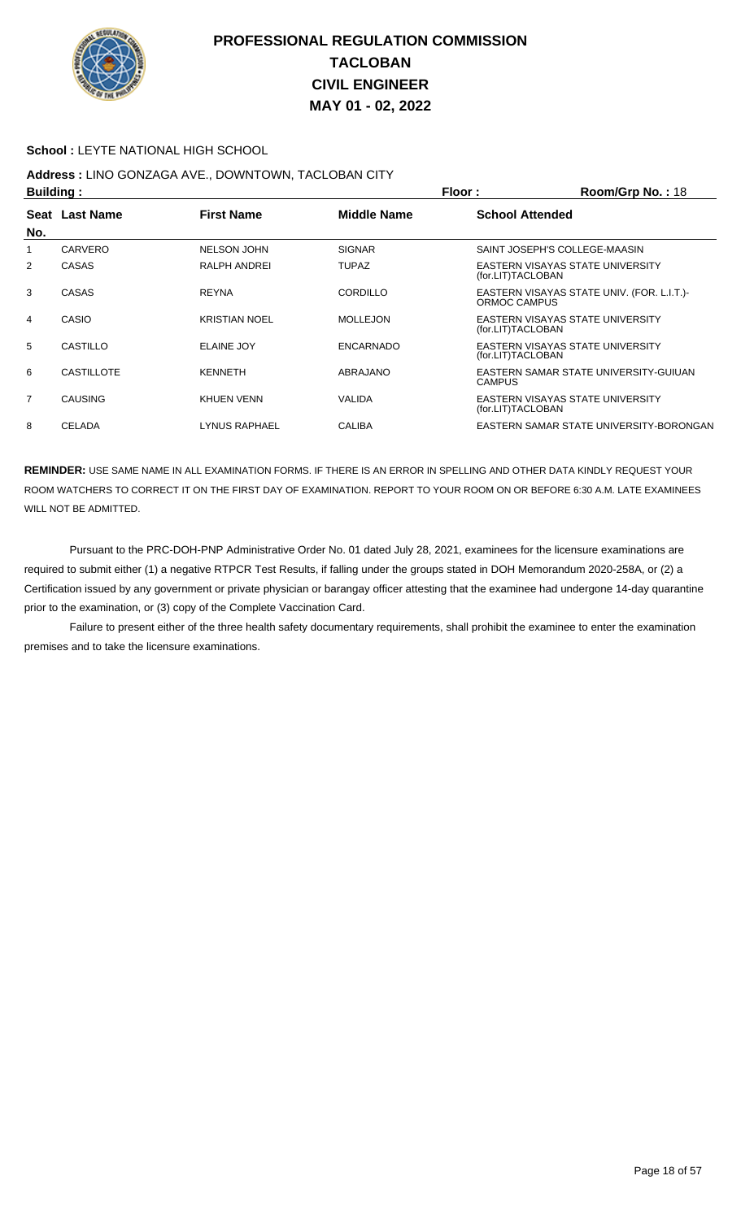

#### **School :** LEYTE NATIONAL HIGH SCHOOL

# **Address :** LINO GONZAGA AVE., DOWNTOWN, TACLOBAN CITY

| <b>Building:</b> |                   |                      | Floor:<br>Room/Grp No.: 18 |                        |                                            |
|------------------|-------------------|----------------------|----------------------------|------------------------|--------------------------------------------|
|                  | Seat Last Name    | <b>First Name</b>    | <b>Middle Name</b>         | <b>School Attended</b> |                                            |
| No.              |                   |                      |                            |                        |                                            |
| 1                | CARVERO           | <b>NELSON JOHN</b>   | <b>SIGNAR</b>              |                        | SAINT JOSEPH'S COLLEGE-MAASIN              |
| 2                | CASAS             | RALPH ANDREI         | <b>TUPAZ</b>               | (for.LIT)TACLOBAN      | EASTERN VISAYAS STATE UNIVERSITY           |
| 3                | CASAS             | <b>REYNA</b>         | <b>CORDILLO</b>            | ORMOC CAMPUS           | EASTERN VISAYAS STATE UNIV. (FOR. L.I.T.)- |
| 4                | CASIO             | <b>KRISTIAN NOEL</b> | <b>MOLLEJON</b>            | (for.LIT)TACLOBAN      | EASTERN VISAYAS STATE UNIVERSITY           |
| 5                | CASTILLO          | <b>ELAINE JOY</b>    | <b>ENCARNADO</b>           | (for.LIT)TACLOBAN      | EASTERN VISAYAS STATE UNIVERSITY           |
| 6                | <b>CASTILLOTE</b> | <b>KENNETH</b>       | ABRAJANO                   | <b>CAMPUS</b>          | EASTERN SAMAR STATE UNIVERSITY-GUIUAN      |
| 7                | <b>CAUSING</b>    | KHUEN VENN           | VALIDA                     | (for.LIT)TACLOBAN      | EASTERN VISAYAS STATE UNIVERSITY           |
| 8                | <b>CELADA</b>     | <b>LYNUS RAPHAEL</b> | <b>CALIBA</b>              |                        | EASTERN SAMAR STATE UNIVERSITY-BORONGAN    |

**REMINDER:** USE SAME NAME IN ALL EXAMINATION FORMS. IF THERE IS AN ERROR IN SPELLING AND OTHER DATA KINDLY REQUEST YOUR ROOM WATCHERS TO CORRECT IT ON THE FIRST DAY OF EXAMINATION. REPORT TO YOUR ROOM ON OR BEFORE 6:30 A.M. LATE EXAMINEES WILL NOT BE ADMITTED.

 Pursuant to the PRC-DOH-PNP Administrative Order No. 01 dated July 28, 2021, examinees for the licensure examinations are required to submit either (1) a negative RTPCR Test Results, if falling under the groups stated in DOH Memorandum 2020-258A, or (2) a Certification issued by any government or private physician or barangay officer attesting that the examinee had undergone 14-day quarantine prior to the examination, or (3) copy of the Complete Vaccination Card.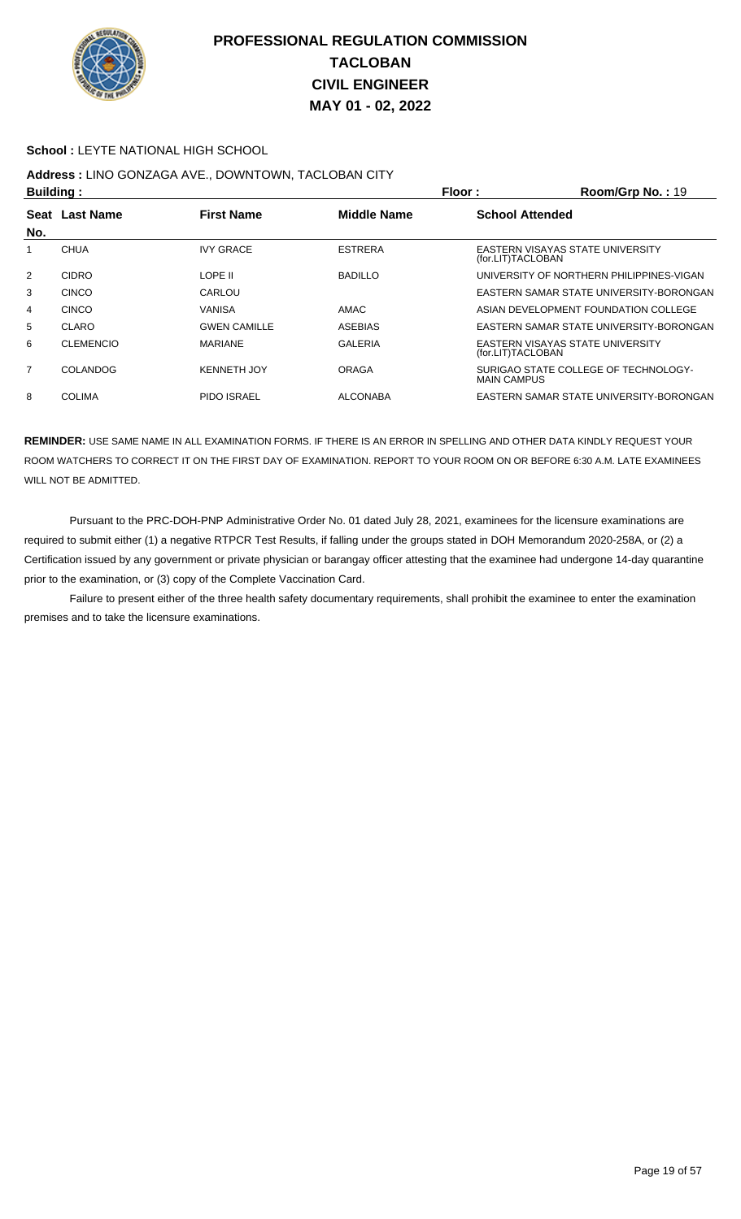

#### **School : LEYTE NATIONAL HIGH SCHOOL**

# **Address :** LINO GONZAGA AVE., DOWNTOWN, TACLOBAN CITY

| <b>Building:</b> |                  |                     | Floor:<br>$Room/Grp$ No.: 19 |                        |                                          |
|------------------|------------------|---------------------|------------------------------|------------------------|------------------------------------------|
|                  | Seat Last Name   | <b>First Name</b>   | Middle Name                  | <b>School Attended</b> |                                          |
| No.              |                  |                     |                              |                        |                                          |
|                  | <b>CHUA</b>      | <b>IVY GRACE</b>    | <b>ESTRERA</b>               | (for.LIT)TACLOBAN      | EASTERN VISAYAS STATE UNIVERSITY         |
| $\overline{2}$   | <b>CIDRO</b>     | I OPF II            | <b>BADILLO</b>               |                        | UNIVERSITY OF NORTHERN PHILIPPINES-VIGAN |
| 3                | <b>CINCO</b>     | CARLOU              |                              |                        | EASTERN SAMAR STATE UNIVERSITY-BORONGAN  |
| 4                | <b>CINCO</b>     | VANISA              | AMAC                         |                        | ASIAN DEVELOPMENT FOUNDATION COLLEGE     |
| 5                | <b>CLARO</b>     | <b>GWEN CAMILLE</b> | <b>ASEBIAS</b>               |                        | EASTERN SAMAR STATE UNIVERSITY-BORONGAN  |
| 6                | <b>CLEMENCIO</b> | <b>MARIANE</b>      | <b>GALERIA</b>               | (for.LIT)TACLOBAN      | EASTERN VISAYAS STATE UNIVERSITY         |
| 7                | COLANDOG         | <b>KENNETH JOY</b>  | ORAGA                        | <b>MAIN CAMPUS</b>     | SURIGAO STATE COLLEGE OF TECHNOLOGY-     |
| 8                | <b>COLIMA</b>    | <b>PIDO ISRAEL</b>  | <b>ALCONABA</b>              |                        | EASTERN SAMAR STATE UNIVERSITY-BORONGAN  |

**REMINDER:** USE SAME NAME IN ALL EXAMINATION FORMS. IF THERE IS AN ERROR IN SPELLING AND OTHER DATA KINDLY REQUEST YOUR ROOM WATCHERS TO CORRECT IT ON THE FIRST DAY OF EXAMINATION. REPORT TO YOUR ROOM ON OR BEFORE 6:30 A.M. LATE EXAMINEES WILL NOT BE ADMITTED.

 Pursuant to the PRC-DOH-PNP Administrative Order No. 01 dated July 28, 2021, examinees for the licensure examinations are required to submit either (1) a negative RTPCR Test Results, if falling under the groups stated in DOH Memorandum 2020-258A, or (2) a Certification issued by any government or private physician or barangay officer attesting that the examinee had undergone 14-day quarantine prior to the examination, or (3) copy of the Complete Vaccination Card.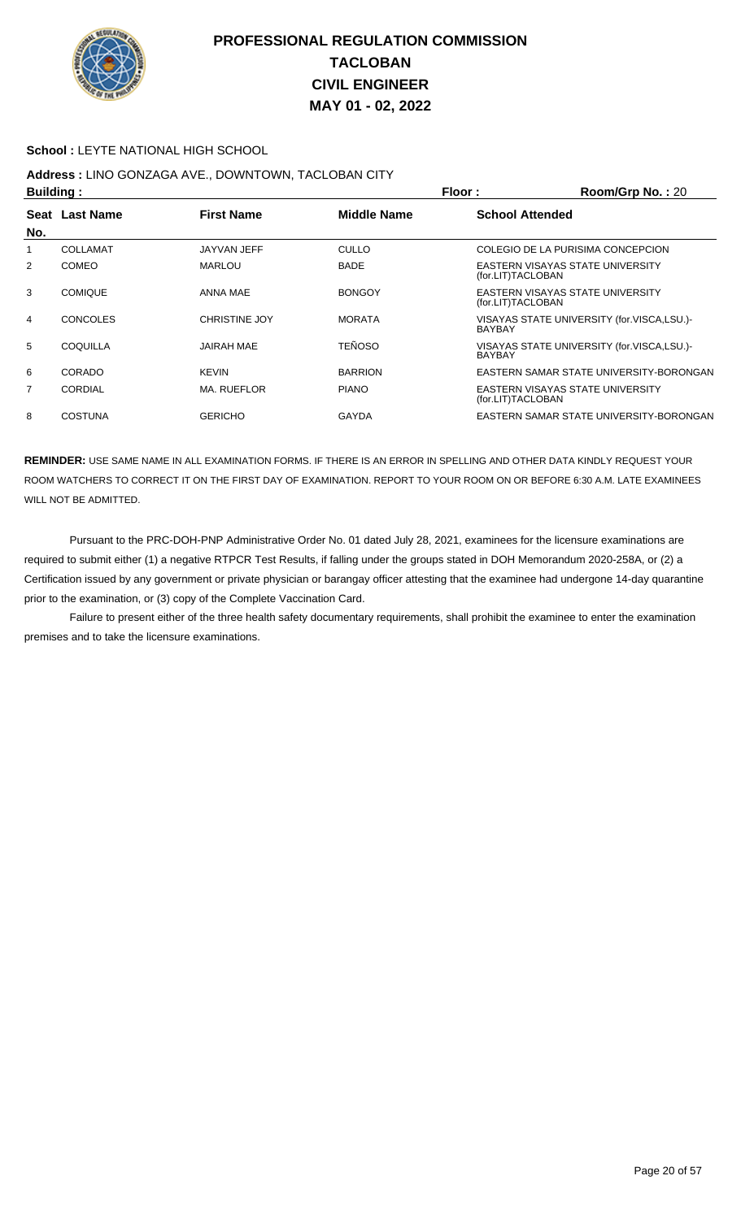

#### **School :** LEYTE NATIONAL HIGH SCHOOL

## **Address :** LINO GONZAGA AVE., DOWNTOWN, TACLOBAN CITY

| <b>Building:</b> |                 |                      |                    | Floor:                 | Room/Grp No.: 20                           |
|------------------|-----------------|----------------------|--------------------|------------------------|--------------------------------------------|
|                  | Seat Last Name  | <b>First Name</b>    | <b>Middle Name</b> | <b>School Attended</b> |                                            |
| No.              |                 |                      |                    |                        |                                            |
| 1                | COLLAMAT        | JAYVAN JEFF          | <b>CULLO</b>       |                        | COLEGIO DE LA PURISIMA CONCEPCION          |
| 2                | <b>COMEO</b>    | <b>MARLOU</b>        | <b>BADE</b>        | (for.LIT)TACLOBAN      | EASTERN VISAYAS STATE UNIVERSITY           |
| 3                | <b>COMIQUE</b>  | ANNA MAE             | <b>BONGOY</b>      | (for.LIT)TACLOBAN      | EASTERN VISAYAS STATE UNIVERSITY           |
| 4                | <b>CONCOLES</b> | <b>CHRISTINE JOY</b> | <b>MORATA</b>      | <b>BAYBAY</b>          | VISAYAS STATE UNIVERSITY (for.VISCA,LSU.)- |
| 5                | COQUILLA        | <b>JAIRAH MAE</b>    | <b>TEÑOSO</b>      | <b>BAYBAY</b>          | VISAYAS STATE UNIVERSITY (for.VISCA,LSU.)- |
| 6                | CORADO          | <b>KEVIN</b>         | <b>BARRION</b>     |                        | EASTERN SAMAR STATE UNIVERSITY-BORONGAN    |
| 7                | <b>CORDIAL</b>  | MA. RUEFLOR          | <b>PIANO</b>       | (for.LIT)TACLOBAN      | EASTERN VISAYAS STATE UNIVERSITY           |
| 8                | <b>COSTUNA</b>  | <b>GERICHO</b>       | <b>GAYDA</b>       |                        | EASTERN SAMAR STATE UNIVERSITY-BORONGAN    |

**REMINDER:** USE SAME NAME IN ALL EXAMINATION FORMS. IF THERE IS AN ERROR IN SPELLING AND OTHER DATA KINDLY REQUEST YOUR ROOM WATCHERS TO CORRECT IT ON THE FIRST DAY OF EXAMINATION. REPORT TO YOUR ROOM ON OR BEFORE 6:30 A.M. LATE EXAMINEES WILL NOT BE ADMITTED.

 Pursuant to the PRC-DOH-PNP Administrative Order No. 01 dated July 28, 2021, examinees for the licensure examinations are required to submit either (1) a negative RTPCR Test Results, if falling under the groups stated in DOH Memorandum 2020-258A, or (2) a Certification issued by any government or private physician or barangay officer attesting that the examinee had undergone 14-day quarantine prior to the examination, or (3) copy of the Complete Vaccination Card.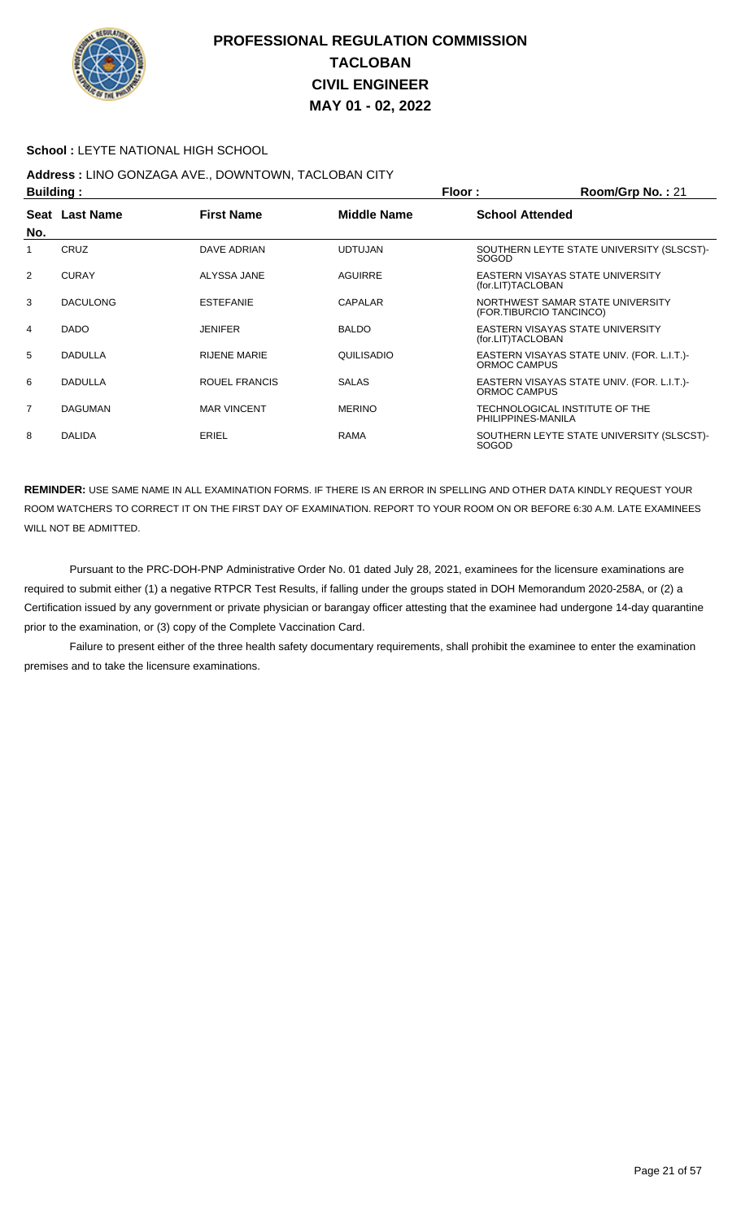

#### **School :** LEYTE NATIONAL HIGH SCHOOL

## **Address :** LINO GONZAGA AVE., DOWNTOWN, TACLOBAN CITY

| <b>Building:</b> |                 |                     |                | Floor:<br>Room/Grp No.: 21                                  |
|------------------|-----------------|---------------------|----------------|-------------------------------------------------------------|
| No.              | Seat Last Name  | <b>First Name</b>   | Middle Name    | <b>School Attended</b>                                      |
| 1                | CRUZ            | DAVE ADRIAN         | <b>UDTUJAN</b> | SOUTHERN LEYTE STATE UNIVERSITY (SLSCST)-<br><b>SOGOD</b>   |
| 2                | <b>CURAY</b>    | ALYSSA JANE         | AGUIRRE        | EASTERN VISAYAS STATE UNIVERSITY<br>(for.LIT)TACLOBAN       |
| 3                | <b>DACULONG</b> | <b>ESTEFANIE</b>    | CAPALAR        | NORTHWEST SAMAR STATE UNIVERSITY<br>(FOR.TIBURCIO TANCINCO) |
| 4                | <b>DADO</b>     | <b>JENIFER</b>      | <b>BALDO</b>   | EASTERN VISAYAS STATE UNIVERSITY<br>(for.LIT)TACLOBAN       |
| 5                | <b>DADULLA</b>  | <b>RIJENE MARIE</b> | QUILISADIO     | EASTERN VISAYAS STATE UNIV. (FOR. L.I.T.)-<br>ORMOC CAMPUS  |
| 6                | <b>DADULLA</b>  | ROUEL FRANCIS       | <b>SALAS</b>   | EASTERN VISAYAS STATE UNIV. (FOR. L.I.T.)<br>ORMOC CAMPUS   |
| $\overline{7}$   | <b>DAGUMAN</b>  | <b>MAR VINCENT</b>  | <b>MERINO</b>  | TECHNOLOGICAL INSTITUTE OF THE<br>PHILIPPINES-MANILA        |
| 8                | <b>DALIDA</b>   | ERIEL               | <b>RAMA</b>    | SOUTHERN LEYTE STATE UNIVERSITY (SLSCST)-<br><b>SOGOD</b>   |

**REMINDER:** USE SAME NAME IN ALL EXAMINATION FORMS. IF THERE IS AN ERROR IN SPELLING AND OTHER DATA KINDLY REQUEST YOUR ROOM WATCHERS TO CORRECT IT ON THE FIRST DAY OF EXAMINATION. REPORT TO YOUR ROOM ON OR BEFORE 6:30 A.M. LATE EXAMINEES WILL NOT BE ADMITTED.

 Pursuant to the PRC-DOH-PNP Administrative Order No. 01 dated July 28, 2021, examinees for the licensure examinations are required to submit either (1) a negative RTPCR Test Results, if falling under the groups stated in DOH Memorandum 2020-258A, or (2) a Certification issued by any government or private physician or barangay officer attesting that the examinee had undergone 14-day quarantine prior to the examination, or (3) copy of the Complete Vaccination Card.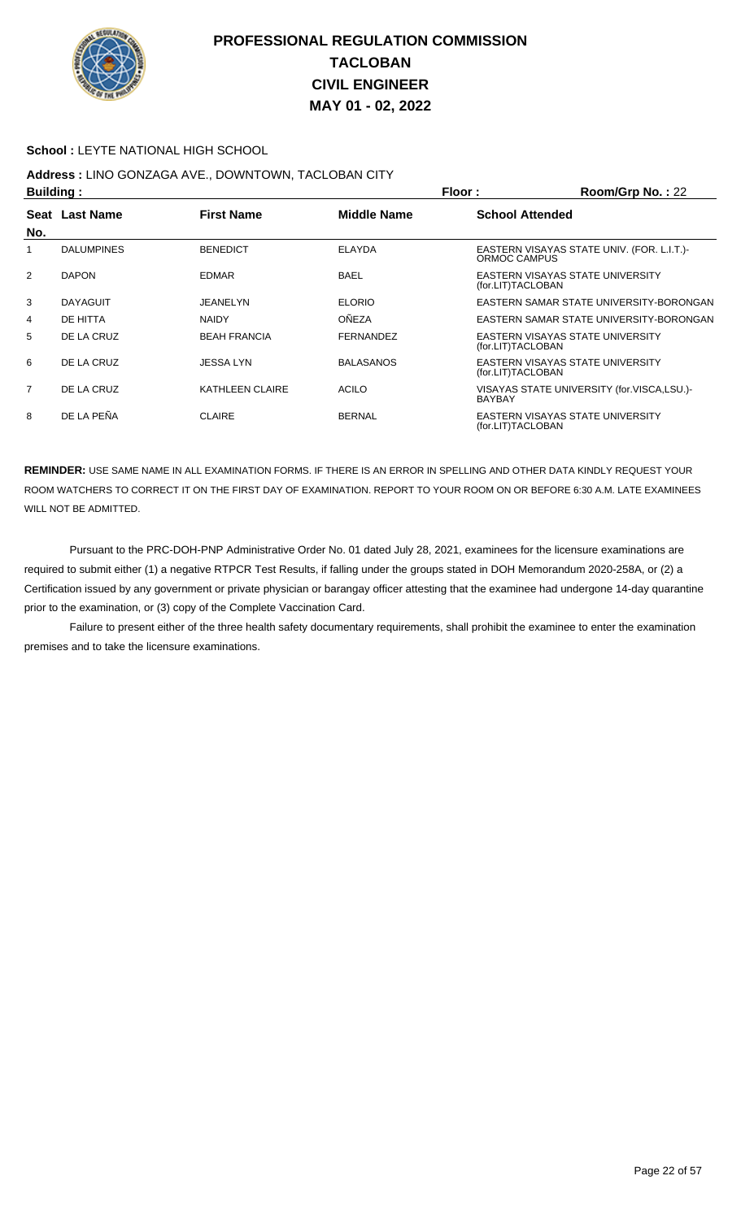

#### **School :** LEYTE NATIONAL HIGH SCHOOL

## **Address :** LINO GONZAGA AVE., DOWNTOWN, TACLOBAN CITY

| <b>Building:</b> |                   |                     | Floor:             | Room/Grp No.: 22       |                                            |
|------------------|-------------------|---------------------|--------------------|------------------------|--------------------------------------------|
|                  | Seat Last Name    | <b>First Name</b>   | <b>Middle Name</b> | <b>School Attended</b> |                                            |
| No.              |                   |                     |                    |                        |                                            |
|                  | <b>DALUMPINES</b> | <b>BENEDICT</b>     | <b>ELAYDA</b>      | ORMOC CAMPUS           | EASTERN VISAYAS STATE UNIV. (FOR. L.I.T.)  |
| 2                | <b>DAPON</b>      | <b>EDMAR</b>        | <b>BAEL</b>        | (for.LIT)TACLOBAN      | EASTERN VISAYAS STATE UNIVERSITY           |
| 3                | <b>DAYAGUIT</b>   | JEANELYN            | <b>ELORIO</b>      |                        | EASTERN SAMAR STATE UNIVERSITY-BORONGAN    |
| 4                | DE HITTA          | <b>NAIDY</b>        | OÑEZA              |                        | EASTERN SAMAR STATE UNIVERSITY-BORONGAN    |
| 5                | DE LA CRUZ        | <b>BEAH FRANCIA</b> | <b>FERNANDEZ</b>   | (for.LIT)TACLOBAN      | EASTERN VISAYAS STATE UNIVERSITY           |
| 6                | DE LA CRUZ        | JESSA LYN           | <b>BALASANOS</b>   | (for.LIT)TACLOBAN      | EASTERN VISAYAS STATE UNIVERSITY           |
| $\overline{7}$   | DE LA CRUZ        | KATHLEEN CLAIRE     | <b>ACILO</b>       | <b>BAYBAY</b>          | VISAYAS STATE UNIVERSITY (for.VISCA,LSU.)- |
| 8                | DE LA PEÑA        | <b>CLAIRE</b>       | <b>BERNAL</b>      | (for.LIT)TACLOBAN      | EASTERN VISAYAS STATE UNIVERSITY           |

**REMINDER:** USE SAME NAME IN ALL EXAMINATION FORMS. IF THERE IS AN ERROR IN SPELLING AND OTHER DATA KINDLY REQUEST YOUR ROOM WATCHERS TO CORRECT IT ON THE FIRST DAY OF EXAMINATION. REPORT TO YOUR ROOM ON OR BEFORE 6:30 A.M. LATE EXAMINEES WILL NOT BE ADMITTED.

 Pursuant to the PRC-DOH-PNP Administrative Order No. 01 dated July 28, 2021, examinees for the licensure examinations are required to submit either (1) a negative RTPCR Test Results, if falling under the groups stated in DOH Memorandum 2020-258A, or (2) a Certification issued by any government or private physician or barangay officer attesting that the examinee had undergone 14-day quarantine prior to the examination, or (3) copy of the Complete Vaccination Card.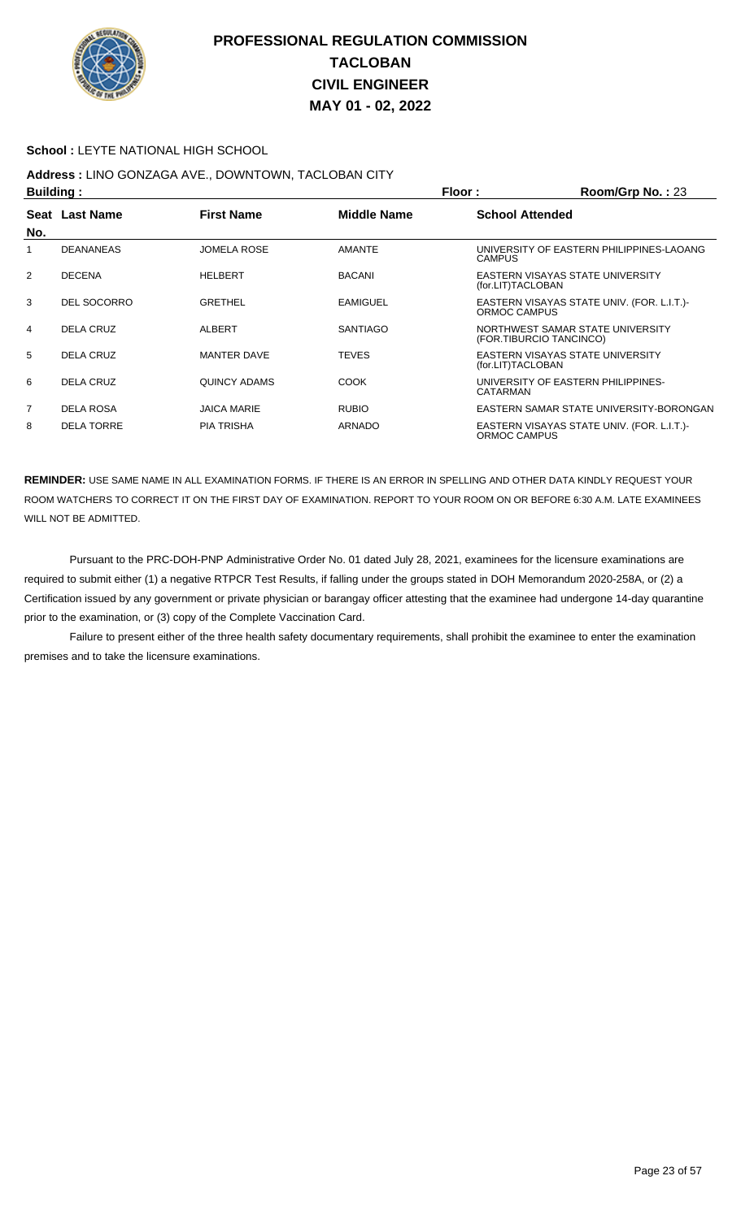

#### **School :** LEYTE NATIONAL HIGH SCHOOL

## **Address :** LINO GONZAGA AVE., DOWNTOWN, TACLOBAN CITY

| <b>Building:</b> |                   |                    |                    | Floor:                  | Room/Grp No.: 23                           |
|------------------|-------------------|--------------------|--------------------|-------------------------|--------------------------------------------|
|                  | Seat Last Name    | <b>First Name</b>  | <b>Middle Name</b> | <b>School Attended</b>  |                                            |
| No.              |                   |                    |                    |                         |                                            |
|                  | <b>DEANANEAS</b>  | <b>JOMELA ROSE</b> | <b>AMANTE</b>      | CAMPUS                  | UNIVERSITY OF EASTERN PHILIPPINES-LAOANG   |
| $\overline{2}$   | <b>DECENA</b>     | <b>HELBERT</b>     | <b>BACANI</b>      | (for.LIT)TACLOBAN       | EASTERN VISAYAS STATE UNIVERSITY           |
| 3                | DEL SOCORRO       | <b>GRETHEL</b>     | <b>EAMIGUEL</b>    | ORMOC CAMPUS            | EASTERN VISAYAS STATE UNIV. (FOR. L.I.T.)- |
| 4                | DELA CRUZ         | <b>ALBERT</b>      | <b>SANTIAGO</b>    | (FOR.TIBURCIO TANCINCO) | NORTHWEST SAMAR STATE UNIVERSITY           |
| 5                | DELA CRUZ         | <b>MANTER DAVE</b> | <b>TEVES</b>       | (for.LIT)TACLOBAN       | EASTERN VISAYAS STATE UNIVERSITY           |
| 6                | DELA CRUZ         | QUINCY ADAMS       | <b>COOK</b>        | CATARMAN                | UNIVERSITY OF EASTERN PHILIPPINES-         |
| $\overline{7}$   | <b>DELA ROSA</b>  | <b>JAICA MARIE</b> | <b>RUBIO</b>       |                         | EASTERN SAMAR STATE UNIVERSITY-BORONGAN    |
| 8                | <b>DELA TORRE</b> | <b>PIA TRISHA</b>  | <b>ARNADO</b>      | ORMOC CAMPUS            | EASTERN VISAYAS STATE UNIV. (FOR. L.I.T.)- |

**REMINDER:** USE SAME NAME IN ALL EXAMINATION FORMS. IF THERE IS AN ERROR IN SPELLING AND OTHER DATA KINDLY REQUEST YOUR ROOM WATCHERS TO CORRECT IT ON THE FIRST DAY OF EXAMINATION. REPORT TO YOUR ROOM ON OR BEFORE 6:30 A.M. LATE EXAMINEES WILL NOT BE ADMITTED.

 Pursuant to the PRC-DOH-PNP Administrative Order No. 01 dated July 28, 2021, examinees for the licensure examinations are required to submit either (1) a negative RTPCR Test Results, if falling under the groups stated in DOH Memorandum 2020-258A, or (2) a Certification issued by any government or private physician or barangay officer attesting that the examinee had undergone 14-day quarantine prior to the examination, or (3) copy of the Complete Vaccination Card.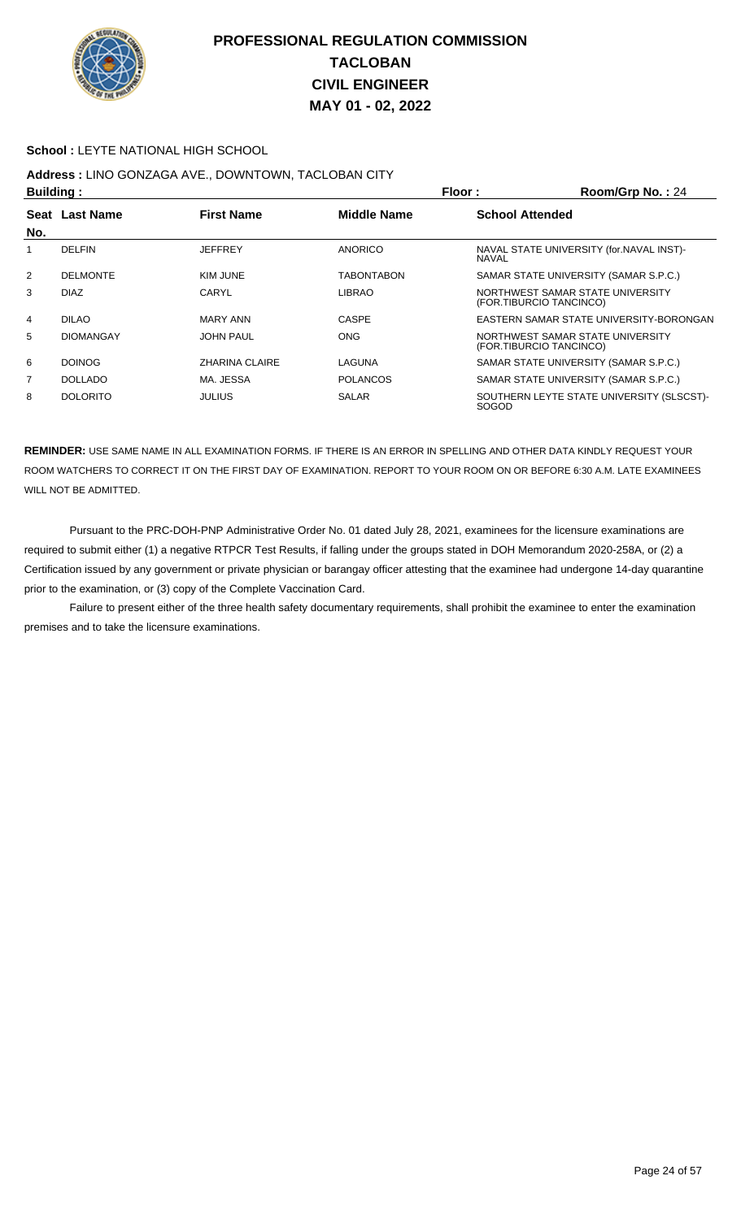

#### **School :** LEYTE NATIONAL HIGH SCHOOL

# **Address :** LINO GONZAGA AVE., DOWNTOWN, TACLOBAN CITY

| <b>Building:</b> |                  |                       |                   | Floor:                 | Room/Grp No.: 24                                            |
|------------------|------------------|-----------------------|-------------------|------------------------|-------------------------------------------------------------|
|                  | Seat Last Name   | <b>First Name</b>     | Middle Name       | <b>School Attended</b> |                                                             |
| No.              |                  |                       |                   |                        |                                                             |
|                  | <b>DELFIN</b>    | <b>JEFFREY</b>        | <b>ANORICO</b>    | NAVAL                  | NAVAL STATE UNIVERSITY (for. NAVAL INST)-                   |
| 2                | <b>DELMONTE</b>  | KIM JUNE              | <b>TABONTABON</b> |                        | SAMAR STATE UNIVERSITY (SAMAR S.P.C.)                       |
| 3                | <b>DIAZ</b>      | CARYL                 | <b>LIBRAO</b>     |                        | NORTHWEST SAMAR STATE UNIVERSITY<br>(FOR.TIBURCIO TANCINCO) |
| $\overline{4}$   | <b>DILAO</b>     | <b>MARY ANN</b>       | <b>CASPE</b>      |                        | EASTERN SAMAR STATE UNIVERSITY-BORONGAN                     |
| 5                | <b>DIOMANGAY</b> | <b>JOHN PAUL</b>      | <b>ONG</b>        |                        | NORTHWEST SAMAR STATE UNIVERSITY<br>(FOR.TIBURCIO TANCINCO) |
| 6                | <b>DOINOG</b>    | <b>ZHARINA CLAIRE</b> | LAGUNA            |                        | SAMAR STATE UNIVERSITY (SAMAR S.P.C.)                       |
| 7                | <b>DOLLADO</b>   | MA. JESSA             | <b>POLANCOS</b>   |                        | SAMAR STATE UNIVERSITY (SAMAR S.P.C.)                       |
| 8                | <b>DOLORITO</b>  | <b>JULIUS</b>         | <b>SALAR</b>      | <b>SOGOD</b>           | SOUTHERN LEYTE STATE UNIVERSITY (SLSCST)-                   |

**REMINDER:** USE SAME NAME IN ALL EXAMINATION FORMS. IF THERE IS AN ERROR IN SPELLING AND OTHER DATA KINDLY REQUEST YOUR ROOM WATCHERS TO CORRECT IT ON THE FIRST DAY OF EXAMINATION. REPORT TO YOUR ROOM ON OR BEFORE 6:30 A.M. LATE EXAMINEES WILL NOT BE ADMITTED.

 Pursuant to the PRC-DOH-PNP Administrative Order No. 01 dated July 28, 2021, examinees for the licensure examinations are required to submit either (1) a negative RTPCR Test Results, if falling under the groups stated in DOH Memorandum 2020-258A, or (2) a Certification issued by any government or private physician or barangay officer attesting that the examinee had undergone 14-day quarantine prior to the examination, or (3) copy of the Complete Vaccination Card.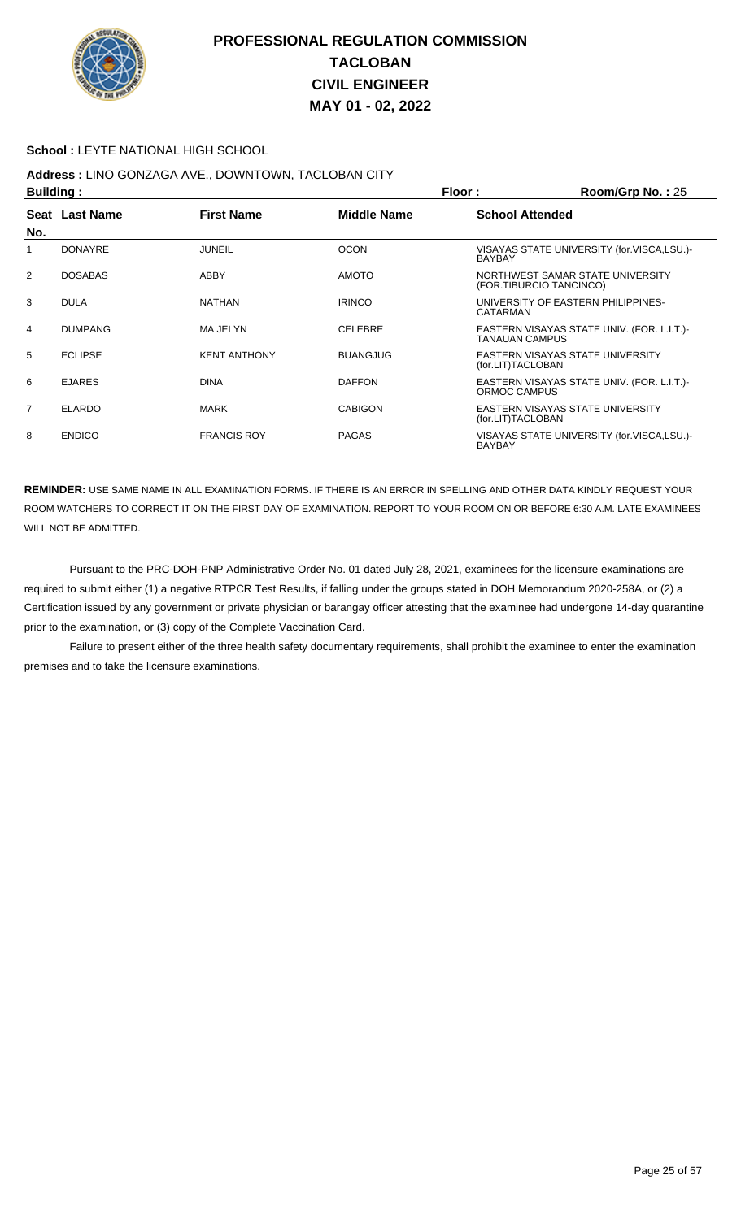

#### **School :** LEYTE NATIONAL HIGH SCHOOL

## **Address :** LINO GONZAGA AVE., DOWNTOWN, TACLOBAN CITY

| <b>Building:</b> |                |                     | Floor:          | Room/Grp No.: 25                                                    |
|------------------|----------------|---------------------|-----------------|---------------------------------------------------------------------|
| No.              | Seat Last Name | <b>First Name</b>   | Middle Name     | <b>School Attended</b>                                              |
|                  | <b>DONAYRE</b> | JUNEIL              | <b>OCON</b>     | VISAYAS STATE UNIVERSITY (for.VISCA,LSU.)-<br>BAYBAY                |
| 2                | <b>DOSABAS</b> | ABBY                | <b>AMOTO</b>    | NORTHWEST SAMAR STATE UNIVERSITY<br>(FOR.TIBURCIO TANCINCO)         |
| 3                | <b>DULA</b>    | <b>NATHAN</b>       | <b>IRINCO</b>   | UNIVERSITY OF EASTERN PHILIPPINES-<br>CATARMAN                      |
| 4                | <b>DUMPANG</b> | MA JELYN            | <b>CELEBRE</b>  | EASTERN VISAYAS STATE UNIV. (FOR. L.I.T.)-<br><b>TANAUAN CAMPUS</b> |
| 5                | <b>ECLIPSE</b> | <b>KENT ANTHONY</b> | <b>BUANGJUG</b> | EASTERN VISAYAS STATE UNIVERSITY<br>(for.LIT)TACLOBAN               |
| 6                | <b>EJARES</b>  | <b>DINA</b>         | <b>DAFFON</b>   | EASTERN VISAYAS STATE UNIV. (FOR. L.I.T.)<br>ORMOC CAMPUS           |
| $\overline{7}$   | <b>ELARDO</b>  | <b>MARK</b>         | <b>CABIGON</b>  | EASTERN VISAYAS STATE UNIVERSITY<br>(for.LIT)TACLOBAN               |
| 8                | <b>ENDICO</b>  | <b>FRANCIS ROY</b>  | <b>PAGAS</b>    | VISAYAS STATE UNIVERSITY (for.VISCA,LSU.)-<br><b>BAYBAY</b>         |

**REMINDER:** USE SAME NAME IN ALL EXAMINATION FORMS. IF THERE IS AN ERROR IN SPELLING AND OTHER DATA KINDLY REQUEST YOUR ROOM WATCHERS TO CORRECT IT ON THE FIRST DAY OF EXAMINATION. REPORT TO YOUR ROOM ON OR BEFORE 6:30 A.M. LATE EXAMINEES WILL NOT BE ADMITTED.

 Pursuant to the PRC-DOH-PNP Administrative Order No. 01 dated July 28, 2021, examinees for the licensure examinations are required to submit either (1) a negative RTPCR Test Results, if falling under the groups stated in DOH Memorandum 2020-258A, or (2) a Certification issued by any government or private physician or barangay officer attesting that the examinee had undergone 14-day quarantine prior to the examination, or (3) copy of the Complete Vaccination Card.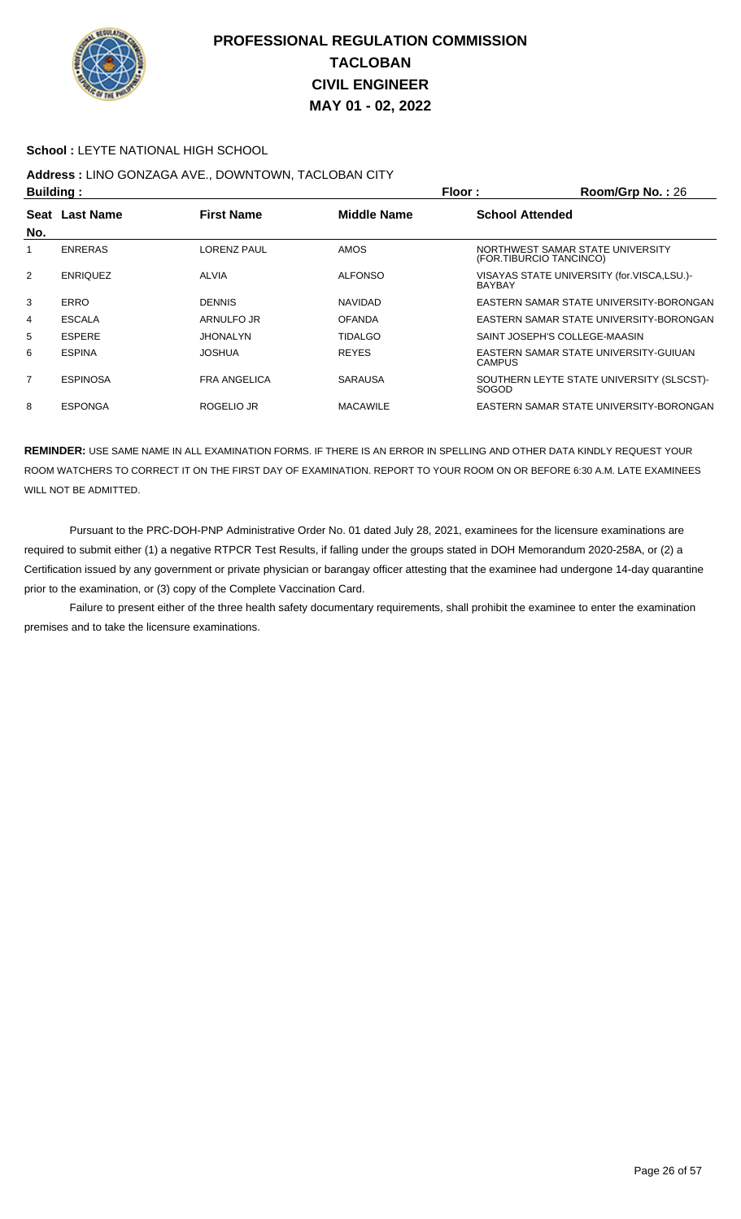

#### **School :** LEYTE NATIONAL HIGH SCHOOL

## **Address :** LINO GONZAGA AVE., DOWNTOWN, TACLOBAN CITY

|                | <b>Building:</b> |                     |                    | Floor:<br>Room/Grp No.: 26 |                                                             |  |
|----------------|------------------|---------------------|--------------------|----------------------------|-------------------------------------------------------------|--|
|                | Seat Last Name   | <b>First Name</b>   | <b>Middle Name</b> | <b>School Attended</b>     |                                                             |  |
| No.            |                  |                     |                    |                            |                                                             |  |
|                | <b>ENRERAS</b>   | <b>LORENZ PAUL</b>  | <b>AMOS</b>        |                            | NORTHWEST SAMAR STATE UNIVERSITY<br>(FOR.TIBURCIO TANCINCO) |  |
| 2              | <b>ENRIQUEZ</b>  | <b>ALVIA</b>        | <b>ALFONSO</b>     | <b>BAYBAY</b>              | VISAYAS STATE UNIVERSITY (for.VISCA,LSU.)-                  |  |
| 3              | <b>ERRO</b>      | <b>DENNIS</b>       | <b>NAVIDAD</b>     |                            | EASTERN SAMAR STATE UNIVERSITY-BORONGAN                     |  |
| 4              | <b>ESCALA</b>    | ARNULFO JR          | <b>OFANDA</b>      |                            | EASTERN SAMAR STATE UNIVERSITY-BORONGAN                     |  |
| 5              | <b>ESPERE</b>    | JHONALYN            | <b>TIDALGO</b>     |                            | SAINT JOSEPH'S COLLEGE-MAASIN                               |  |
| 6              | <b>ESPINA</b>    | <b>JOSHUA</b>       | <b>REYES</b>       | <b>CAMPUS</b>              | EASTERN SAMAR STATE UNIVERSITY-GUIUAN                       |  |
| $\overline{7}$ | <b>ESPINOSA</b>  | <b>FRA ANGELICA</b> | <b>SARAUSA</b>     | <b>SOGOD</b>               | SOUTHERN LEYTE STATE UNIVERSITY (SLSCST)-                   |  |
| 8              | <b>ESPONGA</b>   | ROGELIO JR          | <b>MACAWILE</b>    |                            | EASTERN SAMAR STATE UNIVERSITY-BORONGAN                     |  |

**REMINDER:** USE SAME NAME IN ALL EXAMINATION FORMS. IF THERE IS AN ERROR IN SPELLING AND OTHER DATA KINDLY REQUEST YOUR ROOM WATCHERS TO CORRECT IT ON THE FIRST DAY OF EXAMINATION. REPORT TO YOUR ROOM ON OR BEFORE 6:30 A.M. LATE EXAMINEES WILL NOT BE ADMITTED.

 Pursuant to the PRC-DOH-PNP Administrative Order No. 01 dated July 28, 2021, examinees for the licensure examinations are required to submit either (1) a negative RTPCR Test Results, if falling under the groups stated in DOH Memorandum 2020-258A, or (2) a Certification issued by any government or private physician or barangay officer attesting that the examinee had undergone 14-day quarantine prior to the examination, or (3) copy of the Complete Vaccination Card.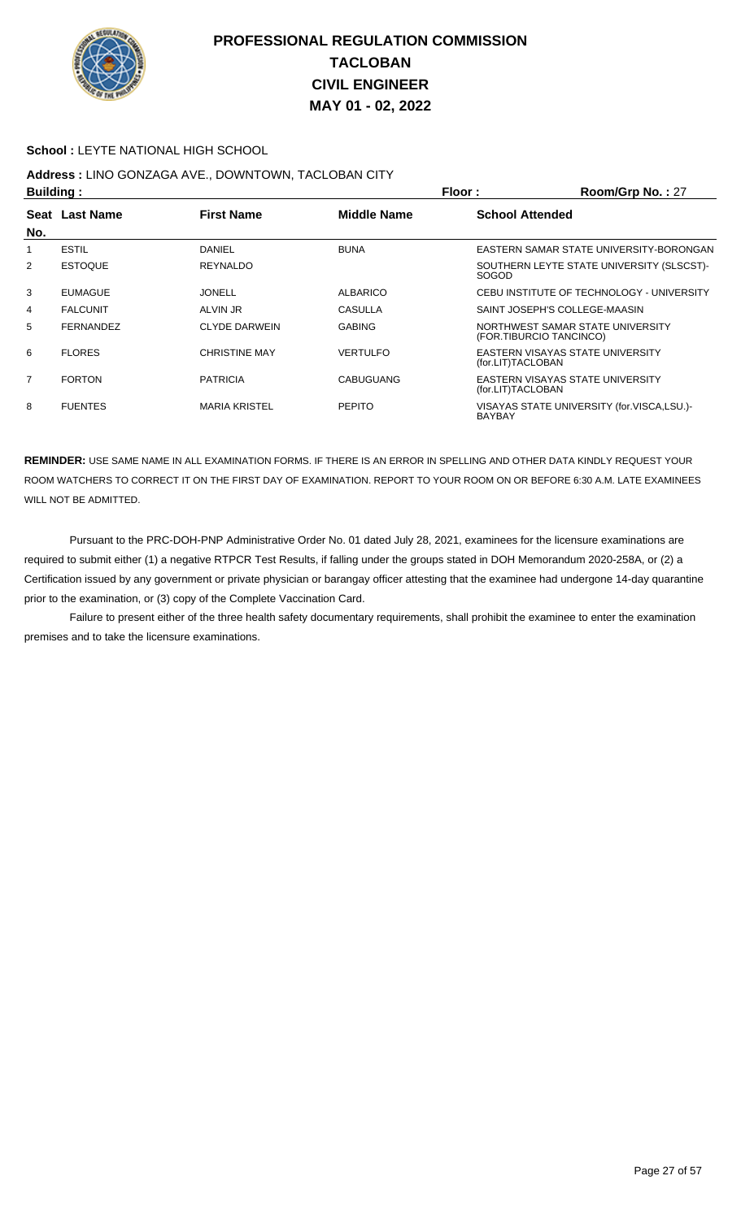

#### **School :** LEYTE NATIONAL HIGH SCHOOL

# **Address :** LINO GONZAGA AVE., DOWNTOWN, TACLOBAN CITY

| <b>Building:</b> |                  |                      | Floor:             | Room/Grp No.: 27                                            |
|------------------|------------------|----------------------|--------------------|-------------------------------------------------------------|
| Seat             | <b>Last Name</b> | <b>First Name</b>    | <b>Middle Name</b> | <b>School Attended</b>                                      |
| No.              |                  |                      |                    |                                                             |
|                  | <b>ESTIL</b>     | DANIEL               | <b>BUNA</b>        | EASTERN SAMAR STATE UNIVERSITY-BORONGAN                     |
| 2                | <b>ESTOQUE</b>   | <b>REYNALDO</b>      |                    | SOUTHERN LEYTE STATE UNIVERSITY (SLSCST)-<br><b>SOGOD</b>   |
| 3                | <b>EUMAGUE</b>   | <b>JONELL</b>        | <b>ALBARICO</b>    | CEBU INSTITUTE OF TECHNOLOGY - UNIVERSITY                   |
| 4                | <b>FALCUNIT</b>  | ALVIN JR             | <b>CASULLA</b>     | SAINT JOSEPH'S COLLEGE-MAASIN                               |
| 5                | FERNANDEZ        | <b>CLYDE DARWEIN</b> | <b>GABING</b>      | NORTHWEST SAMAR STATE UNIVERSITY<br>(FOR.TIBURCIO TANCINCO) |
| 6                | <b>FLORES</b>    | <b>CHRISTINE MAY</b> | <b>VERTULFO</b>    | EASTERN VISAYAS STATE UNIVERSITY<br>(for.LIT)TACLOBAN       |
| $\overline{7}$   | <b>FORTON</b>    | <b>PATRICIA</b>      | CABUGUANG          | EASTERN VISAYAS STATE UNIVERSITY<br>(for.LIT)TACLOBAN       |
| 8                | <b>FUENTES</b>   | <b>MARIA KRISTEL</b> | <b>PEPITO</b>      | VISAYAS STATE UNIVERSITY (for.VISCA,LSU.)-<br><b>BAYBAY</b> |

**REMINDER:** USE SAME NAME IN ALL EXAMINATION FORMS. IF THERE IS AN ERROR IN SPELLING AND OTHER DATA KINDLY REQUEST YOUR ROOM WATCHERS TO CORRECT IT ON THE FIRST DAY OF EXAMINATION. REPORT TO YOUR ROOM ON OR BEFORE 6:30 A.M. LATE EXAMINEES WILL NOT BE ADMITTED.

 Pursuant to the PRC-DOH-PNP Administrative Order No. 01 dated July 28, 2021, examinees for the licensure examinations are required to submit either (1) a negative RTPCR Test Results, if falling under the groups stated in DOH Memorandum 2020-258A, or (2) a Certification issued by any government or private physician or barangay officer attesting that the examinee had undergone 14-day quarantine prior to the examination, or (3) copy of the Complete Vaccination Card.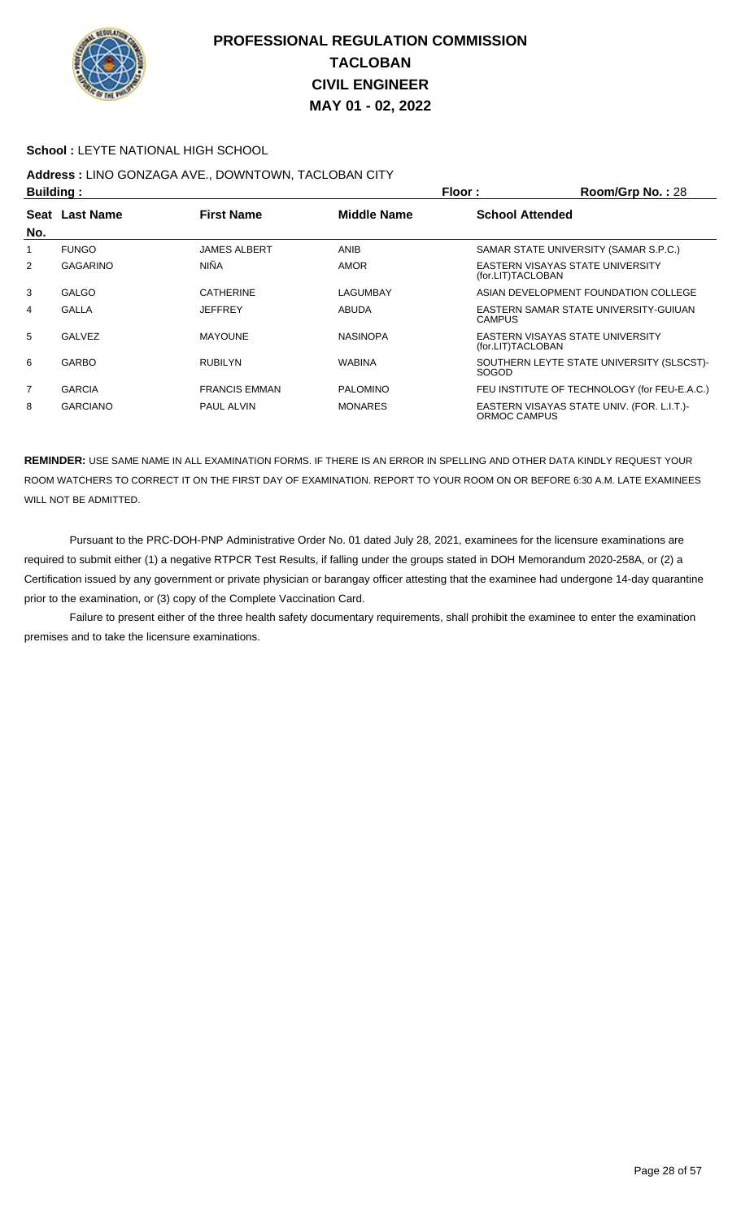

#### **School :** LEYTE NATIONAL HIGH SCHOOL

# **Address :** LINO GONZAGA AVE., DOWNTOWN, TACLOBAN CITY

|                | <b>Building:</b> |                      |                    | Floor:                 | Room/Grp No.: 28                             |
|----------------|------------------|----------------------|--------------------|------------------------|----------------------------------------------|
|                | Seat Last Name   | <b>First Name</b>    | <b>Middle Name</b> | <b>School Attended</b> |                                              |
| No.            |                  |                      |                    |                        |                                              |
|                | <b>FUNGO</b>     | <b>JAMES ALBERT</b>  | <b>ANIB</b>        |                        | SAMAR STATE UNIVERSITY (SAMAR S.P.C.)        |
| 2              | <b>GAGARINO</b>  | <b>NIÑA</b>          | <b>AMOR</b>        | (for.LIT)TACLOBAN      | EASTERN VISAYAS STATE UNIVERSITY             |
| 3              | <b>GALGO</b>     | <b>CATHERINE</b>     | LAGUMBAY           |                        | ASIAN DEVELOPMENT FOUNDATION COLLEGE         |
| 4              | <b>GALLA</b>     | <b>JEFFREY</b>       | ABUDA              | <b>CAMPUS</b>          | EASTERN SAMAR STATE UNIVERSITY-GUIUAN        |
| 5              | GALVEZ           | <b>MAYOUNE</b>       | <b>NASINOPA</b>    | (for.LIT)TACLOBAN      | EASTERN VISAYAS STATE UNIVERSITY             |
| 6              | <b>GARBO</b>     | <b>RUBILYN</b>       | <b>WABINA</b>      | SOGOD                  | SOUTHERN LEYTE STATE UNIVERSITY (SLSCST)-    |
| $\overline{7}$ | <b>GARCIA</b>    | <b>FRANCIS EMMAN</b> | <b>PALOMINO</b>    |                        | FEU INSTITUTE OF TECHNOLOGY (for FEU-E.A.C.) |
| 8              | <b>GARCIANO</b>  | <b>PAUL ALVIN</b>    | <b>MONARES</b>     | ORMOC CAMPUS           | EASTERN VISAYAS STATE UNIV. (FOR. L.I.T.)-   |

**REMINDER:** USE SAME NAME IN ALL EXAMINATION FORMS. IF THERE IS AN ERROR IN SPELLING AND OTHER DATA KINDLY REQUEST YOUR ROOM WATCHERS TO CORRECT IT ON THE FIRST DAY OF EXAMINATION. REPORT TO YOUR ROOM ON OR BEFORE 6:30 A.M. LATE EXAMINEES WILL NOT BE ADMITTED.

 Pursuant to the PRC-DOH-PNP Administrative Order No. 01 dated July 28, 2021, examinees for the licensure examinations are required to submit either (1) a negative RTPCR Test Results, if falling under the groups stated in DOH Memorandum 2020-258A, or (2) a Certification issued by any government or private physician or barangay officer attesting that the examinee had undergone 14-day quarantine prior to the examination, or (3) copy of the Complete Vaccination Card.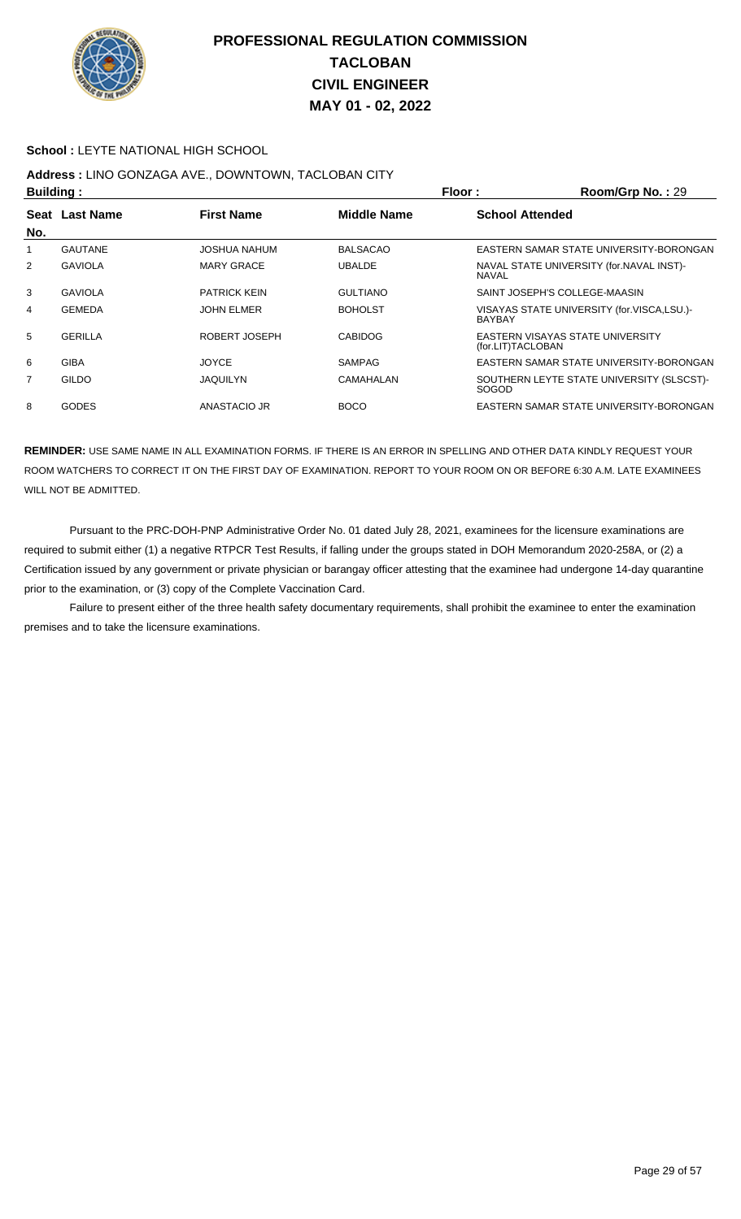

#### **School :** LEYTE NATIONAL HIGH SCHOOL

# **Address :** LINO GONZAGA AVE., DOWNTOWN, TACLOBAN CITY

| <b>Building:</b> |                |                     | Floor:<br>Room/Grp No.: 29 |                        |                                            |
|------------------|----------------|---------------------|----------------------------|------------------------|--------------------------------------------|
|                  | Seat Last Name | <b>First Name</b>   | <b>Middle Name</b>         | <b>School Attended</b> |                                            |
| No.              |                |                     |                            |                        |                                            |
|                  | <b>GAUTANE</b> | JOSHUA NAHUM        | <b>BALSACAO</b>            |                        | EASTERN SAMAR STATE UNIVERSITY-BORONGAN    |
| 2                | <b>GAVIOLA</b> | <b>MARY GRACE</b>   | <b>UBALDE</b>              | <b>NAVAL</b>           | NAVAL STATE UNIVERSITY (for. NAVAL INST)-  |
| 3                | <b>GAVIOLA</b> | <b>PATRICK KEIN</b> | <b>GULTIANO</b>            |                        | SAINT JOSEPH'S COLLEGE-MAASIN              |
| 4                | <b>GEMEDA</b>  | <b>JOHN ELMER</b>   | <b>BOHOLST</b>             | <b>BAYBAY</b>          | VISAYAS STATE UNIVERSITY (for.VISCA,LSU.)- |
| 5                | <b>GERILLA</b> | ROBERT JOSEPH       | <b>CABIDOG</b>             | (for.LIT)TACLOBAN      | EASTERN VISAYAS STATE UNIVERSITY           |
| 6                | <b>GIBA</b>    | <b>JOYCE</b>        | <b>SAMPAG</b>              |                        | EASTERN SAMAR STATE UNIVERSITY-BORONGAN    |
| $\overline{7}$   | GILDO          | <b>JAQUILYN</b>     | CAMAHALAN                  | <b>SOGOD</b>           | SOUTHERN LEYTE STATE UNIVERSITY (SLSCST)-  |
| 8                | <b>GODES</b>   | ANASTACIO JR        | <b>BOCO</b>                |                        | EASTERN SAMAR STATE UNIVERSITY-BORONGAN    |

**REMINDER:** USE SAME NAME IN ALL EXAMINATION FORMS. IF THERE IS AN ERROR IN SPELLING AND OTHER DATA KINDLY REQUEST YOUR ROOM WATCHERS TO CORRECT IT ON THE FIRST DAY OF EXAMINATION. REPORT TO YOUR ROOM ON OR BEFORE 6:30 A.M. LATE EXAMINEES WILL NOT BE ADMITTED.

 Pursuant to the PRC-DOH-PNP Administrative Order No. 01 dated July 28, 2021, examinees for the licensure examinations are required to submit either (1) a negative RTPCR Test Results, if falling under the groups stated in DOH Memorandum 2020-258A, or (2) a Certification issued by any government or private physician or barangay officer attesting that the examinee had undergone 14-day quarantine prior to the examination, or (3) copy of the Complete Vaccination Card.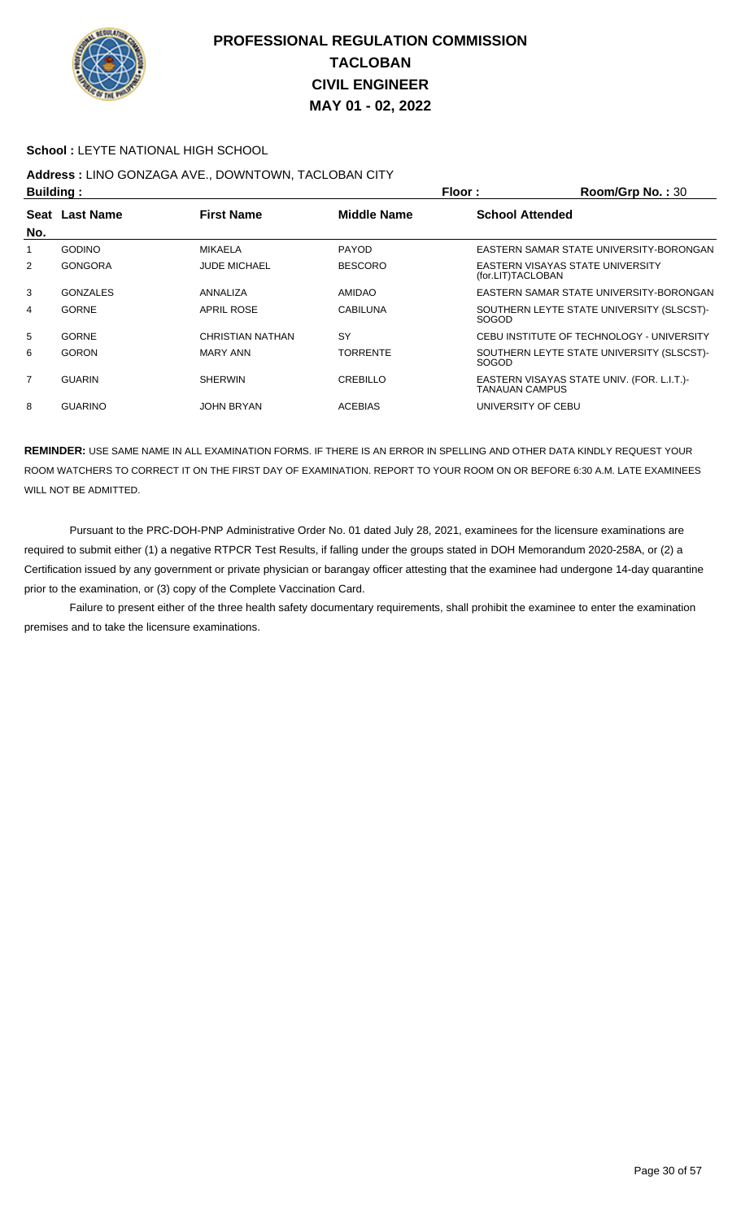

#### **School :** LEYTE NATIONAL HIGH SCHOOL

# **Address :** LINO GONZAGA AVE., DOWNTOWN, TACLOBAN CITY

|     | <b>Building:</b> |                     |                    | Floor:<br>Room/Grp No.: 30 |                                           |  |
|-----|------------------|---------------------|--------------------|----------------------------|-------------------------------------------|--|
|     | Seat Last Name   | <b>First Name</b>   | <b>Middle Name</b> | <b>School Attended</b>     |                                           |  |
| No. |                  |                     |                    |                            |                                           |  |
|     | <b>GODINO</b>    | <b>MIKAELA</b>      | <b>PAYOD</b>       |                            | EASTERN SAMAR STATE UNIVERSITY-BORONGAN   |  |
| 2   | <b>GONGORA</b>   | <b>JUDE MICHAEL</b> | <b>BESCORO</b>     | (for.LIT)TACLOBAN          | EASTERN VISAYAS STATE UNIVERSITY          |  |
| 3   | <b>GONZALES</b>  | ANNALIZA            | <b>AMIDAO</b>      |                            | EASTERN SAMAR STATE UNIVERSITY-BORONGAN   |  |
| 4   | <b>GORNE</b>     | <b>APRIL ROSE</b>   | <b>CABILUNA</b>    | <b>SOGOD</b>               | SOUTHERN LEYTE STATE UNIVERSITY (SLSCST)- |  |
| 5   | <b>GORNE</b>     | CHRISTIAN NATHAN    | SY                 |                            | CEBU INSTITUTE OF TECHNOLOGY - UNIVERSITY |  |
| 6   | <b>GORON</b>     | <b>MARY ANN</b>     | <b>TORRENTE</b>    | <b>SOGOD</b>               | SOUTHERN LEYTE STATE UNIVERSITY (SLSCST)- |  |
| 7   | <b>GUARIN</b>    | <b>SHERWIN</b>      | CREBILLO           | TANAUAN CAMPUS             | EASTERN VISAYAS STATE UNIV. (FOR. L.I.T.) |  |
| 8   | <b>GUARINO</b>   | JOHN BRYAN          | <b>ACEBIAS</b>     | UNIVERSITY OF CEBU         |                                           |  |

**REMINDER:** USE SAME NAME IN ALL EXAMINATION FORMS. IF THERE IS AN ERROR IN SPELLING AND OTHER DATA KINDLY REQUEST YOUR ROOM WATCHERS TO CORRECT IT ON THE FIRST DAY OF EXAMINATION. REPORT TO YOUR ROOM ON OR BEFORE 6:30 A.M. LATE EXAMINEES WILL NOT BE ADMITTED.

 Pursuant to the PRC-DOH-PNP Administrative Order No. 01 dated July 28, 2021, examinees for the licensure examinations are required to submit either (1) a negative RTPCR Test Results, if falling under the groups stated in DOH Memorandum 2020-258A, or (2) a Certification issued by any government or private physician or barangay officer attesting that the examinee had undergone 14-day quarantine prior to the examination, or (3) copy of the Complete Vaccination Card.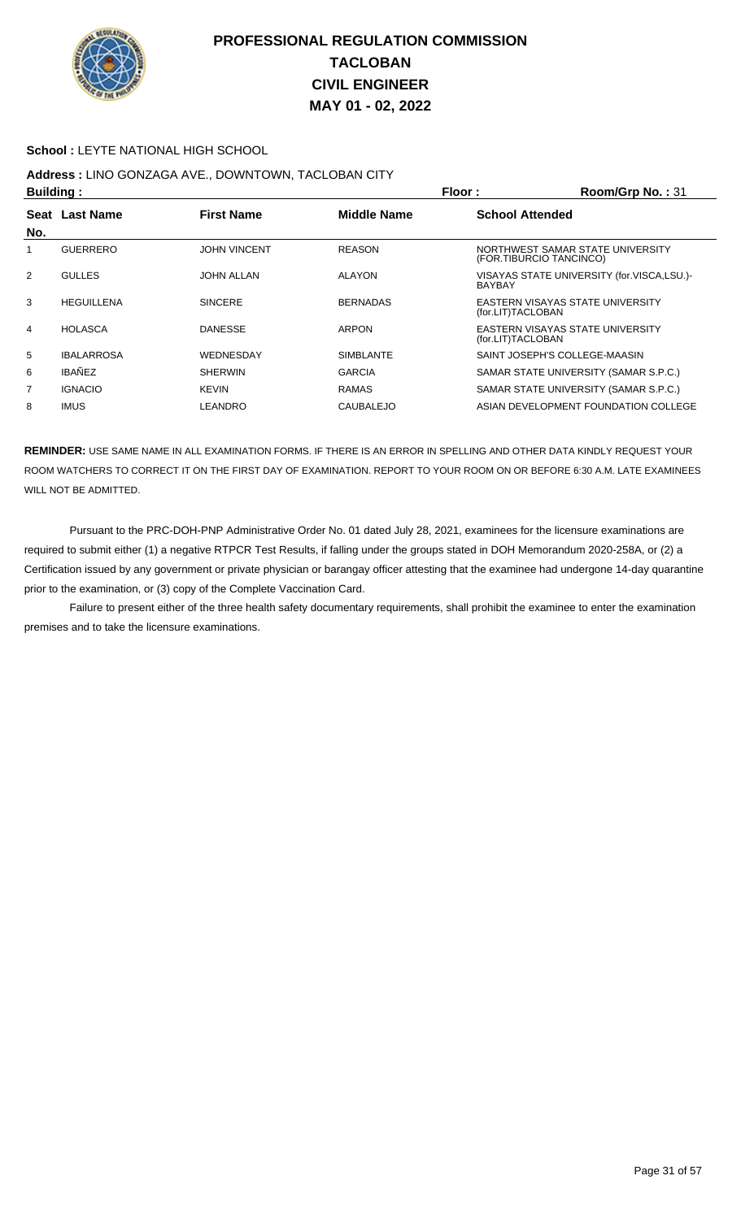

#### **School :** LEYTE NATIONAL HIGH SCHOOL

## **Address :** LINO GONZAGA AVE., DOWNTOWN, TACLOBAN CITY

| Building:   |                   |                     | Floor:             | Room/Grp No.: 31                                            |
|-------------|-------------------|---------------------|--------------------|-------------------------------------------------------------|
| <b>Seat</b> | <b>Last Name</b>  | <b>First Name</b>   | <b>Middle Name</b> | <b>School Attended</b>                                      |
| No.         |                   |                     |                    |                                                             |
|             | <b>GUERRERO</b>   | <b>JOHN VINCENT</b> | <b>REASON</b>      | NORTHWEST SAMAR STATE UNIVERSITY<br>(FOR.TIBURCIO TANCINCO) |
| 2           | <b>GULLES</b>     | <b>JOHN ALLAN</b>   | <b>ALAYON</b>      | VISAYAS STATE UNIVERSITY (for.VISCA,LSU.)-<br><b>BAYBAY</b> |
| 3           | <b>HEGUILLENA</b> | <b>SINCERE</b>      | <b>BERNADAS</b>    | EASTERN VISAYAS STATE UNIVERSITY<br>(for.LIT)TACLOBAN       |
| 4           | <b>HOLASCA</b>    | <b>DANESSE</b>      | <b>ARPON</b>       | EASTERN VISAYAS STATE UNIVERSITY<br>(for.LIT)TACLOBAN       |
| 5           | <b>IBALARROSA</b> | WEDNESDAY           | <b>SIMBLANTE</b>   | SAINT JOSEPH'S COLLEGE-MAASIN                               |
| 6           | <b>IBAÑEZ</b>     | <b>SHERWIN</b>      | <b>GARCIA</b>      | SAMAR STATE UNIVERSITY (SAMAR S.P.C.)                       |
| 7           | <b>IGNACIO</b>    | <b>KEVIN</b>        | <b>RAMAS</b>       | SAMAR STATE UNIVERSITY (SAMAR S.P.C.)                       |
| 8           | <b>IMUS</b>       | LEANDRO             | <b>CAUBALEJO</b>   | ASIAN DEVELOPMENT FOUNDATION COLLEGE                        |

**REMINDER:** USE SAME NAME IN ALL EXAMINATION FORMS. IF THERE IS AN ERROR IN SPELLING AND OTHER DATA KINDLY REQUEST YOUR ROOM WATCHERS TO CORRECT IT ON THE FIRST DAY OF EXAMINATION. REPORT TO YOUR ROOM ON OR BEFORE 6:30 A.M. LATE EXAMINEES WILL NOT BE ADMITTED.

 Pursuant to the PRC-DOH-PNP Administrative Order No. 01 dated July 28, 2021, examinees for the licensure examinations are required to submit either (1) a negative RTPCR Test Results, if falling under the groups stated in DOH Memorandum 2020-258A, or (2) a Certification issued by any government or private physician or barangay officer attesting that the examinee had undergone 14-day quarantine prior to the examination, or (3) copy of the Complete Vaccination Card.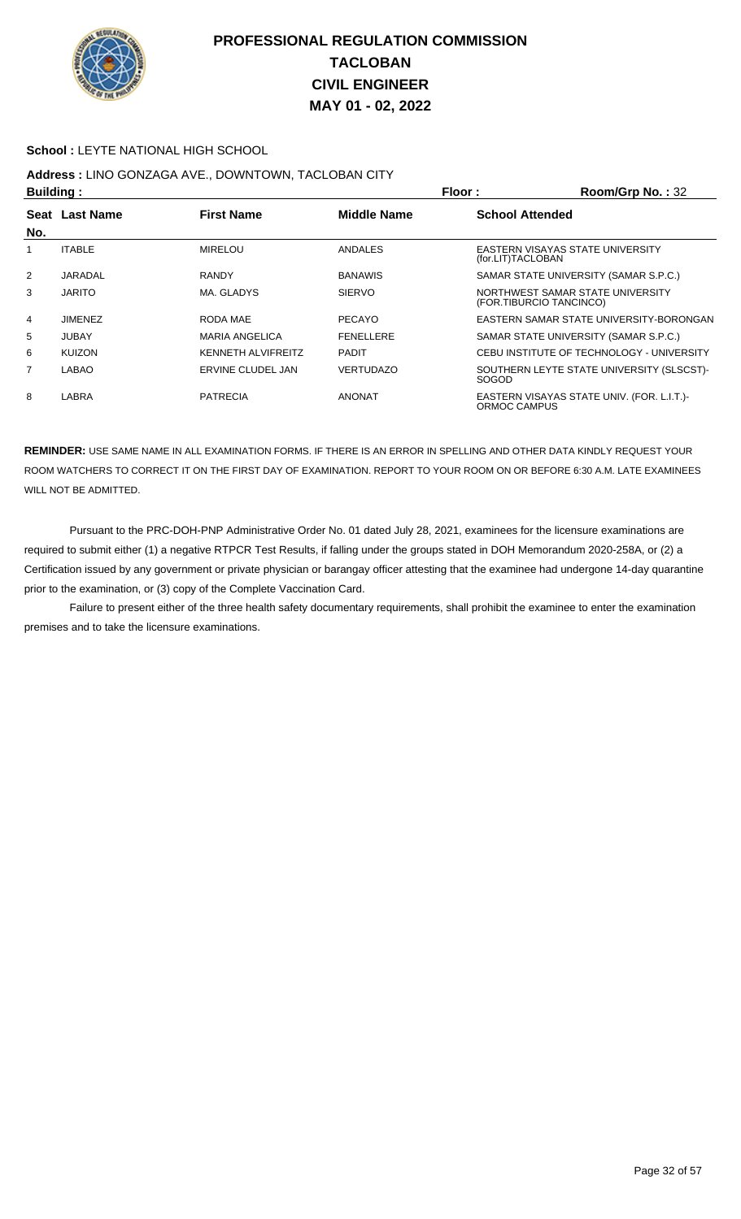

#### **School :** LEYTE NATIONAL HIGH SCHOOL

# **Address :** LINO GONZAGA AVE., DOWNTOWN, TACLOBAN CITY

| <b>Building:</b> |                |                           | Floor:<br>Room/Grp No.: 32 |                        |                                                             |
|------------------|----------------|---------------------------|----------------------------|------------------------|-------------------------------------------------------------|
|                  | Seat Last Name | <b>First Name</b>         | <b>Middle Name</b>         | <b>School Attended</b> |                                                             |
| No.              |                |                           |                            |                        |                                                             |
|                  | <b>ITABLE</b>  | <b>MIRELOU</b>            | ANDALES                    | (for.LIT)TACLOBAN      | EASTERN VISAYAS STATE UNIVERSITY                            |
| 2                | JARADAL        | <b>RANDY</b>              | <b>BANAWIS</b>             |                        | SAMAR STATE UNIVERSITY (SAMAR S.P.C.)                       |
| 3                | <b>JARITO</b>  | MA. GLADYS                | <b>SIERVO</b>              |                        | NORTHWEST SAMAR STATE UNIVERSITY<br>(FOR.TIBURCIO TANCINCO) |
| 4                | <b>JIMENEZ</b> | RODA MAE                  | <b>PECAYO</b>              |                        | EASTERN SAMAR STATE UNIVERSITY-BORONGAN                     |
| 5                | <b>JUBAY</b>   | <b>MARIA ANGELICA</b>     | <b>FENELLERE</b>           |                        | SAMAR STATE UNIVERSITY (SAMAR S.P.C.)                       |
| 6                | <b>KUIZON</b>  | <b>KENNETH ALVIFREITZ</b> | <b>PADIT</b>               |                        | CEBU INSTITUTE OF TECHNOLOGY - UNIVERSITY                   |
| $\overline{7}$   | LABAO          | ERVINE CLUDEL JAN         | <b>VERTUDAZO</b>           | <b>SOGOD</b>           | SOUTHERN LEYTE STATE UNIVERSITY (SLSCST)-                   |
| 8                | LABRA          | <b>PATRECIA</b>           | <b>ANONAT</b>              | ORMOC CAMPUS           | EASTERN VISAYAS STATE UNIV. (FOR. L.I.T.)-                  |

**REMINDER:** USE SAME NAME IN ALL EXAMINATION FORMS. IF THERE IS AN ERROR IN SPELLING AND OTHER DATA KINDLY REQUEST YOUR ROOM WATCHERS TO CORRECT IT ON THE FIRST DAY OF EXAMINATION. REPORT TO YOUR ROOM ON OR BEFORE 6:30 A.M. LATE EXAMINEES WILL NOT BE ADMITTED.

 Pursuant to the PRC-DOH-PNP Administrative Order No. 01 dated July 28, 2021, examinees for the licensure examinations are required to submit either (1) a negative RTPCR Test Results, if falling under the groups stated in DOH Memorandum 2020-258A, or (2) a Certification issued by any government or private physician or barangay officer attesting that the examinee had undergone 14-day quarantine prior to the examination, or (3) copy of the Complete Vaccination Card.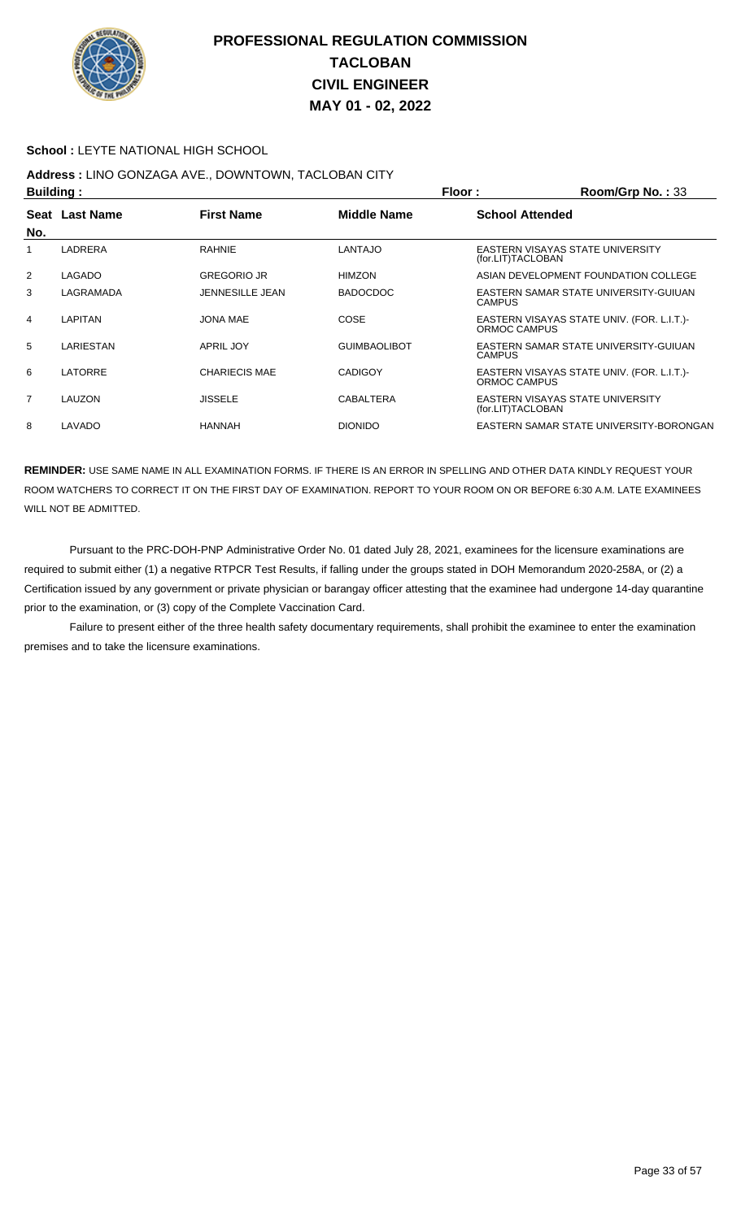

#### **School :** LEYTE NATIONAL HIGH SCHOOL

# **Address :** LINO GONZAGA AVE., DOWNTOWN, TACLOBAN CITY

| <b>Building:</b> |                |                        |                     | Floor:<br>Room/Grp No.: 33 |                                            |  |
|------------------|----------------|------------------------|---------------------|----------------------------|--------------------------------------------|--|
|                  | Seat Last Name | <b>First Name</b>      | <b>Middle Name</b>  | <b>School Attended</b>     |                                            |  |
| No.              |                |                        |                     |                            |                                            |  |
| 1                | LADRERA        | <b>RAHNIE</b>          | <b>LANTAJO</b>      | (for.LIT)TACLOBAN          | EASTERN VISAYAS STATE UNIVERSITY           |  |
| $\overline{2}$   | LAGADO         | <b>GREGORIO JR</b>     | <b>HIMZON</b>       |                            | ASIAN DEVELOPMENT FOUNDATION COLLEGE       |  |
| 3                | LAGRAMADA      | <b>JENNESILLE JEAN</b> | <b>BADOCDOC</b>     | <b>CAMPUS</b>              | EASTERN SAMAR STATE UNIVERSITY-GUIUAN      |  |
| 4                | LAPITAN        | JONA MAE               | <b>COSE</b>         | ORMOC CAMPUS               | EASTERN VISAYAS STATE UNIV. (FOR. L.I.T.)- |  |
| 5                | LARIESTAN      | <b>APRIL JOY</b>       | <b>GUIMBAOLIBOT</b> | <b>CAMPUS</b>              | EASTERN SAMAR STATE UNIVERSITY-GUIUAN      |  |
| 6                | LATORRE        | <b>CHARIECIS MAE</b>   | <b>CADIGOY</b>      | ORMOC CAMPUS               | EASTERN VISAYAS STATE UNIV. (FOR. L.I.T.)- |  |
| $\overline{7}$   | LAUZON         | <b>JISSELE</b>         | CABALTERA           | (for.LIT)TACLOBAN          | EASTERN VISAYAS STATE UNIVERSITY           |  |
| 8                | LAVADO         | <b>HANNAH</b>          | <b>DIONIDO</b>      |                            | EASTERN SAMAR STATE UNIVERSITY-BORONGAN    |  |

**REMINDER:** USE SAME NAME IN ALL EXAMINATION FORMS. IF THERE IS AN ERROR IN SPELLING AND OTHER DATA KINDLY REQUEST YOUR ROOM WATCHERS TO CORRECT IT ON THE FIRST DAY OF EXAMINATION. REPORT TO YOUR ROOM ON OR BEFORE 6:30 A.M. LATE EXAMINEES WILL NOT BE ADMITTED.

 Pursuant to the PRC-DOH-PNP Administrative Order No. 01 dated July 28, 2021, examinees for the licensure examinations are required to submit either (1) a negative RTPCR Test Results, if falling under the groups stated in DOH Memorandum 2020-258A, or (2) a Certification issued by any government or private physician or barangay officer attesting that the examinee had undergone 14-day quarantine prior to the examination, or (3) copy of the Complete Vaccination Card.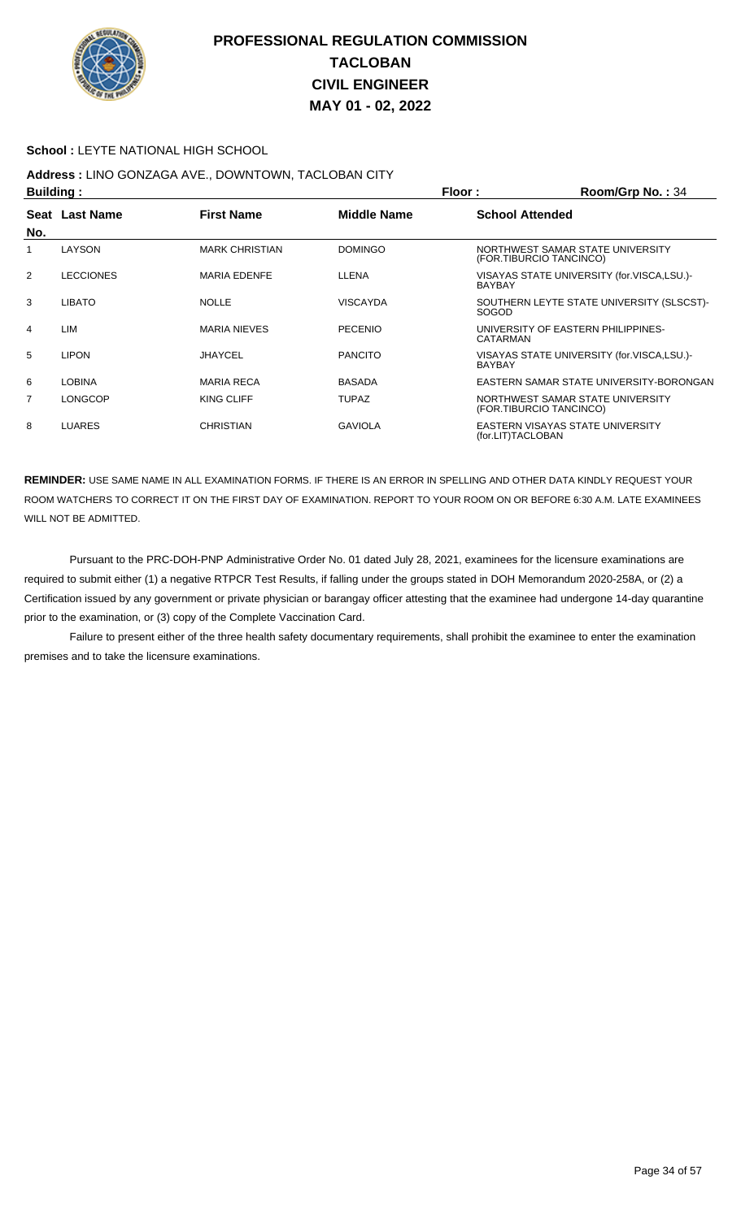

#### **School :** LEYTE NATIONAL HIGH SCHOOL

## **Address :** LINO GONZAGA AVE., DOWNTOWN, TACLOBAN CITY

| <b>Building:</b> |                  |                       |                    | Floor:                 | Room/Grp No.: 34                                            |
|------------------|------------------|-----------------------|--------------------|------------------------|-------------------------------------------------------------|
|                  | Seat Last Name   | <b>First Name</b>     | <b>Middle Name</b> | <b>School Attended</b> |                                                             |
| No.              |                  |                       |                    |                        |                                                             |
|                  | LAYSON           | <b>MARK CHRISTIAN</b> | <b>DOMINGO</b>     |                        | NORTHWEST SAMAR STATE UNIVERSITY<br>(FOR.TIBURCIO TANCINCO) |
| 2                | <b>LECCIONES</b> | <b>MARIA EDENFE</b>   | LLENA              | <b>BAYBAY</b>          | VISAYAS STATE UNIVERSITY (for.VISCA,LSU.)-                  |
| 3                | <b>LIBATO</b>    | <b>NOLLE</b>          | <b>VISCAYDA</b>    | <b>SOGOD</b>           | SOUTHERN LEYTE STATE UNIVERSITY (SLSCST)-                   |
| 4                | LIM              | <b>MARIA NIEVES</b>   | <b>PECENIO</b>     | CATARMAN               | UNIVERSITY OF EASTERN PHILIPPINES-                          |
| 5                | <b>LIPON</b>     | <b>JHAYCEL</b>        | <b>PANCITO</b>     | <b>BAYBAY</b>          | VISAYAS STATE UNIVERSITY (for.VISCA,LSU.)-                  |
| 6                | <b>LOBINA</b>    | <b>MARIA RECA</b>     | <b>BASADA</b>      |                        | EASTERN SAMAR STATE UNIVERSITY-BORONGAN                     |
| 7                | <b>LONGCOP</b>   | KING CLIFF            | <b>TUPAZ</b>       |                        | NORTHWEST SAMAR STATE UNIVERSITY<br>(FOR.TIBURCIO TANCINCO) |
| 8                | <b>LUARES</b>    | CHRISTIAN             | <b>GAVIOLA</b>     | (for.LIT)TACLOBAN      | EASTERN VISAYAS STATE UNIVERSITY                            |

**REMINDER:** USE SAME NAME IN ALL EXAMINATION FORMS. IF THERE IS AN ERROR IN SPELLING AND OTHER DATA KINDLY REQUEST YOUR ROOM WATCHERS TO CORRECT IT ON THE FIRST DAY OF EXAMINATION. REPORT TO YOUR ROOM ON OR BEFORE 6:30 A.M. LATE EXAMINEES WILL NOT BE ADMITTED.

 Pursuant to the PRC-DOH-PNP Administrative Order No. 01 dated July 28, 2021, examinees for the licensure examinations are required to submit either (1) a negative RTPCR Test Results, if falling under the groups stated in DOH Memorandum 2020-258A, or (2) a Certification issued by any government or private physician or barangay officer attesting that the examinee had undergone 14-day quarantine prior to the examination, or (3) copy of the Complete Vaccination Card.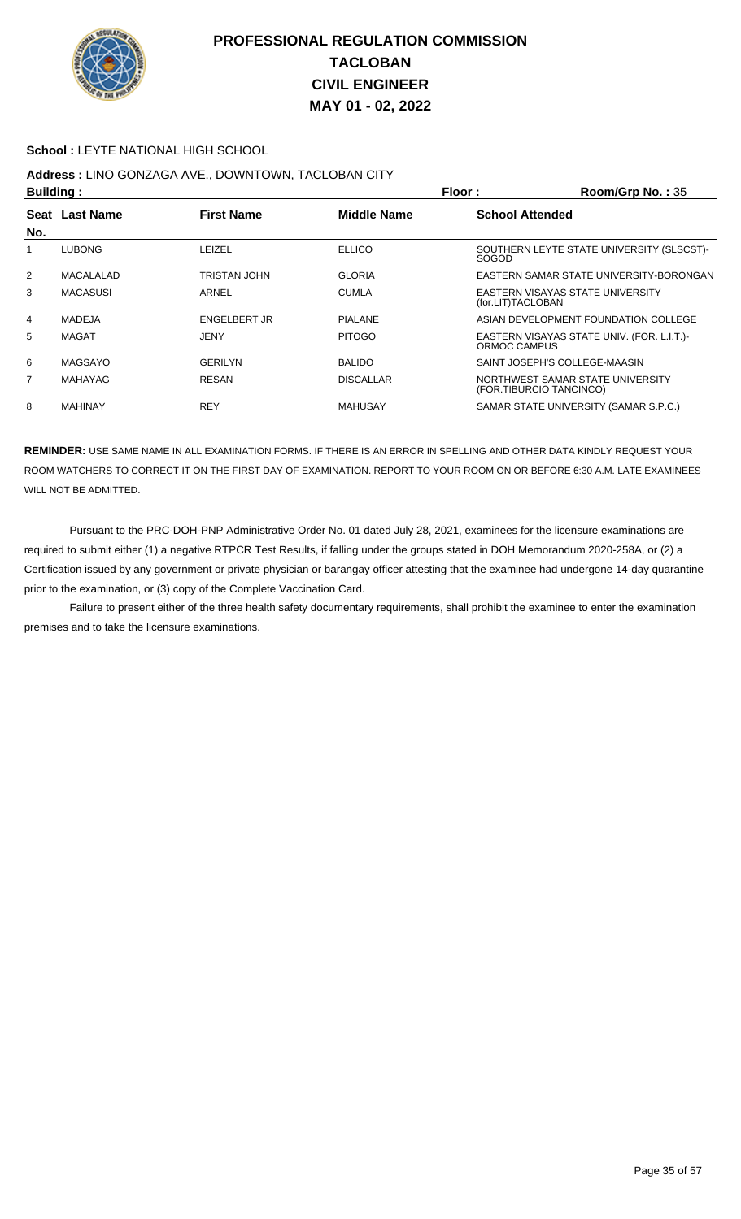

#### **School :** LEYTE NATIONAL HIGH SCHOOL

## **Address :** LINO GONZAGA AVE., DOWNTOWN, TACLOBAN CITY

|                | <b>Building:</b> |                   |                    | Floor:<br>Room/Grp No.: 35                            |                                                             |  |
|----------------|------------------|-------------------|--------------------|-------------------------------------------------------|-------------------------------------------------------------|--|
| Seat           | <b>Last Name</b> | <b>First Name</b> | <b>Middle Name</b> | <b>School Attended</b>                                |                                                             |  |
| No.            |                  |                   |                    |                                                       |                                                             |  |
|                | <b>LUBONG</b>    | LEIZEL            | <b>ELLICO</b>      | <b>SOGOD</b>                                          | SOUTHERN LEYTE STATE UNIVERSITY (SLSCST)-                   |  |
| $\overline{2}$ | MACALALAD        | TRISTAN JOHN      | <b>GLORIA</b>      |                                                       | EASTERN SAMAR STATE UNIVERSITY-BORONGAN                     |  |
| 3              | <b>MACASUSI</b>  | ARNEL             | <b>CUMLA</b>       | EASTERN VISAYAS STATE UNIVERSITY<br>(for.LIT)TACLOBAN |                                                             |  |
| 4              | MADEJA           | ENGELBERT JR      | <b>PIALANE</b>     |                                                       | ASIAN DEVELOPMENT FOUNDATION COLLEGE                        |  |
| 5              | MAGAT            | JENY              | <b>PITOGO</b>      | ORMOC CAMPUS                                          | EASTERN VISAYAS STATE UNIV. (FOR. L.I.T.)-                  |  |
| 6              | MAGSAYO          | <b>GERILYN</b>    | <b>BALIDO</b>      |                                                       | SAINT JOSEPH'S COLLEGE-MAASIN                               |  |
| 7              | MAHAYAG          | <b>RESAN</b>      | <b>DISCALLAR</b>   |                                                       | NORTHWEST SAMAR STATE UNIVERSITY<br>(FOR.TIBURCIO TANCINCO) |  |
| 8              | MAHINAY          | <b>REY</b>        | <b>MAHUSAY</b>     |                                                       | SAMAR STATE UNIVERSITY (SAMAR S.P.C.)                       |  |

**REMINDER:** USE SAME NAME IN ALL EXAMINATION FORMS. IF THERE IS AN ERROR IN SPELLING AND OTHER DATA KINDLY REQUEST YOUR ROOM WATCHERS TO CORRECT IT ON THE FIRST DAY OF EXAMINATION. REPORT TO YOUR ROOM ON OR BEFORE 6:30 A.M. LATE EXAMINEES WILL NOT BE ADMITTED.

 Pursuant to the PRC-DOH-PNP Administrative Order No. 01 dated July 28, 2021, examinees for the licensure examinations are required to submit either (1) a negative RTPCR Test Results, if falling under the groups stated in DOH Memorandum 2020-258A, or (2) a Certification issued by any government or private physician or barangay officer attesting that the examinee had undergone 14-day quarantine prior to the examination, or (3) copy of the Complete Vaccination Card.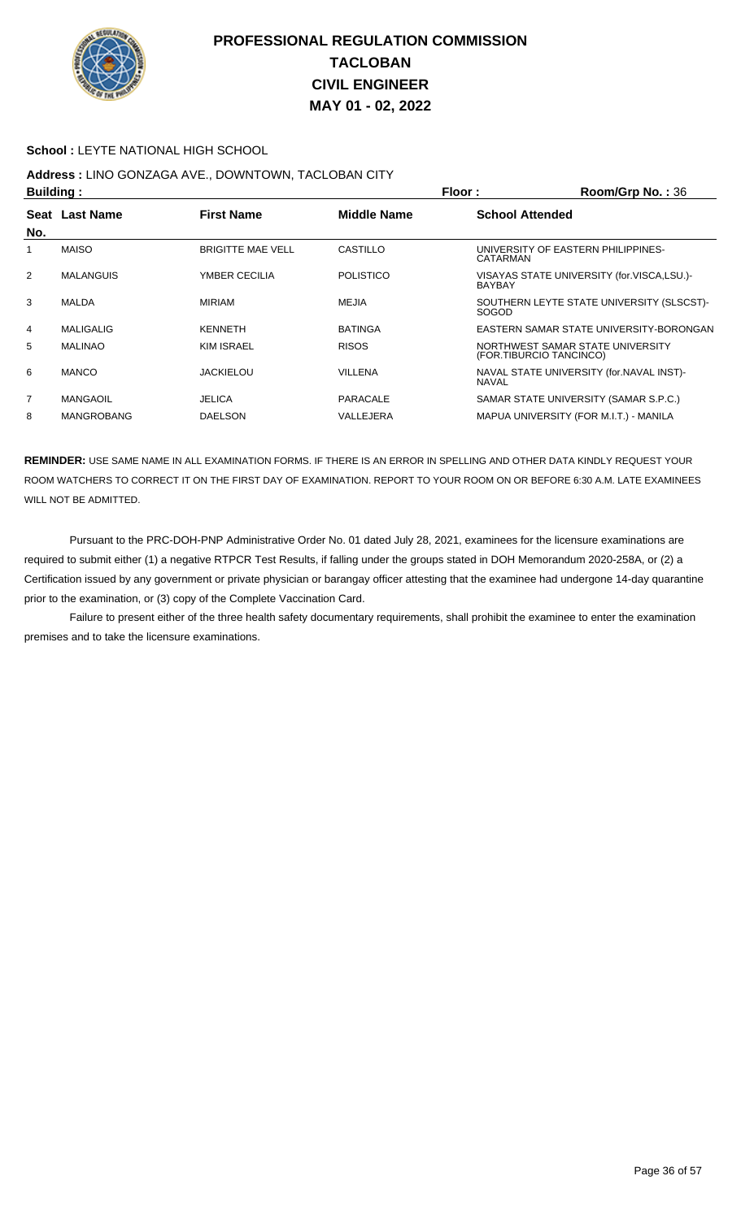

#### **School :** LEYTE NATIONAL HIGH SCHOOL

## **Address :** LINO GONZAGA AVE., DOWNTOWN, TACLOBAN CITY

|                | <b>Building:</b>  |                          |                    | Floor:<br>$Room/Grp$ No.: $36$ |                                                             |  |
|----------------|-------------------|--------------------------|--------------------|--------------------------------|-------------------------------------------------------------|--|
|                | Seat Last Name    | <b>First Name</b>        | <b>Middle Name</b> | <b>School Attended</b>         |                                                             |  |
| No.            |                   |                          |                    |                                |                                                             |  |
|                | <b>MAISO</b>      | <b>BRIGITTE MAE VELL</b> | CASTILLO           | CATARMAN                       | UNIVERSITY OF EASTERN PHILIPPINES-                          |  |
| 2              | <b>MALANGUIS</b>  | YMBER CECILIA            | <b>POLISTICO</b>   | <b>BAYBAY</b>                  | VISAYAS STATE UNIVERSITY (for.VISCA,LSU.)-                  |  |
| 3              | MALDA             | <b>MIRIAM</b>            | MEJIA              | <b>SOGOD</b>                   | SOUTHERN LEYTE STATE UNIVERSITY (SLSCST)-                   |  |
| 4              | MALIGALIG         | <b>KENNETH</b>           | <b>BATINGA</b>     |                                | EASTERN SAMAR STATE UNIVERSITY-BORONGAN                     |  |
| 5              | <b>MALINAO</b>    | <b>KIM ISRAEL</b>        | <b>RISOS</b>       |                                | NORTHWEST SAMAR STATE UNIVERSITY<br>(FOR.TIBURCIO TANCINCO) |  |
| 6              | <b>MANCO</b>      | <b>JACKIELOU</b>         | <b>VILLENA</b>     | <b>NAVAL</b>                   | NAVAL STATE UNIVERSITY (for.NAVAL INST)-                    |  |
| $\overline{7}$ | MANGAOIL          | <b>JELICA</b>            | PARACALE           |                                | SAMAR STATE UNIVERSITY (SAMAR S.P.C.)                       |  |
| 8              | <b>MANGROBANG</b> | <b>DAELSON</b>           | VALLEJERA          |                                | MAPUA UNIVERSITY (FOR M.I.T.) - MANILA                      |  |

**REMINDER:** USE SAME NAME IN ALL EXAMINATION FORMS. IF THERE IS AN ERROR IN SPELLING AND OTHER DATA KINDLY REQUEST YOUR ROOM WATCHERS TO CORRECT IT ON THE FIRST DAY OF EXAMINATION. REPORT TO YOUR ROOM ON OR BEFORE 6:30 A.M. LATE EXAMINEES WILL NOT BE ADMITTED.

 Pursuant to the PRC-DOH-PNP Administrative Order No. 01 dated July 28, 2021, examinees for the licensure examinations are required to submit either (1) a negative RTPCR Test Results, if falling under the groups stated in DOH Memorandum 2020-258A, or (2) a Certification issued by any government or private physician or barangay officer attesting that the examinee had undergone 14-day quarantine prior to the examination, or (3) copy of the Complete Vaccination Card.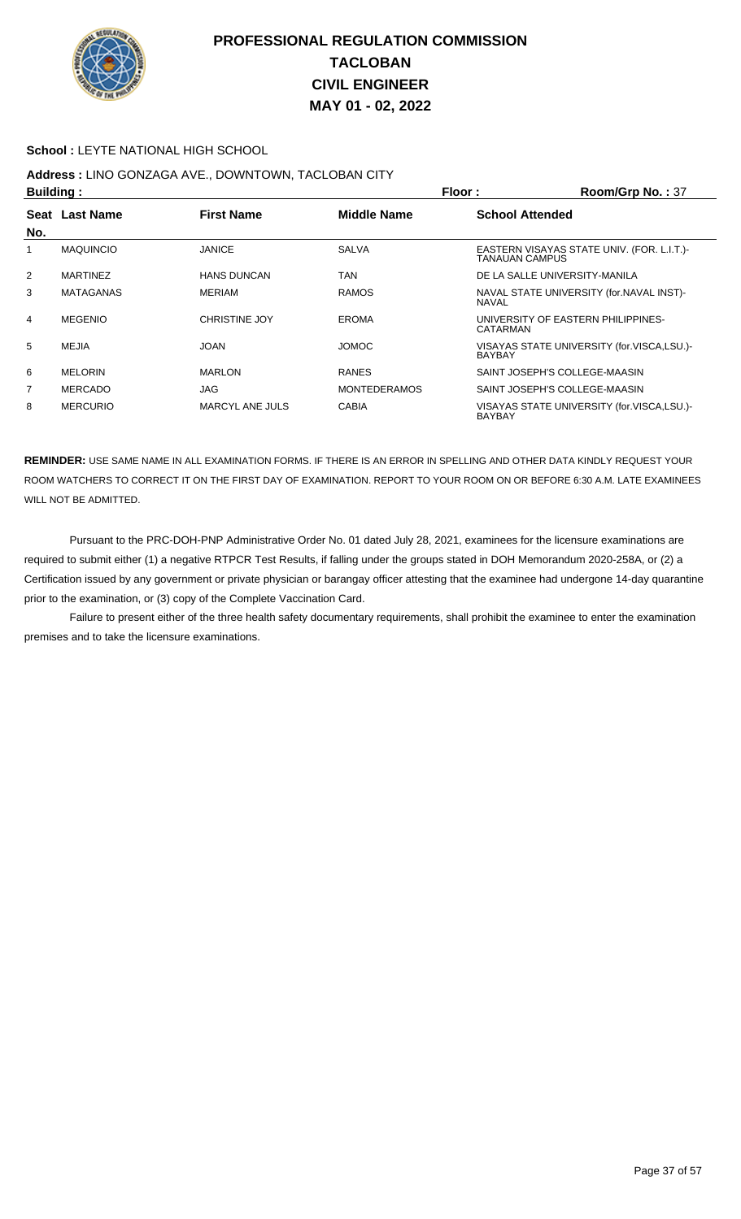

#### **School :** LEYTE NATIONAL HIGH SCHOOL

# **Address :** LINO GONZAGA AVE., DOWNTOWN, TACLOBAN CITY

| <b>Building:</b> |                  |                        |                     | Floor:                 | Room/Grp No.: 37                           |
|------------------|------------------|------------------------|---------------------|------------------------|--------------------------------------------|
|                  | Seat Last Name   | <b>First Name</b>      | <b>Middle Name</b>  | <b>School Attended</b> |                                            |
| No.              |                  |                        |                     |                        |                                            |
|                  | <b>MAQUINCIO</b> | <b>JANICE</b>          | <b>SALVA</b>        | TANAUAN CAMPUS         | EASTERN VISAYAS STATE UNIV. (FOR. L.I.T.)  |
| 2                | <b>MARTINEZ</b>  | <b>HANS DUNCAN</b>     | <b>TAN</b>          |                        | DE LA SALLE UNIVERSITY-MANILA              |
| 3                | <b>MATAGANAS</b> | <b>MERIAM</b>          | <b>RAMOS</b>        | NAVAL                  | NAVAL STATE UNIVERSITY (for. NAVAL INST)-  |
| 4                | <b>MEGENIO</b>   | <b>CHRISTINE JOY</b>   | <b>EROMA</b>        | CATARMAN               | UNIVERSITY OF EASTERN PHILIPPINES-         |
| 5                | MEJIA            | <b>JOAN</b>            | <b>JOMOC</b>        | <b>BAYBAY</b>          | VISAYAS STATE UNIVERSITY (for.VISCA,LSU.)- |
| 6                | <b>MELORIN</b>   | <b>MARLON</b>          | <b>RANES</b>        |                        | SAINT JOSEPH'S COLLEGE-MAASIN              |
| $\overline{7}$   | <b>MERCADO</b>   | <b>JAG</b>             | <b>MONTEDERAMOS</b> |                        | SAINT JOSEPH'S COLLEGE-MAASIN              |
| 8                | <b>MERCURIO</b>  | <b>MARCYL ANE JULS</b> | <b>CABIA</b>        | <b>BAYBAY</b>          | VISAYAS STATE UNIVERSITY (for.VISCA,LSU.)- |

**REMINDER:** USE SAME NAME IN ALL EXAMINATION FORMS. IF THERE IS AN ERROR IN SPELLING AND OTHER DATA KINDLY REQUEST YOUR ROOM WATCHERS TO CORRECT IT ON THE FIRST DAY OF EXAMINATION. REPORT TO YOUR ROOM ON OR BEFORE 6:30 A.M. LATE EXAMINEES WILL NOT BE ADMITTED.

 Pursuant to the PRC-DOH-PNP Administrative Order No. 01 dated July 28, 2021, examinees for the licensure examinations are required to submit either (1) a negative RTPCR Test Results, if falling under the groups stated in DOH Memorandum 2020-258A, or (2) a Certification issued by any government or private physician or barangay officer attesting that the examinee had undergone 14-day quarantine prior to the examination, or (3) copy of the Complete Vaccination Card.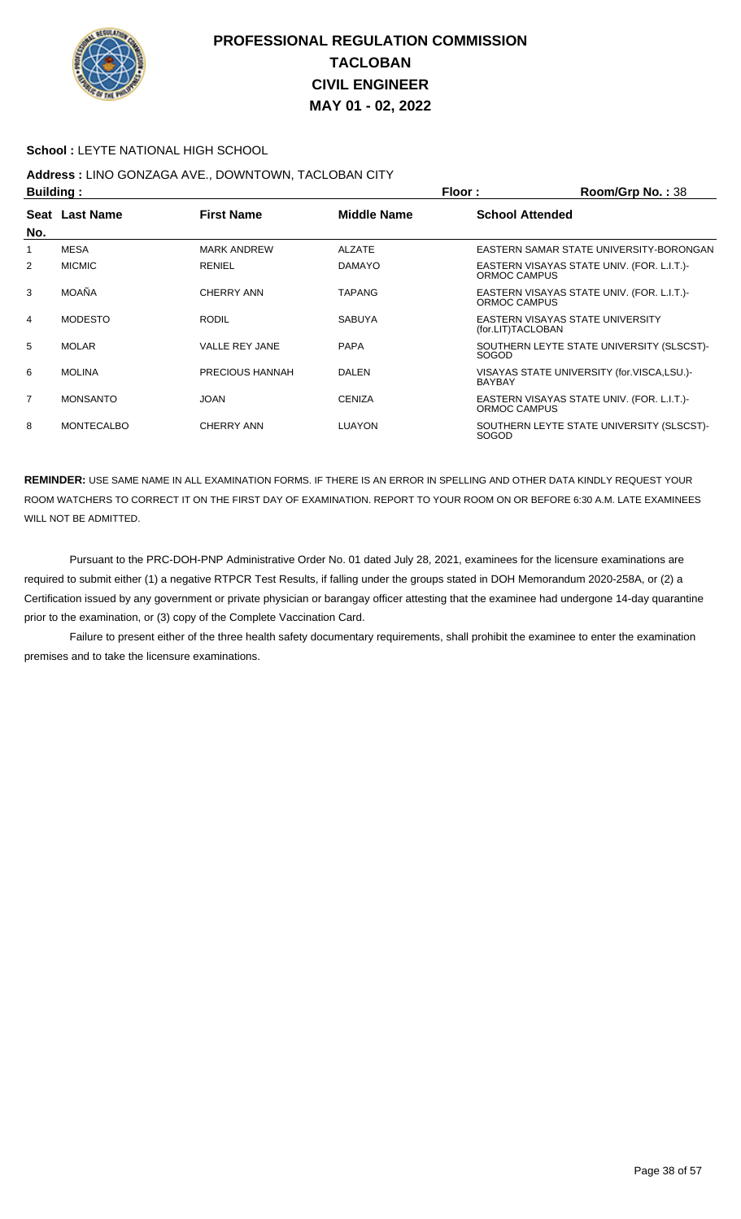

#### **School :** LEYTE NATIONAL HIGH SCHOOL

## **Address :** LINO GONZAGA AVE., DOWNTOWN, TACLOBAN CITY

| <b>Building:</b> |                   |                       | Floor:             | Room/Grp No.: 38       |                                            |
|------------------|-------------------|-----------------------|--------------------|------------------------|--------------------------------------------|
|                  | Seat Last Name    | <b>First Name</b>     | <b>Middle Name</b> | <b>School Attended</b> |                                            |
| No.              |                   |                       |                    |                        |                                            |
|                  | MESA              | <b>MARK ANDREW</b>    | <b>ALZATE</b>      |                        | EASTERN SAMAR STATE UNIVERSITY-BORONGAN    |
| 2                | <b>MICMIC</b>     | <b>RENIEL</b>         | <b>DAMAYO</b>      | ORMOC CAMPUS           | EASTERN VISAYAS STATE UNIV. (FOR. L.I.T.)  |
| 3                | <b>MOAÑA</b>      | <b>CHERRY ANN</b>     | <b>TAPANG</b>      | ORMOC CAMPUS           | EASTERN VISAYAS STATE UNIV. (FOR. L.I.T.)  |
| 4                | <b>MODESTO</b>    | <b>RODIL</b>          | <b>SABUYA</b>      | (for.LIT)TACLOBAN      | EASTERN VISAYAS STATE UNIVERSITY           |
| 5                | <b>MOLAR</b>      | <b>VALLE REY JANE</b> | <b>PAPA</b>        | <b>SOGOD</b>           | SOUTHERN LEYTE STATE UNIVERSITY (SLSCST)-  |
| 6                | <b>MOLINA</b>     | PRECIOUS HANNAH       | <b>DALEN</b>       | <b>BAYBAY</b>          | VISAYAS STATE UNIVERSITY (for.VISCA,LSU.)- |
| $\overline{7}$   | <b>MONSANTO</b>   | <b>JOAN</b>           | <b>CENIZA</b>      | ORMOC CAMPUS           | EASTERN VISAYAS STATE UNIV. (FOR. L.I.T.)  |
| 8                | <b>MONTECALBO</b> | <b>CHERRY ANN</b>     | <b>LUAYON</b>      | SOGOD                  | SOUTHERN LEYTE STATE UNIVERSITY (SLSCST)-  |

**REMINDER:** USE SAME NAME IN ALL EXAMINATION FORMS. IF THERE IS AN ERROR IN SPELLING AND OTHER DATA KINDLY REQUEST YOUR ROOM WATCHERS TO CORRECT IT ON THE FIRST DAY OF EXAMINATION. REPORT TO YOUR ROOM ON OR BEFORE 6:30 A.M. LATE EXAMINEES WILL NOT BE ADMITTED.

 Pursuant to the PRC-DOH-PNP Administrative Order No. 01 dated July 28, 2021, examinees for the licensure examinations are required to submit either (1) a negative RTPCR Test Results, if falling under the groups stated in DOH Memorandum 2020-258A, or (2) a Certification issued by any government or private physician or barangay officer attesting that the examinee had undergone 14-day quarantine prior to the examination, or (3) copy of the Complete Vaccination Card.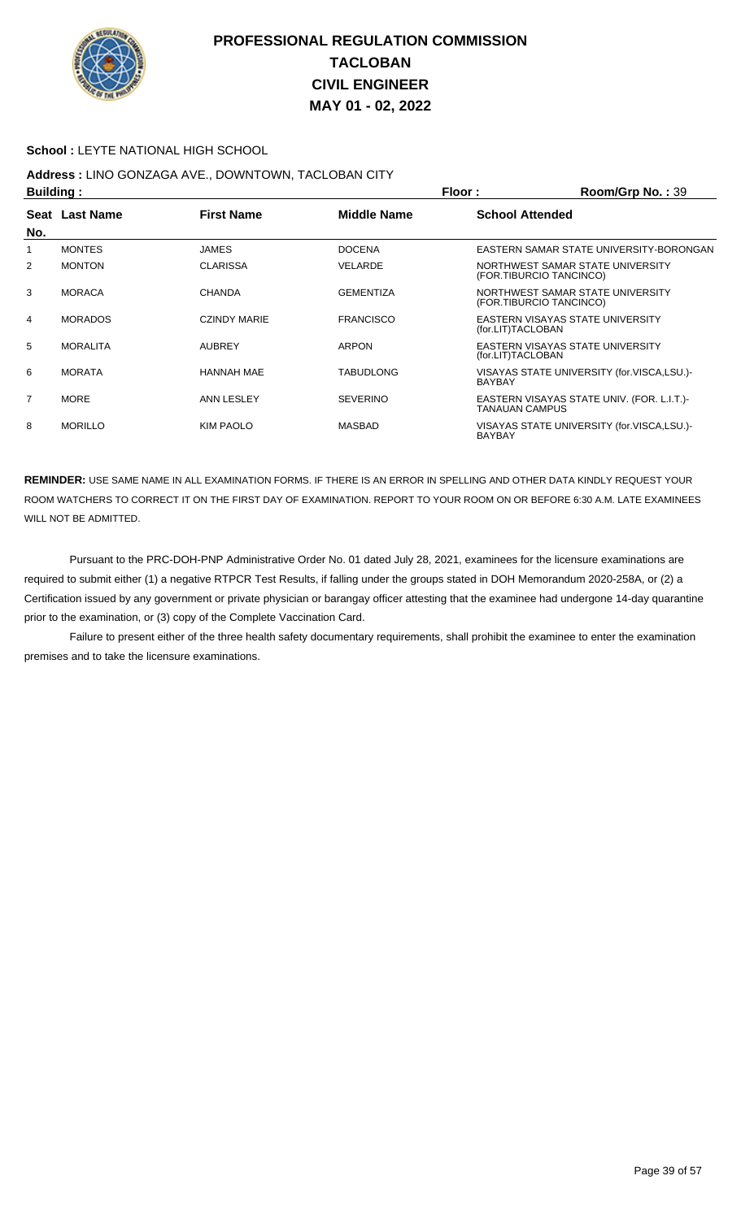

#### **School :** LEYTE NATIONAL HIGH SCHOOL

# **Address :** LINO GONZAGA AVE., DOWNTOWN, TACLOBAN CITY

| <b>Building:</b> |                 |                     | Floor:<br>Room/Grp No.: 39 |                         |                                            |
|------------------|-----------------|---------------------|----------------------------|-------------------------|--------------------------------------------|
|                  | Seat Last Name  | <b>First Name</b>   | <b>Middle Name</b>         | <b>School Attended</b>  |                                            |
| No.              |                 |                     |                            |                         |                                            |
| 1                | <b>MONTES</b>   | <b>JAMES</b>        | <b>DOCENA</b>              |                         | EASTERN SAMAR STATE UNIVERSITY-BORONGAN    |
| 2                | <b>MONTON</b>   | <b>CLARISSA</b>     | VELARDE                    | (FOR.TIBURCIO TANCINCO) | NORTHWEST SAMAR STATE UNIVERSITY           |
| 3                | <b>MORACA</b>   | <b>CHANDA</b>       | <b>GEMENTIZA</b>           | (FOR.TIBURCIO TANCINCO) | NORTHWEST SAMAR STATE UNIVERSITY           |
| 4                | <b>MORADOS</b>  | <b>CZINDY MARIE</b> | <b>FRANCISCO</b>           | (for.LIT)TACLOBAN       | <b>EASTERN VISAYAS STATE UNIVERSITY</b>    |
| 5                | <b>MORALITA</b> | <b>AUBREY</b>       | <b>ARPON</b>               | (for.LIT)TACLOBAN       | EASTERN VISAYAS STATE UNIVERSITY           |
| 6                | <b>MORATA</b>   | <b>HANNAH MAE</b>   | <b>TABUDLONG</b>           | <b>BAYBAY</b>           | VISAYAS STATE UNIVERSITY (for.VISCA,LSU.)- |
| $\overline{7}$   | MORE            | ANN LESLEY          | <b>SEVERINO</b>            | <b>TANAUAN CAMPUS</b>   | EASTERN VISAYAS STATE UNIV. (FOR. L.I.T.)- |
| 8                | <b>MORILLO</b>  | <b>KIM PAOLO</b>    | MASBAD                     | <b>BAYBAY</b>           | VISAYAS STATE UNIVERSITY (for.VISCA,LSU.)- |

**REMINDER:** USE SAME NAME IN ALL EXAMINATION FORMS. IF THERE IS AN ERROR IN SPELLING AND OTHER DATA KINDLY REQUEST YOUR ROOM WATCHERS TO CORRECT IT ON THE FIRST DAY OF EXAMINATION. REPORT TO YOUR ROOM ON OR BEFORE 6:30 A.M. LATE EXAMINEES WILL NOT BE ADMITTED.

 Pursuant to the PRC-DOH-PNP Administrative Order No. 01 dated July 28, 2021, examinees for the licensure examinations are required to submit either (1) a negative RTPCR Test Results, if falling under the groups stated in DOH Memorandum 2020-258A, or (2) a Certification issued by any government or private physician or barangay officer attesting that the examinee had undergone 14-day quarantine prior to the examination, or (3) copy of the Complete Vaccination Card.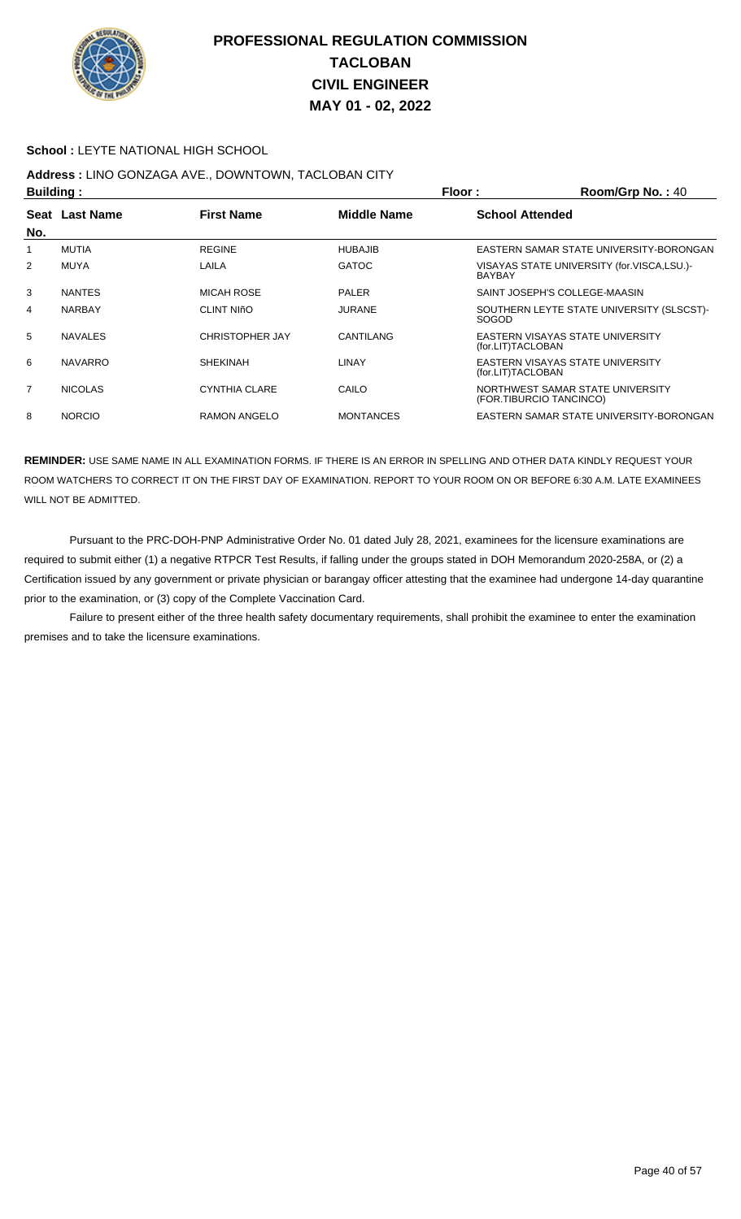

#### **School :** LEYTE NATIONAL HIGH SCHOOL

# **Address :** LINO GONZAGA AVE., DOWNTOWN, TACLOBAN CITY

| <b>Building:</b> |                |                              | Floor:             | Room/Grp No.: 40       |                                                             |
|------------------|----------------|------------------------------|--------------------|------------------------|-------------------------------------------------------------|
|                  | Seat Last Name | <b>First Name</b>            | <b>Middle Name</b> | <b>School Attended</b> |                                                             |
| No.              |                |                              |                    |                        |                                                             |
|                  | <b>MUTIA</b>   | <b>REGINE</b>                | <b>HUBAJIB</b>     |                        | EASTERN SAMAR STATE UNIVERSITY-BORONGAN                     |
| 2                | <b>MUYA</b>    | LAILA                        | <b>GATOC</b>       | <b>BAYBAY</b>          | VISAYAS STATE UNIVERSITY (for.VISCA,LSU.)-                  |
| 3                | <b>NANTES</b>  | <b>MICAH ROSE</b>            | <b>PALER</b>       |                        | SAINT JOSEPH'S COLLEGE-MAASIN                               |
| 4                | <b>NARBAY</b>  | <b>CLINT NI<sub>nO</sub></b> | <b>JURANE</b>      | <b>SOGOD</b>           | SOUTHERN LEYTE STATE UNIVERSITY (SLSCST)-                   |
| 5                | <b>NAVALES</b> | <b>CHRISTOPHER JAY</b>       | <b>CANTILANG</b>   | (for.LIT)TACLOBAN      | EASTERN VISAYAS STATE UNIVERSITY                            |
| 6                | <b>NAVARRO</b> | <b>SHEKINAH</b>              | LINAY              | (for.LIT)TACLOBAN      | EASTERN VISAYAS STATE UNIVERSITY                            |
| $\overline{7}$   | <b>NICOLAS</b> | <b>CYNTHIA CLARE</b>         | CAILO              |                        | NORTHWEST SAMAR STATE UNIVERSITY<br>(FOR.TIBURCIO TANCINCO) |
| 8                | <b>NORCIO</b>  | <b>RAMON ANGELO</b>          | <b>MONTANCES</b>   |                        | EASTERN SAMAR STATE UNIVERSITY-BORONGAN                     |

**REMINDER:** USE SAME NAME IN ALL EXAMINATION FORMS. IF THERE IS AN ERROR IN SPELLING AND OTHER DATA KINDLY REQUEST YOUR ROOM WATCHERS TO CORRECT IT ON THE FIRST DAY OF EXAMINATION. REPORT TO YOUR ROOM ON OR BEFORE 6:30 A.M. LATE EXAMINEES WILL NOT BE ADMITTED.

 Pursuant to the PRC-DOH-PNP Administrative Order No. 01 dated July 28, 2021, examinees for the licensure examinations are required to submit either (1) a negative RTPCR Test Results, if falling under the groups stated in DOH Memorandum 2020-258A, or (2) a Certification issued by any government or private physician or barangay officer attesting that the examinee had undergone 14-day quarantine prior to the examination, or (3) copy of the Complete Vaccination Card.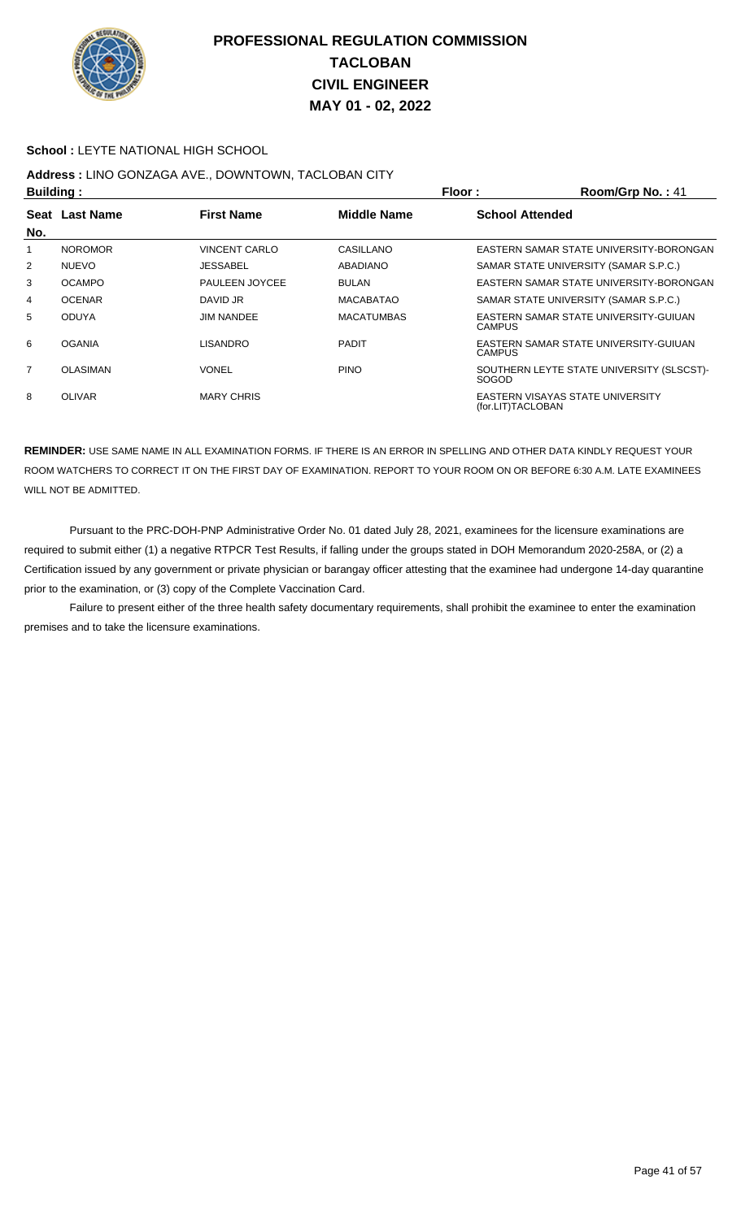

#### **School :** LEYTE NATIONAL HIGH SCHOOL

# **Address :** LINO GONZAGA AVE., DOWNTOWN, TACLOBAN CITY

| <b>Building:</b> |                 |                      |                    | Floor:                 | Room/Grp No.: 41                          |
|------------------|-----------------|----------------------|--------------------|------------------------|-------------------------------------------|
|                  | Seat Last Name  | <b>First Name</b>    | <b>Middle Name</b> | <b>School Attended</b> |                                           |
| No.              |                 |                      |                    |                        |                                           |
| 1                | <b>NOROMOR</b>  | <b>VINCENT CARLO</b> | CASILLANO          |                        | EASTERN SAMAR STATE UNIVERSITY-BORONGAN   |
| $\overline{2}$   | <b>NUEVO</b>    | <b>JESSABEL</b>      | <b>ABADIANO</b>    |                        | SAMAR STATE UNIVERSITY (SAMAR S.P.C.)     |
| 3                | <b>OCAMPO</b>   | PAULEEN JOYCEE       | <b>BULAN</b>       |                        | EASTERN SAMAR STATE UNIVERSITY-BORONGAN   |
| 4                | <b>OCENAR</b>   | DAVID JR             | <b>MACABATAO</b>   |                        | SAMAR STATE UNIVERSITY (SAMAR S.P.C.)     |
| 5                | <b>ODUYA</b>    | <b>JIM NANDEE</b>    | <b>MACATUMBAS</b>  | <b>CAMPUS</b>          | EASTERN SAMAR STATE UNIVERSITY-GUIUAN     |
| 6                | <b>OGANIA</b>   | <b>LISANDRO</b>      | <b>PADIT</b>       | <b>CAMPUS</b>          | EASTERN SAMAR STATE UNIVERSITY-GUIUAN     |
| $\overline{7}$   | <b>OLASIMAN</b> | VONEL                | <b>PINO</b>        | <b>SOGOD</b>           | SOUTHERN LEYTE STATE UNIVERSITY (SLSCST)- |
| 8                | <b>OLIVAR</b>   | <b>MARY CHRIS</b>    |                    | (for.LIT)TACLOBAN      | EASTERN VISAYAS STATE UNIVERSITY          |

**REMINDER:** USE SAME NAME IN ALL EXAMINATION FORMS. IF THERE IS AN ERROR IN SPELLING AND OTHER DATA KINDLY REQUEST YOUR ROOM WATCHERS TO CORRECT IT ON THE FIRST DAY OF EXAMINATION. REPORT TO YOUR ROOM ON OR BEFORE 6:30 A.M. LATE EXAMINEES WILL NOT BE ADMITTED.

 Pursuant to the PRC-DOH-PNP Administrative Order No. 01 dated July 28, 2021, examinees for the licensure examinations are required to submit either (1) a negative RTPCR Test Results, if falling under the groups stated in DOH Memorandum 2020-258A, or (2) a Certification issued by any government or private physician or barangay officer attesting that the examinee had undergone 14-day quarantine prior to the examination, or (3) copy of the Complete Vaccination Card.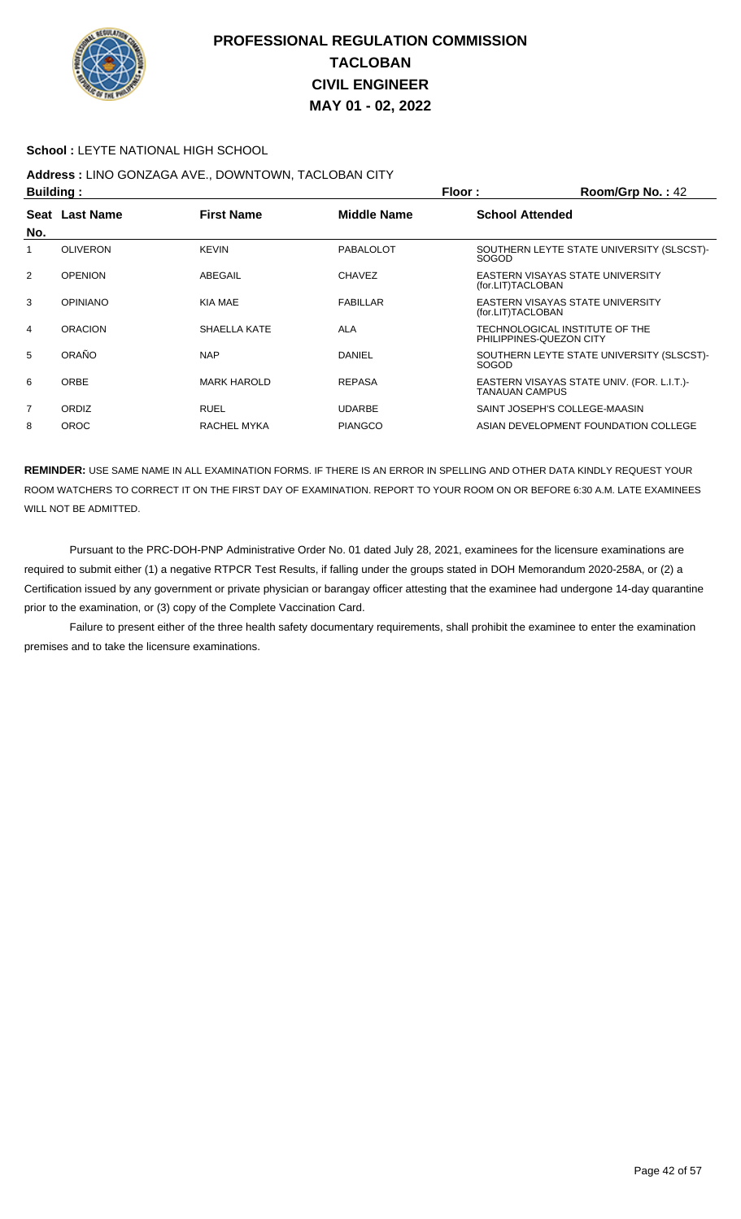

#### **School :** LEYTE NATIONAL HIGH SCHOOL

# **Address :** LINO GONZAGA AVE., DOWNTOWN, TACLOBAN CITY

| <b>Building:</b> |                 |                    | Floor:         | Room/Grp No.: 42        |                                            |
|------------------|-----------------|--------------------|----------------|-------------------------|--------------------------------------------|
| No.              | Seat Last Name  | <b>First Name</b>  | Middle Name    | <b>School Attended</b>  |                                            |
| 1                | <b>OLIVERON</b> | <b>KEVIN</b>       | PABALOLOT      | <b>SOGOD</b>            | SOUTHERN LEYTE STATE UNIVERSITY (SLSCST)-  |
| $\overline{2}$   | <b>OPENION</b>  | ABEGAIL            | <b>CHAVEZ</b>  | (for.LIT)TACLOBAN       | EASTERN VISAYAS STATE UNIVERSITY           |
| 3                | <b>OPINIANO</b> | KIA MAE            | FABILLAR       | (for.LIT)TACLOBAN       | EASTERN VISAYAS STATE UNIVERSITY           |
| 4                | <b>ORACION</b>  | SHAELLA KATE       | <b>ALA</b>     | PHILIPPINES-QUEZON CITY | TECHNOLOGICAL INSTITUTE OF THE             |
| 5                | ORAÑO           | <b>NAP</b>         | <b>DANIEL</b>  | <b>SOGOD</b>            | SOUTHERN LEYTE STATE UNIVERSITY (SLSCST)-  |
| 6                | <b>ORBE</b>     | <b>MARK HAROLD</b> | <b>REPASA</b>  | <b>TANAUAN CAMPUS</b>   | EASTERN VISAYAS STATE UNIV. (FOR. L.I.T.)- |
| $\overline{7}$   | <b>ORDIZ</b>    | <b>RUEL</b>        | <b>UDARBE</b>  |                         | SAINT JOSEPH'S COLLEGE-MAASIN              |
| 8                | <b>OROC</b>     | RACHEL MYKA        | <b>PIANGCO</b> |                         | ASIAN DEVELOPMENT FOUNDATION COLLEGE       |

**REMINDER:** USE SAME NAME IN ALL EXAMINATION FORMS. IF THERE IS AN ERROR IN SPELLING AND OTHER DATA KINDLY REQUEST YOUR ROOM WATCHERS TO CORRECT IT ON THE FIRST DAY OF EXAMINATION. REPORT TO YOUR ROOM ON OR BEFORE 6:30 A.M. LATE EXAMINEES WILL NOT BE ADMITTED.

 Pursuant to the PRC-DOH-PNP Administrative Order No. 01 dated July 28, 2021, examinees for the licensure examinations are required to submit either (1) a negative RTPCR Test Results, if falling under the groups stated in DOH Memorandum 2020-258A, or (2) a Certification issued by any government or private physician or barangay officer attesting that the examinee had undergone 14-day quarantine prior to the examination, or (3) copy of the Complete Vaccination Card.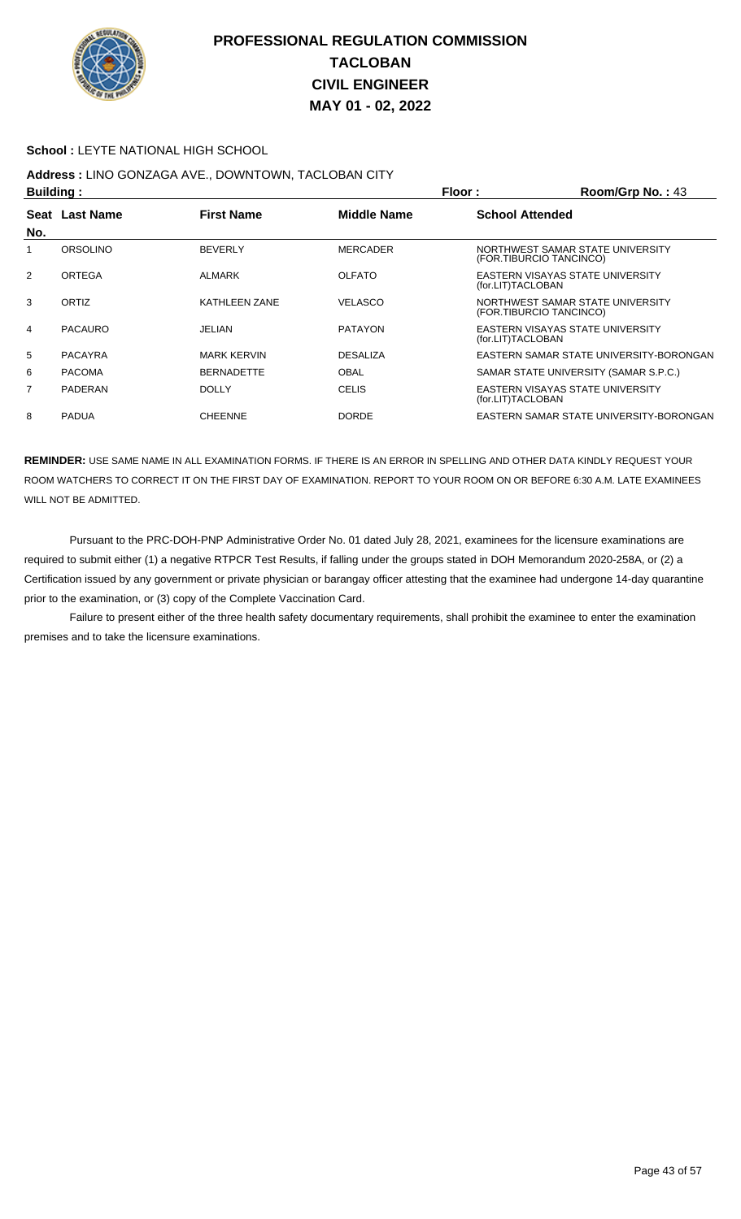

#### **School :** LEYTE NATIONAL HIGH SCHOOL

## **Address :** LINO GONZAGA AVE., DOWNTOWN, TACLOBAN CITY

|                |                | Floor:<br>Building: |                    |                         | Room/Grp No.: 43                        |
|----------------|----------------|---------------------|--------------------|-------------------------|-----------------------------------------|
|                | Seat Last Name | <b>First Name</b>   | <b>Middle Name</b> | <b>School Attended</b>  |                                         |
| No.            |                |                     |                    |                         |                                         |
|                | ORSOLINO       | <b>BEVERLY</b>      | <b>MERCADER</b>    | (FOR.TIBURCIO TANCINCO) | NORTHWEST SAMAR STATE UNIVERSITY        |
| 2              | <b>ORTEGA</b>  | ALMARK              | <b>OLFATO</b>      | (for.LIT)TACLOBAN       | EASTERN VISAYAS STATE UNIVERSITY        |
| 3              | ORTIZ          | KATHLEEN ZANE       | <b>VELASCO</b>     | (FOR.TIBURCIO TANCINCO) | NORTHWEST SAMAR STATE UNIVERSITY        |
| 4              | <b>PACAURO</b> | <b>JELIAN</b>       | <b>PATAYON</b>     | (for.LIT)TACLOBAN       | EASTERN VISAYAS STATE UNIVERSITY        |
| 5              | <b>PACAYRA</b> | <b>MARK KERVIN</b>  | <b>DESALIZA</b>    |                         | EASTERN SAMAR STATE UNIVERSITY-BORONGAN |
| 6              | <b>PACOMA</b>  | <b>BERNADETTE</b>   | <b>OBAL</b>        |                         | SAMAR STATE UNIVERSITY (SAMAR S.P.C.)   |
| $\overline{7}$ | PADERAN        | <b>DOLLY</b>        | <b>CELIS</b>       | (for.LIT)TACLOBAN       | EASTERN VISAYAS STATE UNIVERSITY        |
| 8              | <b>PADUA</b>   | <b>CHEENNE</b>      | <b>DORDE</b>       |                         | EASTERN SAMAR STATE UNIVERSITY-BORONGAN |

**REMINDER:** USE SAME NAME IN ALL EXAMINATION FORMS. IF THERE IS AN ERROR IN SPELLING AND OTHER DATA KINDLY REQUEST YOUR ROOM WATCHERS TO CORRECT IT ON THE FIRST DAY OF EXAMINATION. REPORT TO YOUR ROOM ON OR BEFORE 6:30 A.M. LATE EXAMINEES WILL NOT BE ADMITTED.

 Pursuant to the PRC-DOH-PNP Administrative Order No. 01 dated July 28, 2021, examinees for the licensure examinations are required to submit either (1) a negative RTPCR Test Results, if falling under the groups stated in DOH Memorandum 2020-258A, or (2) a Certification issued by any government or private physician or barangay officer attesting that the examinee had undergone 14-day quarantine prior to the examination, or (3) copy of the Complete Vaccination Card.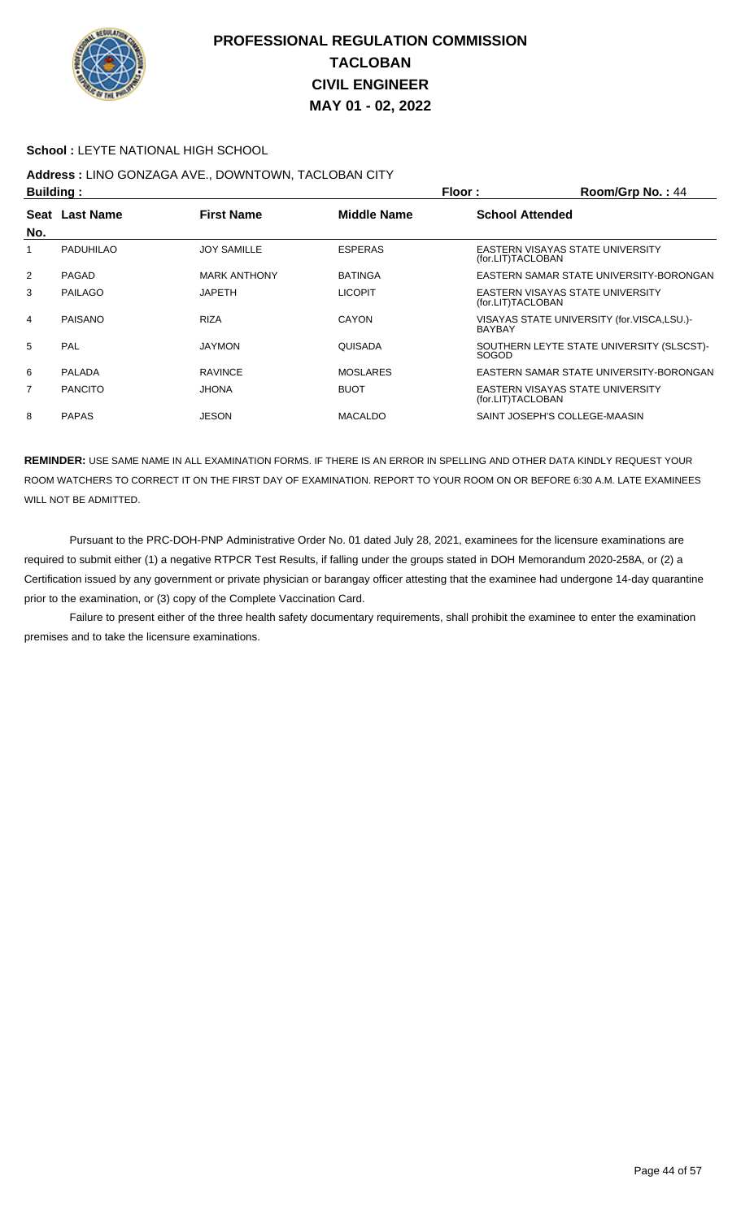

#### **School :** LEYTE NATIONAL HIGH SCHOOL

# **Address :** LINO GONZAGA AVE., DOWNTOWN, TACLOBAN CITY

| Building:      |                |                     | Floor:<br>Room/Grp No.: 44 |                        |                                            |
|----------------|----------------|---------------------|----------------------------|------------------------|--------------------------------------------|
|                | Seat Last Name | <b>First Name</b>   | <b>Middle Name</b>         | <b>School Attended</b> |                                            |
| No.            |                |                     |                            |                        |                                            |
| 1              | PADUHILAO      | <b>JOY SAMILLE</b>  | <b>ESPERAS</b>             | (for.LIT)TACLOBAN      | EASTERN VISAYAS STATE UNIVERSITY           |
| $\overline{2}$ | PAGAD          | <b>MARK ANTHONY</b> | <b>BATINGA</b>             |                        | EASTERN SAMAR STATE UNIVERSITY-BORONGAN    |
| 3              | PAILAGO        | <b>JAPETH</b>       | <b>LICOPIT</b>             | (for.LIT)TACLOBAN      | EASTERN VISAYAS STATE UNIVERSITY           |
| 4              | PAISANO        | <b>RIZA</b>         | <b>CAYON</b>               | <b>BAYBAY</b>          | VISAYAS STATE UNIVERSITY (for.VISCA,LSU.)- |
| 5              | PAL            | <b>JAYMON</b>       | QUISADA                    | <b>SOGOD</b>           | SOUTHERN LEYTE STATE UNIVERSITY (SLSCST)-  |
| 6              | <b>PALADA</b>  | <b>RAVINCE</b>      | <b>MOSLARES</b>            |                        | EASTERN SAMAR STATE UNIVERSITY-BORONGAN    |
| 7              | <b>PANCITO</b> | <b>JHONA</b>        | <b>BUOT</b>                | (for.LIT)TACLOBAN      | EASTERN VISAYAS STATE UNIVERSITY           |
| 8              | <b>PAPAS</b>   | <b>JESON</b>        | <b>MACALDO</b>             |                        | SAINT JOSEPH'S COLLEGE-MAASIN              |

**REMINDER:** USE SAME NAME IN ALL EXAMINATION FORMS. IF THERE IS AN ERROR IN SPELLING AND OTHER DATA KINDLY REQUEST YOUR ROOM WATCHERS TO CORRECT IT ON THE FIRST DAY OF EXAMINATION. REPORT TO YOUR ROOM ON OR BEFORE 6:30 A.M. LATE EXAMINEES WILL NOT BE ADMITTED.

 Pursuant to the PRC-DOH-PNP Administrative Order No. 01 dated July 28, 2021, examinees for the licensure examinations are required to submit either (1) a negative RTPCR Test Results, if falling under the groups stated in DOH Memorandum 2020-258A, or (2) a Certification issued by any government or private physician or barangay officer attesting that the examinee had undergone 14-day quarantine prior to the examination, or (3) copy of the Complete Vaccination Card.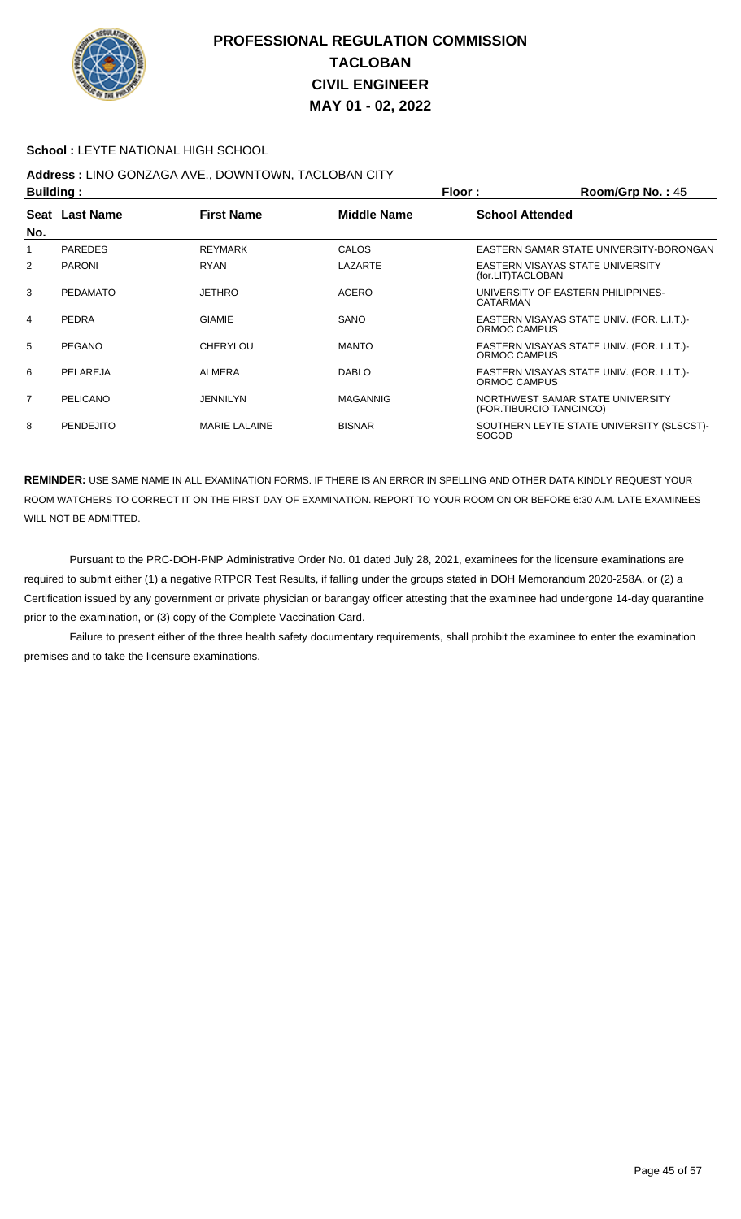

#### **School :** LEYTE NATIONAL HIGH SCHOOL

## **Address :** LINO GONZAGA AVE., DOWNTOWN, TACLOBAN CITY

|                | <b>Building:</b> |                      |                    | Floor:                  | $Room/Grp$ No.: 45                         |
|----------------|------------------|----------------------|--------------------|-------------------------|--------------------------------------------|
|                | Seat Last Name   | <b>First Name</b>    | <b>Middle Name</b> | <b>School Attended</b>  |                                            |
| No.            |                  |                      |                    |                         |                                            |
|                | <b>PAREDES</b>   | <b>REYMARK</b>       | CALOS              |                         | EASTERN SAMAR STATE UNIVERSITY-BORONGAN    |
| 2              | <b>PARONI</b>    | <b>RYAN</b>          | LAZARTE            | (for.LIT)TACLOBAN       | EASTERN VISAYAS STATE UNIVERSITY           |
| 3              | <b>PEDAMATO</b>  | <b>JETHRO</b>        | <b>ACERO</b>       | CATARMAN                | UNIVERSITY OF EASTERN PHILIPPINES-         |
| 4              | PEDRA            | <b>GIAMIE</b>        | SANO               | ORMOC CAMPUS            | EASTERN VISAYAS STATE UNIV. (FOR. L.I.T.)- |
| 5              | PEGANO           | <b>CHERYLOU</b>      | <b>MANTO</b>       | ORMOC CAMPUS            | EASTERN VISAYAS STATE UNIV. (FOR. L.I.T.)- |
| 6              | PELAREJA         | <b>ALMERA</b>        | <b>DABLO</b>       | ORMOC CAMPUS            | EASTERN VISAYAS STATE UNIV. (FOR. L.I.T.)- |
| $\overline{7}$ | PELICANO         | JENNILYN             | <b>MAGANNIG</b>    | (FOR.TIBURCIO TANCINCO) | NORTHWEST SAMAR STATE UNIVERSITY           |
| 8              | <b>PENDEJITO</b> | <b>MARIE LALAINE</b> | <b>BISNAR</b>      | <b>SOGOD</b>            | SOUTHERN LEYTE STATE UNIVERSITY (SLSCST)-  |

**REMINDER:** USE SAME NAME IN ALL EXAMINATION FORMS. IF THERE IS AN ERROR IN SPELLING AND OTHER DATA KINDLY REQUEST YOUR ROOM WATCHERS TO CORRECT IT ON THE FIRST DAY OF EXAMINATION. REPORT TO YOUR ROOM ON OR BEFORE 6:30 A.M. LATE EXAMINEES WILL NOT BE ADMITTED.

 Pursuant to the PRC-DOH-PNP Administrative Order No. 01 dated July 28, 2021, examinees for the licensure examinations are required to submit either (1) a negative RTPCR Test Results, if falling under the groups stated in DOH Memorandum 2020-258A, or (2) a Certification issued by any government or private physician or barangay officer attesting that the examinee had undergone 14-day quarantine prior to the examination, or (3) copy of the Complete Vaccination Card.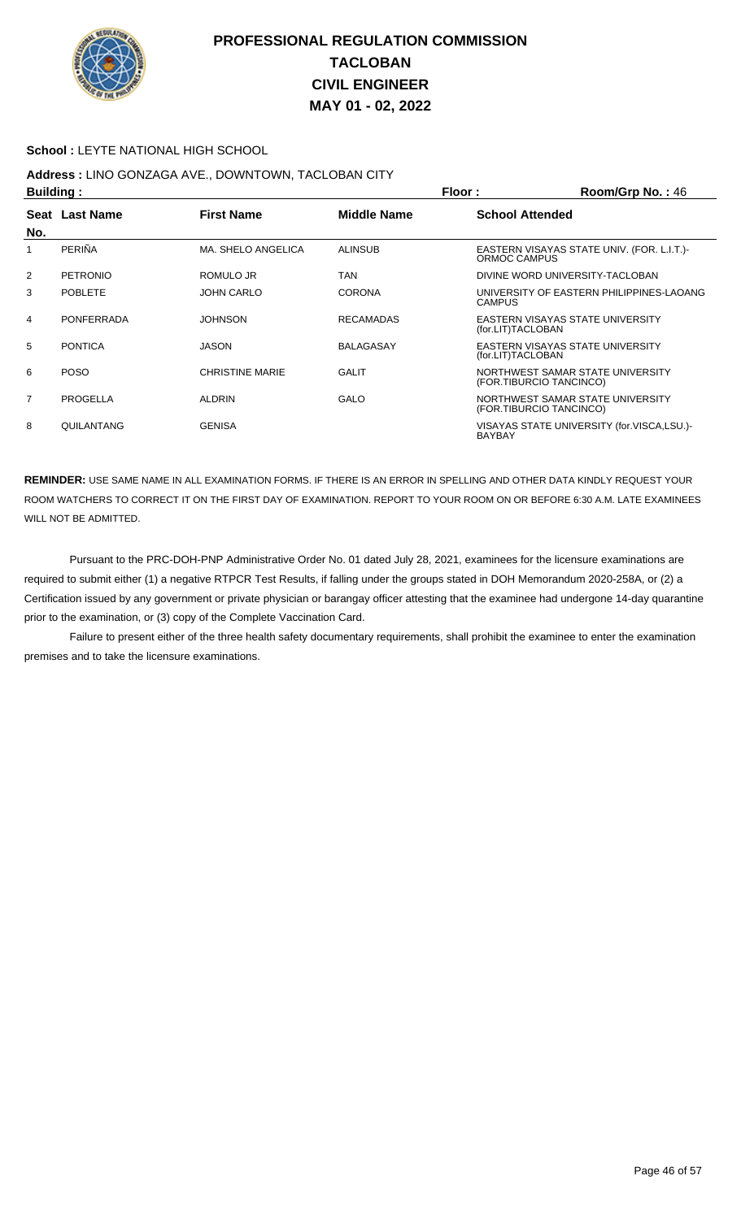

#### **School :** LEYTE NATIONAL HIGH SCHOOL

# **Address :** LINO GONZAGA AVE., DOWNTOWN, TACLOBAN CITY

| <b>Building:</b> |                   |                        | Floor:             | Room/Grp No.: 46       |                                                             |
|------------------|-------------------|------------------------|--------------------|------------------------|-------------------------------------------------------------|
| No.              | Seat Last Name    | <b>First Name</b>      | <b>Middle Name</b> | <b>School Attended</b> |                                                             |
|                  | PERIÑA            | MA. SHELO ANGELICA     | <b>ALINSUB</b>     | ORMOC CAMPUS           | EASTERN VISAYAS STATE UNIV. (FOR. L.I.T.)                   |
| 2                | <b>PETRONIO</b>   | ROMULO JR              | <b>TAN</b>         |                        | DIVINE WORD UNIVERSITY-TACLOBAN                             |
| 3                | <b>POBLETE</b>    | <b>JOHN CARLO</b>      | <b>CORONA</b>      | <b>CAMPUS</b>          | UNIVERSITY OF EASTERN PHILIPPINES-LAOANG                    |
| 4                | <b>PONFERRADA</b> | <b>JOHNSON</b>         | <b>RECAMADAS</b>   | (for.LIT)TACLOBAN      | EASTERN VISAYAS STATE UNIVERSITY                            |
| 5                | <b>PONTICA</b>    | <b>JASON</b>           | <b>BALAGASAY</b>   | (for.LIT)TACLOBAN      | EASTERN VISAYAS STATE UNIVERSITY                            |
| 6                | <b>POSO</b>       | <b>CHRISTINE MARIE</b> | <b>GALIT</b>       |                        | NORTHWEST SAMAR STATE UNIVERSITY<br>(FOR.TIBURCIO TANCINCO) |
| $\overline{7}$   | PROGELLA          | <b>ALDRIN</b>          | GALO               |                        | NORTHWEST SAMAR STATE UNIVERSITY<br>(FOR.TIBURCIO TANCINCO) |
| 8                | QUILANTANG        | <b>GENISA</b>          |                    | <b>BAYBAY</b>          | VISAYAS STATE UNIVERSITY (for.VISCA,LSU.)-                  |

**REMINDER:** USE SAME NAME IN ALL EXAMINATION FORMS. IF THERE IS AN ERROR IN SPELLING AND OTHER DATA KINDLY REQUEST YOUR ROOM WATCHERS TO CORRECT IT ON THE FIRST DAY OF EXAMINATION. REPORT TO YOUR ROOM ON OR BEFORE 6:30 A.M. LATE EXAMINEES WILL NOT BE ADMITTED.

 Pursuant to the PRC-DOH-PNP Administrative Order No. 01 dated July 28, 2021, examinees for the licensure examinations are required to submit either (1) a negative RTPCR Test Results, if falling under the groups stated in DOH Memorandum 2020-258A, or (2) a Certification issued by any government or private physician or barangay officer attesting that the examinee had undergone 14-day quarantine prior to the examination, or (3) copy of the Complete Vaccination Card.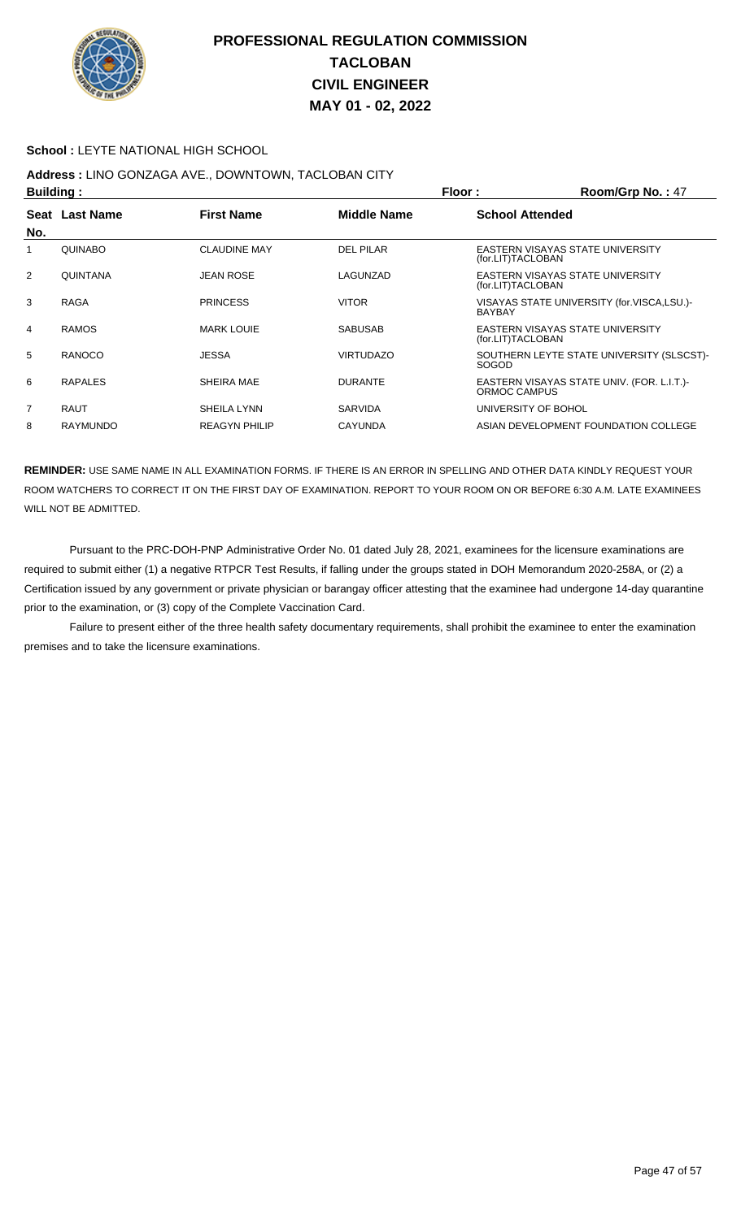

#### **School :** LEYTE NATIONAL HIGH SCHOOL

## **Address :** LINO GONZAGA AVE., DOWNTOWN, TACLOBAN CITY

| <b>Building:</b> |                 |                      | Floor:<br>Room/Grp No.: 47 |                                                             |  |
|------------------|-----------------|----------------------|----------------------------|-------------------------------------------------------------|--|
|                  | Seat Last Name  | <b>First Name</b>    | Middle Name                | <b>School Attended</b>                                      |  |
| No.              |                 |                      |                            |                                                             |  |
|                  | <b>QUINABO</b>  | <b>CLAUDINE MAY</b>  | DEL PILAR                  | EASTERN VISAYAS STATE UNIVERSITY<br>(for.LIT)TACLOBAN       |  |
| 2                | <b>QUINTANA</b> | <b>JEAN ROSE</b>     | LAGUNZAD                   | EASTERN VISAYAS STATE UNIVERSITY<br>(for.LIT)TACLOBAN       |  |
| 3                | <b>RAGA</b>     | <b>PRINCESS</b>      | <b>VITOR</b>               | VISAYAS STATE UNIVERSITY (for.VISCA,LSU.)-<br><b>BAYBAY</b> |  |
| 4                | <b>RAMOS</b>    | <b>MARK LOUIE</b>    | <b>SABUSAB</b>             | EASTERN VISAYAS STATE UNIVERSITY<br>(for.LIT)TACLOBAN       |  |
| 5                | <b>RANOCO</b>   | <b>JESSA</b>         | <b>VIRTUDAZO</b>           | SOUTHERN LEYTE STATE UNIVERSITY (SLSCST)-<br>SOGOD          |  |
| 6                | <b>RAPALES</b>  | SHEIRA MAE           | <b>DURANTE</b>             | EASTERN VISAYAS STATE UNIV. (FOR. L.I.T.)<br>ORMOC CAMPUS   |  |
| $\overline{7}$   | <b>RAUT</b>     | SHEILA LYNN          | <b>SARVIDA</b>             | UNIVERSITY OF BOHOL                                         |  |
| 8                | <b>RAYMUNDO</b> | <b>REAGYN PHILIP</b> | <b>CAYUNDA</b>             | ASIAN DEVELOPMENT FOUNDATION COLLEGE                        |  |

**REMINDER:** USE SAME NAME IN ALL EXAMINATION FORMS. IF THERE IS AN ERROR IN SPELLING AND OTHER DATA KINDLY REQUEST YOUR ROOM WATCHERS TO CORRECT IT ON THE FIRST DAY OF EXAMINATION. REPORT TO YOUR ROOM ON OR BEFORE 6:30 A.M. LATE EXAMINEES WILL NOT BE ADMITTED.

 Pursuant to the PRC-DOH-PNP Administrative Order No. 01 dated July 28, 2021, examinees for the licensure examinations are required to submit either (1) a negative RTPCR Test Results, if falling under the groups stated in DOH Memorandum 2020-258A, or (2) a Certification issued by any government or private physician or barangay officer attesting that the examinee had undergone 14-day quarantine prior to the examination, or (3) copy of the Complete Vaccination Card.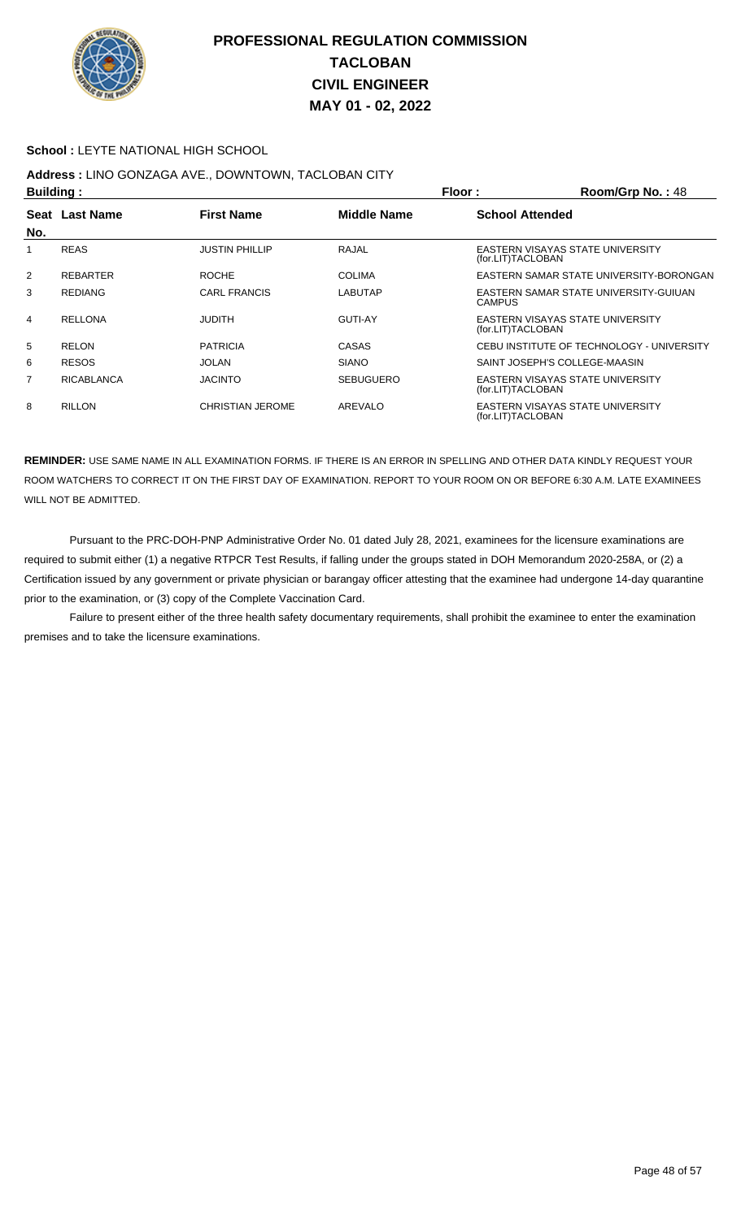

#### **School :** LEYTE NATIONAL HIGH SCHOOL

# **Address :** LINO GONZAGA AVE., DOWNTOWN, TACLOBAN CITY

| <b>Building:</b> |                   |                         |                    | Floor:                 | Room/Grp No.: 48                          |
|------------------|-------------------|-------------------------|--------------------|------------------------|-------------------------------------------|
| Seat             | <b>Last Name</b>  | <b>First Name</b>       | <b>Middle Name</b> | <b>School Attended</b> |                                           |
| No.              |                   |                         |                    |                        |                                           |
|                  | <b>REAS</b>       | <b>JUSTIN PHILLIP</b>   | RAJAL              | (for.LIT)TACLOBAN      | EASTERN VISAYAS STATE UNIVERSITY          |
| 2                | <b>REBARTER</b>   | <b>ROCHE</b>            | <b>COLIMA</b>      |                        | EASTERN SAMAR STATE UNIVERSITY-BORONGAN   |
| 3                | <b>REDIANG</b>    | CARL FRANCIS            | LABUTAP            | <b>CAMPUS</b>          | EASTERN SAMAR STATE UNIVERSITY-GUIUAN     |
| 4                | <b>RELLONA</b>    | <b>JUDITH</b>           | <b>GUTI-AY</b>     | (for.LIT)TACLOBAN      | EASTERN VISAYAS STATE UNIVERSITY          |
| 5                | <b>RELON</b>      | <b>PATRICIA</b>         | CASAS              |                        | CEBU INSTITUTE OF TECHNOLOGY - UNIVERSITY |
| 6                | <b>RESOS</b>      | <b>JOLAN</b>            | <b>SIANO</b>       |                        | SAINT JOSEPH'S COLLEGE-MAASIN             |
| 7                | <b>RICABLANCA</b> | <b>JACINTO</b>          | <b>SEBUGUERO</b>   | (for.LIT)TACLOBAN      | EASTERN VISAYAS STATE UNIVERSITY          |
| 8                | <b>RILLON</b>     | <b>CHRISTIAN JEROME</b> | AREVALO            | (for.LIT)TACLOBAN      | EASTERN VISAYAS STATE UNIVERSITY          |

**REMINDER:** USE SAME NAME IN ALL EXAMINATION FORMS. IF THERE IS AN ERROR IN SPELLING AND OTHER DATA KINDLY REQUEST YOUR ROOM WATCHERS TO CORRECT IT ON THE FIRST DAY OF EXAMINATION. REPORT TO YOUR ROOM ON OR BEFORE 6:30 A.M. LATE EXAMINEES WILL NOT BE ADMITTED.

 Pursuant to the PRC-DOH-PNP Administrative Order No. 01 dated July 28, 2021, examinees for the licensure examinations are required to submit either (1) a negative RTPCR Test Results, if falling under the groups stated in DOH Memorandum 2020-258A, or (2) a Certification issued by any government or private physician or barangay officer attesting that the examinee had undergone 14-day quarantine prior to the examination, or (3) copy of the Complete Vaccination Card.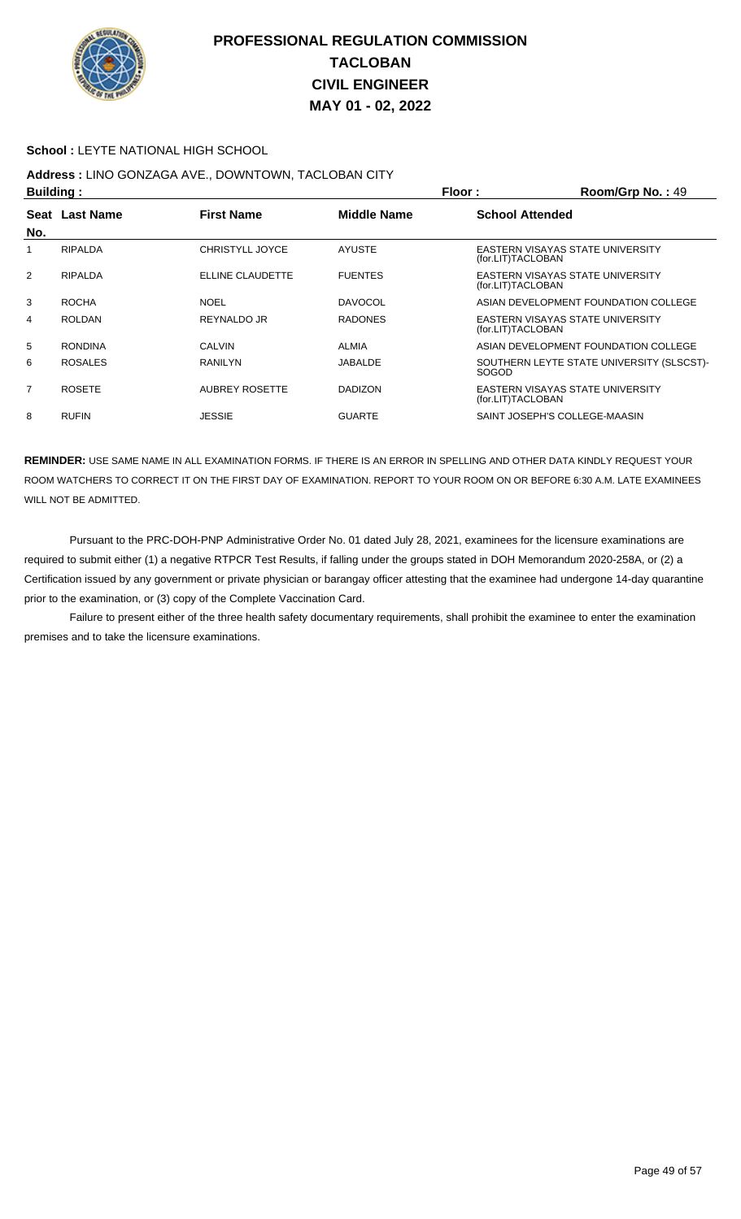

#### **School :** LEYTE NATIONAL HIGH SCHOOL

## **Address :** LINO GONZAGA AVE., DOWNTOWN, TACLOBAN CITY

| <b>Building:</b> |                |                        | Floor:             | Room/Grp No.: 49       |                                           |
|------------------|----------------|------------------------|--------------------|------------------------|-------------------------------------------|
|                  | Seat Last Name | <b>First Name</b>      | <b>Middle Name</b> | <b>School Attended</b> |                                           |
| No.              |                |                        |                    |                        |                                           |
|                  | <b>RIPALDA</b> | <b>CHRISTYLL JOYCE</b> | <b>AYUSTE</b>      | (for.LIT)TACLOBAN      | EASTERN VISAYAS STATE UNIVERSITY          |
| 2                | <b>RIPALDA</b> | ELLINE CLAUDETTE       | <b>FUENTES</b>     | (for.LIT)TACLOBAN      | EASTERN VISAYAS STATE UNIVERSITY          |
| 3                | <b>ROCHA</b>   | <b>NOEL</b>            | <b>DAVOCOL</b>     |                        | ASIAN DEVELOPMENT FOUNDATION COLLEGE      |
| 4                | <b>ROLDAN</b>  | <b>REYNALDO JR</b>     | <b>RADONES</b>     | (for.LIT)TACLOBAN      | EASTERN VISAYAS STATE UNIVERSITY          |
| 5                | <b>RONDINA</b> | CALVIN                 | <b>ALMIA</b>       |                        | ASIAN DEVELOPMENT FOUNDATION COLLEGE      |
| 6                | <b>ROSALES</b> | <b>RANILYN</b>         | JABALDE            | <b>SOGOD</b>           | SOUTHERN LEYTE STATE UNIVERSITY (SLSCST)- |
| $\overline{7}$   | <b>ROSETE</b>  | AUBREY ROSETTE         | <b>DADIZON</b>     | (for.LIT)TACLOBAN      | EASTERN VISAYAS STATE UNIVERSITY          |
| 8                | <b>RUFIN</b>   | <b>JESSIE</b>          | <b>GUARTE</b>      |                        | SAINT JOSEPH'S COLLEGE-MAASIN             |

**REMINDER:** USE SAME NAME IN ALL EXAMINATION FORMS. IF THERE IS AN ERROR IN SPELLING AND OTHER DATA KINDLY REQUEST YOUR ROOM WATCHERS TO CORRECT IT ON THE FIRST DAY OF EXAMINATION. REPORT TO YOUR ROOM ON OR BEFORE 6:30 A.M. LATE EXAMINEES WILL NOT BE ADMITTED.

 Pursuant to the PRC-DOH-PNP Administrative Order No. 01 dated July 28, 2021, examinees for the licensure examinations are required to submit either (1) a negative RTPCR Test Results, if falling under the groups stated in DOH Memorandum 2020-258A, or (2) a Certification issued by any government or private physician or barangay officer attesting that the examinee had undergone 14-day quarantine prior to the examination, or (3) copy of the Complete Vaccination Card.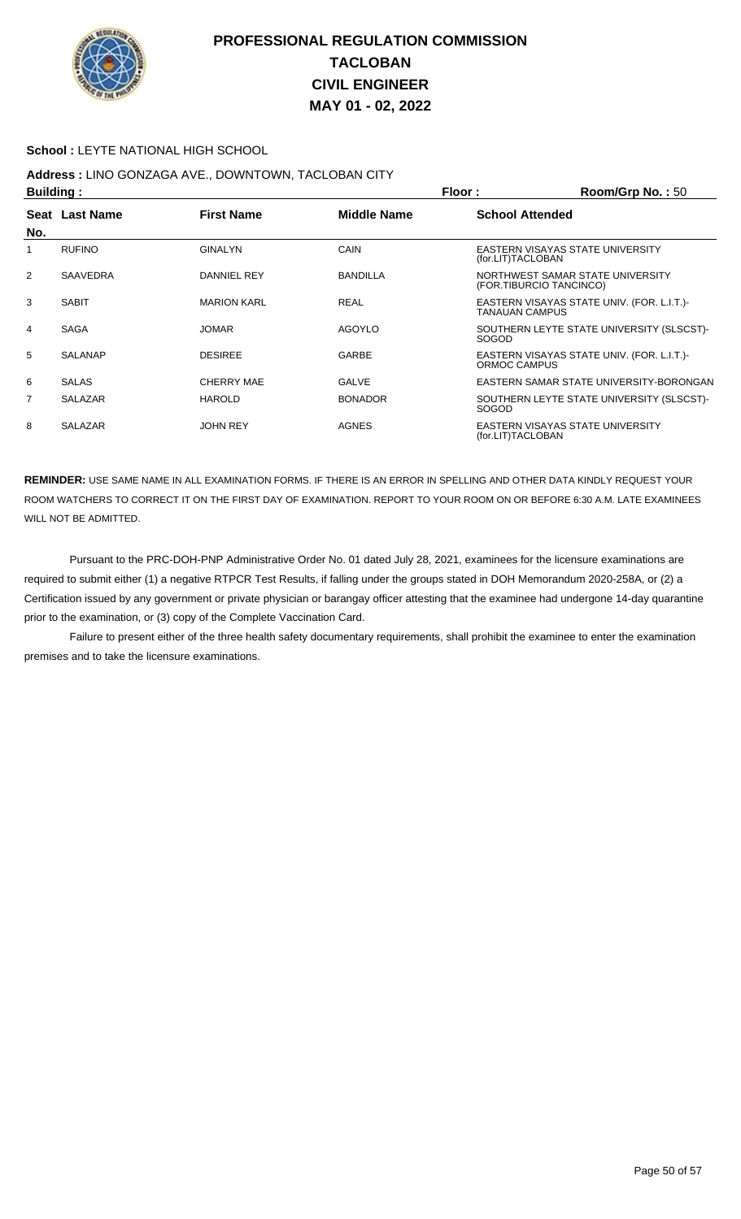

#### **School :** LEYTE NATIONAL HIGH SCHOOL

## **Address :** LINO GONZAGA AVE., DOWNTOWN, TACLOBAN CITY

|     | <b>Building:</b> |                    |                 | Floor:                  | Room/Grp No.: 50                           |
|-----|------------------|--------------------|-----------------|-------------------------|--------------------------------------------|
| No. | Seat Last Name   | <b>First Name</b>  | Middle Name     | <b>School Attended</b>  |                                            |
| 1   | <b>RUFINO</b>    | <b>GINALYN</b>     | CAIN            | (for.LIT)TACLOBAN       | EASTERN VISAYAS STATE UNIVERSITY           |
| 2   | <b>SAAVEDRA</b>  | DANNIEL REY        | <b>BANDILLA</b> | (FOR.TIBURCIO TANCINCO) | NORTHWEST SAMAR STATE UNIVERSITY           |
| 3   | <b>SABIT</b>     | <b>MARION KARL</b> | <b>REAL</b>     | <b>TANAUAN CAMPUS</b>   | EASTERN VISAYAS STATE UNIV. (FOR. L.I.T.)- |
| 4   | <b>SAGA</b>      | <b>JOMAR</b>       | AGOYLO          | <b>SOGOD</b>            | SOUTHERN LEYTE STATE UNIVERSITY (SLSCST)-  |
| 5   | <b>SALANAP</b>   | <b>DESIREE</b>     | <b>GARBE</b>    | ORMOC CAMPUS            | EASTERN VISAYAS STATE UNIV. (FOR. L.I.T.)- |
| 6   | <b>SALAS</b>     | <b>CHERRY MAE</b>  | <b>GALVE</b>    |                         | EASTERN SAMAR STATE UNIVERSITY-BORONGAN    |
| 7   | <b>SALAZAR</b>   | <b>HAROLD</b>      | <b>BONADOR</b>  | <b>SOGOD</b>            | SOUTHERN LEYTE STATE UNIVERSITY (SLSCST)-  |
| 8   | <b>SALAZAR</b>   | <b>JOHN REY</b>    | <b>AGNES</b>    | (for.LIT)TACLOBAN       | EASTERN VISAYAS STATE UNIVERSITY           |

**REMINDER:** USE SAME NAME IN ALL EXAMINATION FORMS. IF THERE IS AN ERROR IN SPELLING AND OTHER DATA KINDLY REQUEST YOUR ROOM WATCHERS TO CORRECT IT ON THE FIRST DAY OF EXAMINATION. REPORT TO YOUR ROOM ON OR BEFORE 6:30 A.M. LATE EXAMINEES WILL NOT BE ADMITTED.

 Pursuant to the PRC-DOH-PNP Administrative Order No. 01 dated July 28, 2021, examinees for the licensure examinations are required to submit either (1) a negative RTPCR Test Results, if falling under the groups stated in DOH Memorandum 2020-258A, or (2) a Certification issued by any government or private physician or barangay officer attesting that the examinee had undergone 14-day quarantine prior to the examination, or (3) copy of the Complete Vaccination Card.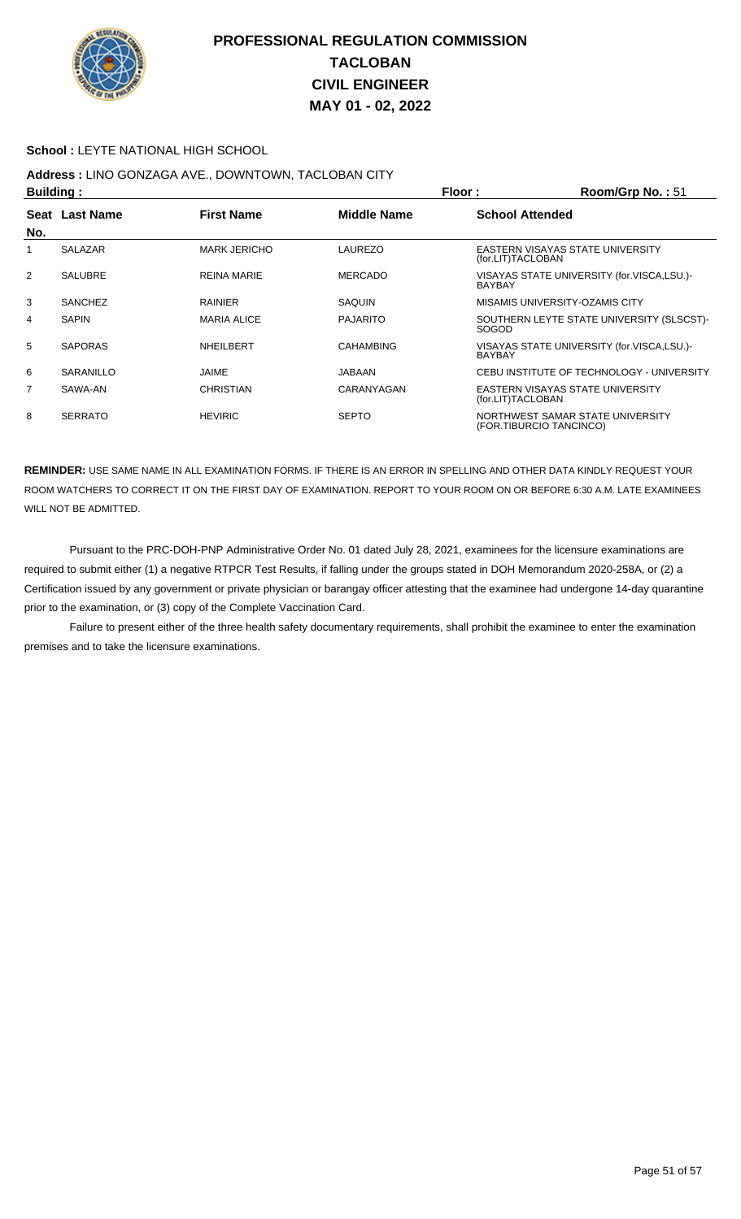

#### **School :** LEYTE NATIONAL HIGH SCHOOL

# **Address :** LINO GONZAGA AVE., DOWNTOWN, TACLOBAN CITY

| <b>Building:</b> |                |                     | Floor:<br>Room/Grp No.: 51 |                         |                                            |
|------------------|----------------|---------------------|----------------------------|-------------------------|--------------------------------------------|
|                  | Seat Last Name | <b>First Name</b>   | <b>Middle Name</b>         | <b>School Attended</b>  |                                            |
| No.              |                |                     |                            |                         |                                            |
| 1                | <b>SALAZAR</b> | <b>MARK JERICHO</b> | LAUREZO                    | (for.LIT)TACLOBAN       | EASTERN VISAYAS STATE UNIVERSITY           |
| 2                | <b>SALUBRE</b> | <b>REINA MARIE</b>  | <b>MERCADO</b>             | <b>BAYBAY</b>           | VISAYAS STATE UNIVERSITY (for.VISCA,LSU.)- |
| 3                | <b>SANCHEZ</b> | <b>RAINIER</b>      | SAQUIN                     |                         | MISAMIS UNIVERSITY-OZAMIS CITY             |
| 4                | <b>SAPIN</b>   | <b>MARIA ALICE</b>  | <b>PAJARITO</b>            | SOGOD                   | SOUTHERN LEYTE STATE UNIVERSITY (SLSCST)-  |
| 5                | <b>SAPORAS</b> | NHEILBERT           | <b>CAHAMBING</b>           | <b>BAYBAY</b>           | VISAYAS STATE UNIVERSITY (for.VISCA,LSU.)- |
| 6                | SARANILLO      | JAIME               | JABAAN                     |                         | CEBU INSTITUTE OF TECHNOLOGY - UNIVERSITY  |
| $\overline{7}$   | SAWA-AN        | <b>CHRISTIAN</b>    | CARANYAGAN                 | (for.LIT)TACLOBAN       | EASTERN VISAYAS STATE UNIVERSITY           |
| 8                | <b>SERRATO</b> | <b>HEVIRIC</b>      | <b>SEPTO</b>               | (FOR.TIBURCIO TANCINCO) | NORTHWEST SAMAR STATE UNIVERSITY           |

**REMINDER:** USE SAME NAME IN ALL EXAMINATION FORMS. IF THERE IS AN ERROR IN SPELLING AND OTHER DATA KINDLY REQUEST YOUR ROOM WATCHERS TO CORRECT IT ON THE FIRST DAY OF EXAMINATION. REPORT TO YOUR ROOM ON OR BEFORE 6:30 A.M. LATE EXAMINEES WILL NOT BE ADMITTED.

 Pursuant to the PRC-DOH-PNP Administrative Order No. 01 dated July 28, 2021, examinees for the licensure examinations are required to submit either (1) a negative RTPCR Test Results, if falling under the groups stated in DOH Memorandum 2020-258A, or (2) a Certification issued by any government or private physician or barangay officer attesting that the examinee had undergone 14-day quarantine prior to the examination, or (3) copy of the Complete Vaccination Card.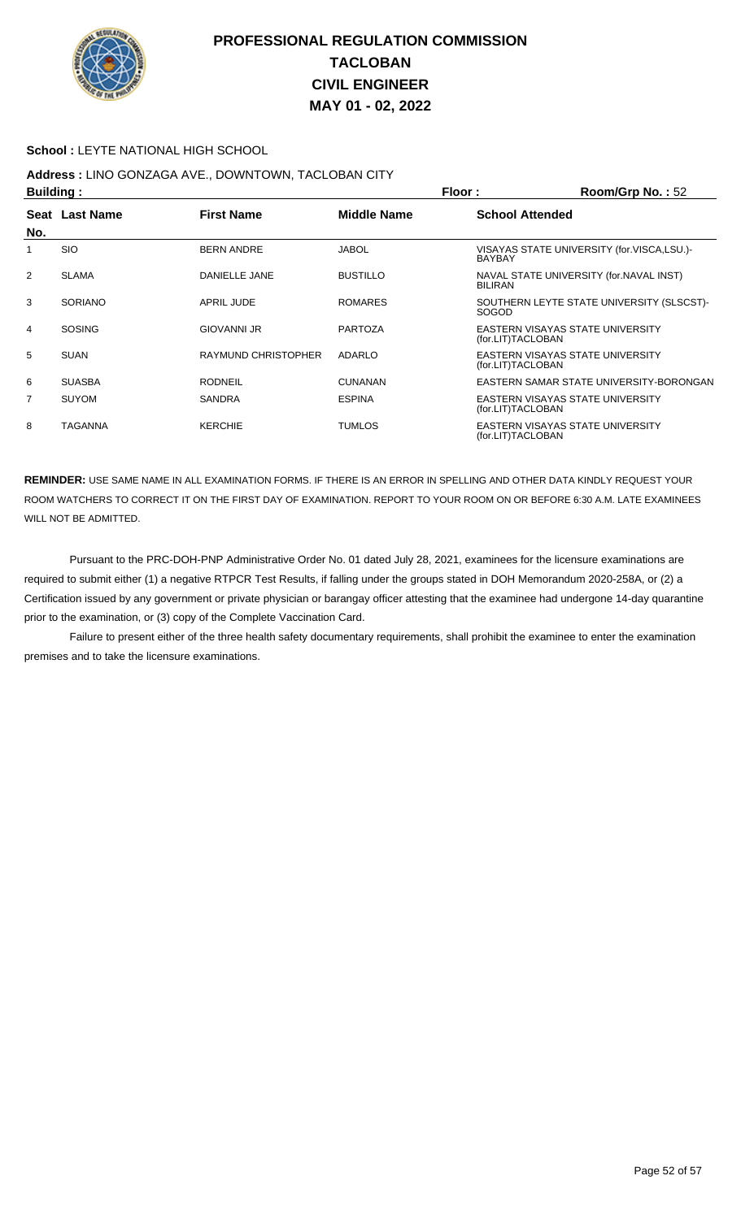

#### **School :** LEYTE NATIONAL HIGH SCHOOL

## **Address :** LINO GONZAGA AVE., DOWNTOWN, TACLOBAN CITY

|     | <b>Building:</b> |                     |                    | Floor:                 | Room/Grp No.: 52                           |
|-----|------------------|---------------------|--------------------|------------------------|--------------------------------------------|
| No. | Seat Last Name   | <b>First Name</b>   | <b>Middle Name</b> | <b>School Attended</b> |                                            |
|     | <b>SIO</b>       | <b>BERN ANDRE</b>   | <b>JABOL</b>       | <b>BAYBAY</b>          | VISAYAS STATE UNIVERSITY (for.VISCA,LSU.)- |
| 2   | <b>SLAMA</b>     | DANIELLE JANE       | <b>BUSTILLO</b>    | <b>BILIRAN</b>         | NAVAL STATE UNIVERSITY (for. NAVAL INST)   |
| 3   | <b>SORIANO</b>   | <b>APRIL JUDE</b>   | <b>ROMARES</b>     | <b>SOGOD</b>           | SOUTHERN LEYTE STATE UNIVERSITY (SLSCST)-  |
| 4   | <b>SOSING</b>    | <b>GIOVANNI JR</b>  | <b>PARTOZA</b>     | (for.LIT)TACLOBAN      | EASTERN VISAYAS STATE UNIVERSITY           |
| 5   | <b>SUAN</b>      | RAYMUND CHRISTOPHER | ADARLO             | (for.LIT)TACLOBAN      | EASTERN VISAYAS STATE UNIVERSITY           |
| 6   | <b>SUASBA</b>    | <b>RODNEIL</b>      | <b>CUNANAN</b>     |                        | EASTERN SAMAR STATE UNIVERSITY-BORONGAN    |
| 7   | <b>SUYOM</b>     | <b>SANDRA</b>       | <b>ESPINA</b>      | (for.LIT)TACLOBAN      | EASTERN VISAYAS STATE UNIVERSITY           |
| 8   | <b>TAGANNA</b>   | <b>KERCHIE</b>      | <b>TUMLOS</b>      | (for.LIT)TACLOBAN      | EASTERN VISAYAS STATE UNIVERSITY           |

**REMINDER:** USE SAME NAME IN ALL EXAMINATION FORMS. IF THERE IS AN ERROR IN SPELLING AND OTHER DATA KINDLY REQUEST YOUR ROOM WATCHERS TO CORRECT IT ON THE FIRST DAY OF EXAMINATION. REPORT TO YOUR ROOM ON OR BEFORE 6:30 A.M. LATE EXAMINEES WILL NOT BE ADMITTED.

 Pursuant to the PRC-DOH-PNP Administrative Order No. 01 dated July 28, 2021, examinees for the licensure examinations are required to submit either (1) a negative RTPCR Test Results, if falling under the groups stated in DOH Memorandum 2020-258A, or (2) a Certification issued by any government or private physician or barangay officer attesting that the examinee had undergone 14-day quarantine prior to the examination, or (3) copy of the Complete Vaccination Card.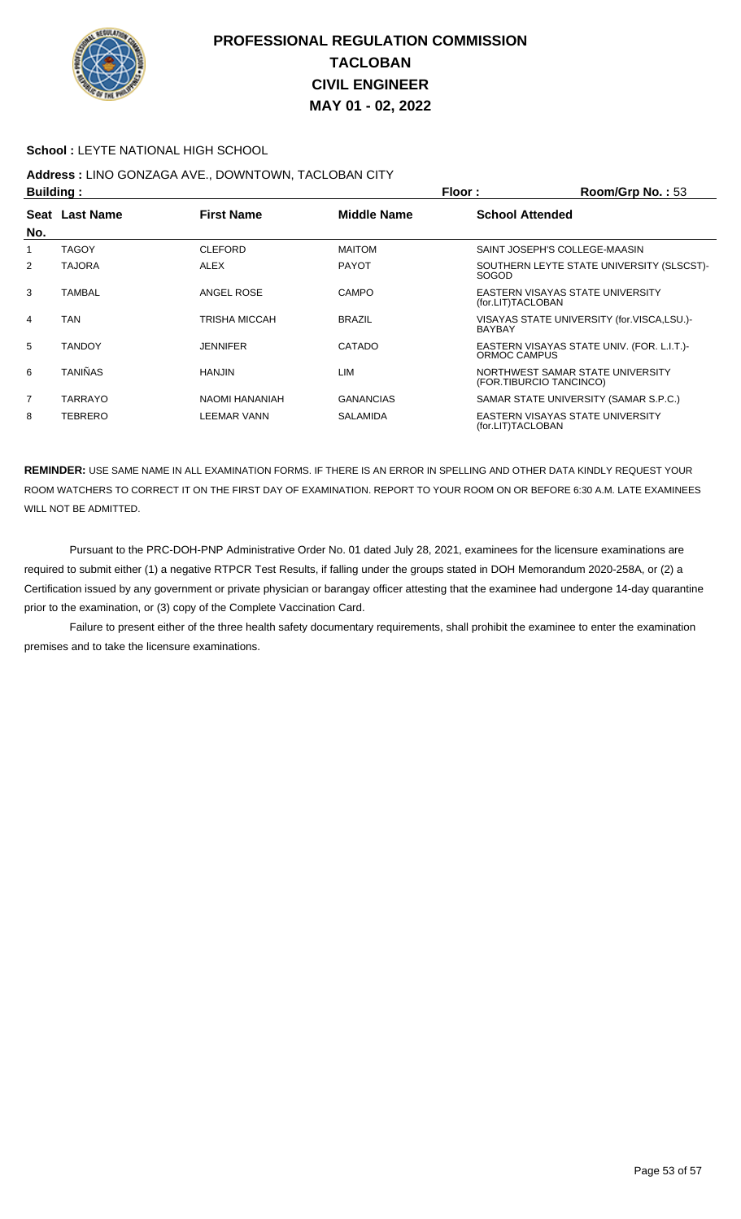

#### **School :** LEYTE NATIONAL HIGH SCHOOL

## **Address :** LINO GONZAGA AVE., DOWNTOWN, TACLOBAN CITY

| <b>Building:</b> |                |                      | Floor:<br>Room/Grp No.: 53 |                        |                                                             |
|------------------|----------------|----------------------|----------------------------|------------------------|-------------------------------------------------------------|
|                  | Seat Last Name | <b>First Name</b>    | <b>Middle Name</b>         | <b>School Attended</b> |                                                             |
| No.              |                |                      |                            |                        |                                                             |
|                  | <b>TAGOY</b>   | <b>CLEFORD</b>       | <b>MAITOM</b>              |                        | SAINT JOSEPH'S COLLEGE-MAASIN                               |
| 2                | <b>TAJORA</b>  | <b>ALEX</b>          | <b>PAYOT</b>               | SOGOD                  | SOUTHERN LEYTE STATE UNIVERSITY (SLSCST)-                   |
| 3                | <b>TAMBAL</b>  | ANGEL ROSE           | <b>CAMPO</b>               | (for.LIT)TACLOBAN      | EASTERN VISAYAS STATE UNIVERSITY                            |
| $\overline{4}$   | <b>TAN</b>     | <b>TRISHA MICCAH</b> | <b>BRAZIL</b>              | <b>BAYBAY</b>          | VISAYAS STATE UNIVERSITY (for.VISCA,LSU.)-                  |
| 5                | <b>TANDOY</b>  | <b>JENNIFER</b>      | CATADO                     | ORMOC CAMPUS           | EASTERN VISAYAS STATE UNIV. (FOR. L.I.T.)-                  |
| 6                | <b>TANIÑAS</b> | <b>HANJIN</b>        | LIM                        |                        | NORTHWEST SAMAR STATE UNIVERSITY<br>(FOR.TIBURCIO TANCINCO) |
| $\overline{7}$   | <b>TARRAYO</b> | NAOMI HANANIAH       | <b>GANANCIAS</b>           |                        | SAMAR STATE UNIVERSITY (SAMAR S.P.C.)                       |
| 8                | <b>TEBRERO</b> | <b>LEEMAR VANN</b>   | <b>SALAMIDA</b>            | (for.LIT)TACLOBAN      | EASTERN VISAYAS STATE UNIVERSITY                            |

**REMINDER:** USE SAME NAME IN ALL EXAMINATION FORMS. IF THERE IS AN ERROR IN SPELLING AND OTHER DATA KINDLY REQUEST YOUR ROOM WATCHERS TO CORRECT IT ON THE FIRST DAY OF EXAMINATION. REPORT TO YOUR ROOM ON OR BEFORE 6:30 A.M. LATE EXAMINEES WILL NOT BE ADMITTED.

 Pursuant to the PRC-DOH-PNP Administrative Order No. 01 dated July 28, 2021, examinees for the licensure examinations are required to submit either (1) a negative RTPCR Test Results, if falling under the groups stated in DOH Memorandum 2020-258A, or (2) a Certification issued by any government or private physician or barangay officer attesting that the examinee had undergone 14-day quarantine prior to the examination, or (3) copy of the Complete Vaccination Card.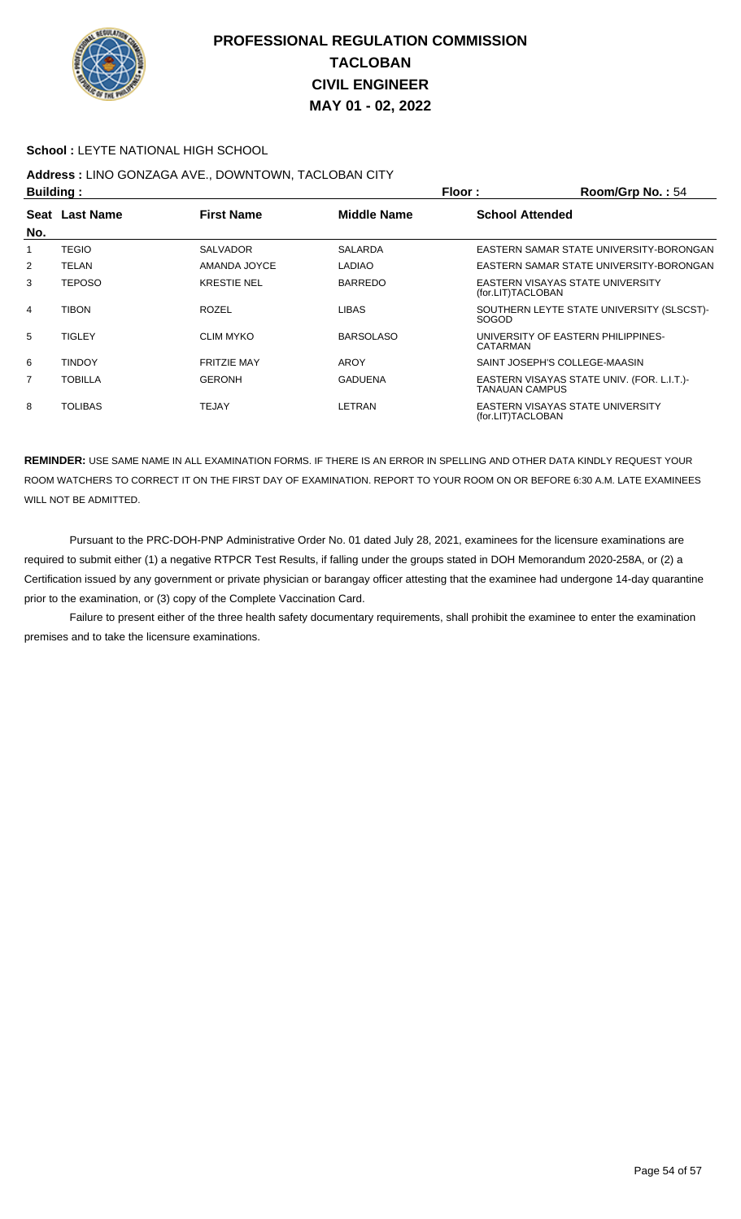

#### **School :** LEYTE NATIONAL HIGH SCHOOL

# **Address :** LINO GONZAGA AVE., DOWNTOWN, TACLOBAN CITY

|     | <b>Building:</b> |                    |                    | Floor:                 | Room/Grp No.: 54                           |
|-----|------------------|--------------------|--------------------|------------------------|--------------------------------------------|
|     | Seat Last Name   | <b>First Name</b>  | <b>Middle Name</b> | <b>School Attended</b> |                                            |
| No. |                  |                    |                    |                        |                                            |
|     | <b>TEGIO</b>     | <b>SALVADOR</b>    | <b>SALARDA</b>     |                        | EASTERN SAMAR STATE UNIVERSITY-BORONGAN    |
| 2   | TELAN            | AMANDA JOYCE       | <b>LADIAO</b>      |                        | EASTERN SAMAR STATE UNIVERSITY-BORONGAN    |
| 3   | <b>TEPOSO</b>    | <b>KRESTIE NEL</b> | <b>BARREDO</b>     | (for.LIT)TACLOBAN      | EASTERN VISAYAS STATE UNIVERSITY           |
| 4   | <b>TIBON</b>     | <b>ROZEL</b>       | <b>LIBAS</b>       | <b>SOGOD</b>           | SOUTHERN LEYTE STATE UNIVERSITY (SLSCST)-  |
| 5   | <b>TIGLEY</b>    | <b>CLIM MYKO</b>   | <b>BARSOLASO</b>   | CATARMAN               | UNIVERSITY OF EASTERN PHILIPPINES-         |
| 6   | <b>TINDOY</b>    | <b>FRITZIE MAY</b> | AROY               |                        | SAINT JOSEPH'S COLLEGE-MAASIN              |
| 7   | <b>TOBILLA</b>   | <b>GERONH</b>      | <b>GADUENA</b>     | <b>TANAUAN CAMPUS</b>  | EASTERN VISAYAS STATE UNIV. (FOR. L.I.T.)- |
| 8   | <b>TOLIBAS</b>   | <b>TEJAY</b>       | LETRAN             | (for.LIT)TACLOBAN      | <b>EASTERN VISAYAS STATE UNIVERSITY</b>    |

**REMINDER:** USE SAME NAME IN ALL EXAMINATION FORMS. IF THERE IS AN ERROR IN SPELLING AND OTHER DATA KINDLY REQUEST YOUR ROOM WATCHERS TO CORRECT IT ON THE FIRST DAY OF EXAMINATION. REPORT TO YOUR ROOM ON OR BEFORE 6:30 A.M. LATE EXAMINEES WILL NOT BE ADMITTED.

 Pursuant to the PRC-DOH-PNP Administrative Order No. 01 dated July 28, 2021, examinees for the licensure examinations are required to submit either (1) a negative RTPCR Test Results, if falling under the groups stated in DOH Memorandum 2020-258A, or (2) a Certification issued by any government or private physician or barangay officer attesting that the examinee had undergone 14-day quarantine prior to the examination, or (3) copy of the Complete Vaccination Card.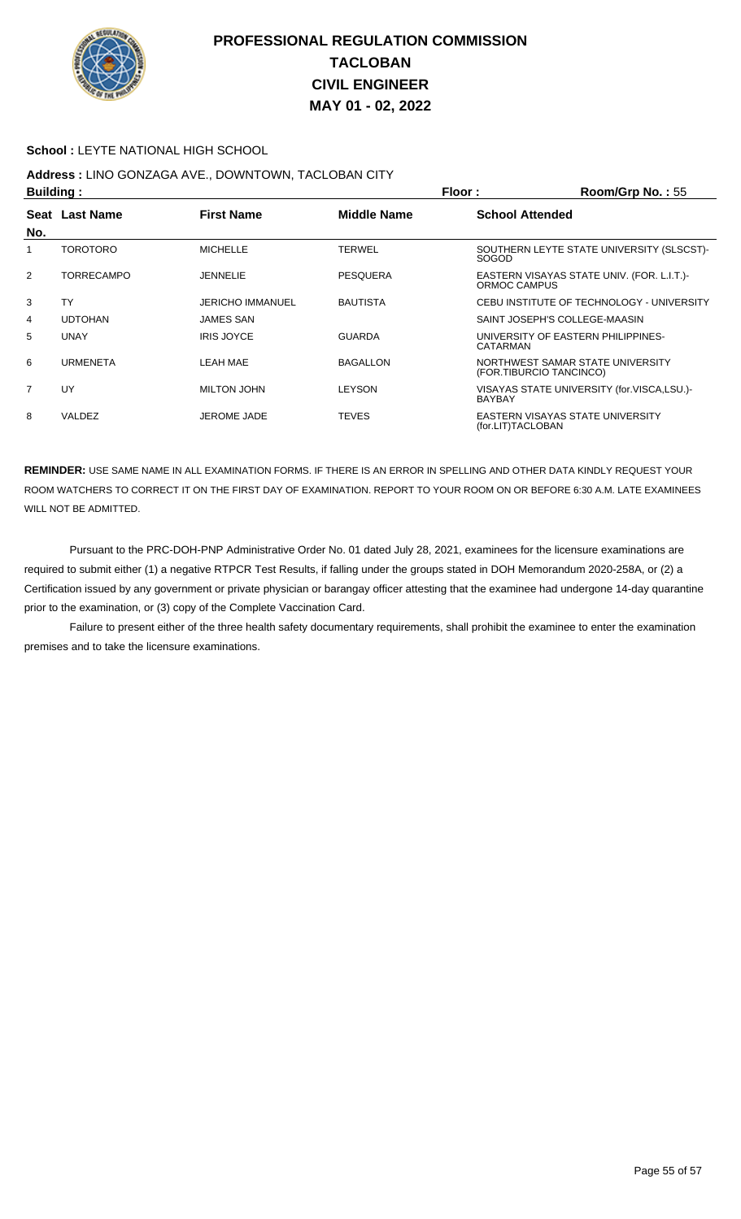

#### **School :** LEYTE NATIONAL HIGH SCHOOL

# **Address :** LINO GONZAGA AVE., DOWNTOWN, TACLOBAN CITY

| <b>Building:</b> |                   |                         |                    | Floor:                 | Room/Grp No.: 55                                            |
|------------------|-------------------|-------------------------|--------------------|------------------------|-------------------------------------------------------------|
| Seat<br>No.      | <b>Last Name</b>  | <b>First Name</b>       | <b>Middle Name</b> | <b>School Attended</b> |                                                             |
|                  | <b>TOROTORO</b>   | <b>MICHELLE</b>         | <b>TERWEL</b>      | SOGOD                  | SOUTHERN LEYTE STATE UNIVERSITY (SLSCST)-                   |
| $\overline{2}$   | <b>TORRECAMPO</b> | <b>JENNELIE</b>         | <b>PESQUERA</b>    | ORMOC CAMPUS           | EASTERN VISAYAS STATE UNIV. (FOR. L.I.T.)-                  |
| 3                | <b>TY</b>         | <b>JERICHO IMMANUEL</b> | <b>BAUTISTA</b>    |                        | CEBU INSTITUTE OF TECHNOLOGY - UNIVERSITY                   |
| 4                | <b>UDTOHAN</b>    | <b>JAMES SAN</b>        |                    |                        | SAINT JOSEPH'S COLLEGE-MAASIN                               |
| 5                | <b>UNAY</b>       | <b>IRIS JOYCE</b>       | <b>GUARDA</b>      | CATARMAN               | UNIVERSITY OF EASTERN PHILIPPINES-                          |
| 6                | <b>URMENETA</b>   | LEAH MAE                | <b>BAGALLON</b>    |                        | NORTHWEST SAMAR STATE UNIVERSITY<br>(FOR.TIBURCIO TANCINCO) |
| 7                | UY                | MILTON JOHN             | <b>LEYSON</b>      | <b>BAYBAY</b>          | VISAYAS STATE UNIVERSITY (for.VISCA,LSU.)-                  |
| 8                | VALDEZ            | JEROME JADE             | <b>TEVES</b>       | (for.LIT)TACLOBAN      | EASTERN VISAYAS STATE UNIVERSITY                            |

**REMINDER:** USE SAME NAME IN ALL EXAMINATION FORMS. IF THERE IS AN ERROR IN SPELLING AND OTHER DATA KINDLY REQUEST YOUR ROOM WATCHERS TO CORRECT IT ON THE FIRST DAY OF EXAMINATION. REPORT TO YOUR ROOM ON OR BEFORE 6:30 A.M. LATE EXAMINEES WILL NOT BE ADMITTED.

 Pursuant to the PRC-DOH-PNP Administrative Order No. 01 dated July 28, 2021, examinees for the licensure examinations are required to submit either (1) a negative RTPCR Test Results, if falling under the groups stated in DOH Memorandum 2020-258A, or (2) a Certification issued by any government or private physician or barangay officer attesting that the examinee had undergone 14-day quarantine prior to the examination, or (3) copy of the Complete Vaccination Card.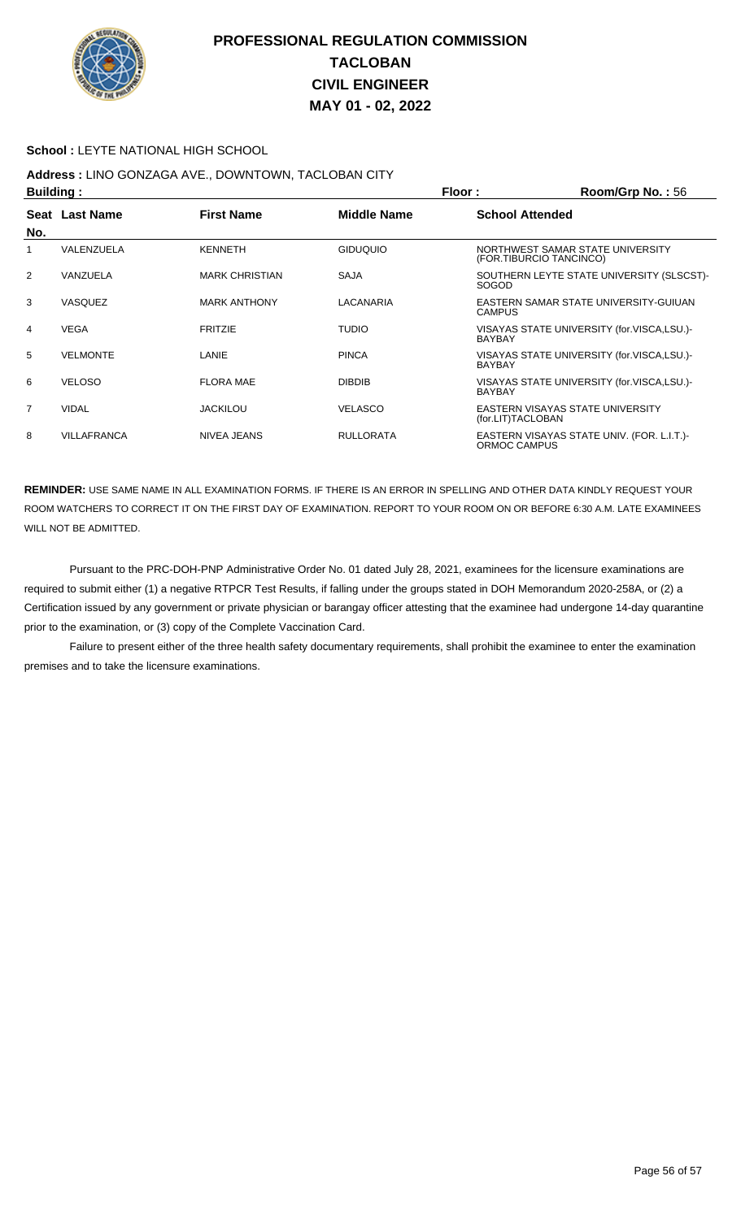

#### **School :** LEYTE NATIONAL HIGH SCHOOL

## **Address :** LINO GONZAGA AVE., DOWNTOWN, TACLOBAN CITY

| <b>Building:</b> |                    |                       | Floor:           | Room/Grp No.: 56                                            |
|------------------|--------------------|-----------------------|------------------|-------------------------------------------------------------|
| No.              | Seat Last Name     | <b>First Name</b>     | Middle Name      | <b>School Attended</b>                                      |
|                  | VALENZUELA         | <b>KENNETH</b>        | <b>GIDUQUIO</b>  | NORTHWEST SAMAR STATE UNIVERSITY<br>(FOR.TIBURCIO TANCINCO) |
| 2                | VANZUELA           | <b>MARK CHRISTIAN</b> | <b>SAJA</b>      | SOUTHERN LEYTE STATE UNIVERSITY (SLSCST)-<br><b>SOGOD</b>   |
| 3                | <b>VASQUEZ</b>     | <b>MARK ANTHONY</b>   | LACANARIA        | EASTERN SAMAR STATE UNIVERSITY-GUIUAN<br><b>CAMPUS</b>      |
| 4                | <b>VEGA</b>        | <b>FRITZIE</b>        | <b>TUDIO</b>     | VISAYAS STATE UNIVERSITY (for.VISCA,LSU.)-<br><b>BAYBAY</b> |
| 5                | <b>VELMONTE</b>    | LANIE                 | <b>PINCA</b>     | VISAYAS STATE UNIVERSITY (for.VISCA,LSU.)-<br><b>BAYBAY</b> |
| 6                | <b>VELOSO</b>      | <b>FLORA MAE</b>      | <b>DIBDIB</b>    | VISAYAS STATE UNIVERSITY (for.VISCA,LSU.)-<br><b>BAYBAY</b> |
| $\overline{7}$   | <b>VIDAL</b>       | <b>JACKILOU</b>       | <b>VELASCO</b>   | EASTERN VISAYAS STATE UNIVERSITY<br>(for.LIT)TACLOBAN       |
| 8                | <b>VILLAFRANCA</b> | NIVEA JEANS           | <b>RULLORATA</b> | EASTERN VISAYAS STATE UNIV. (FOR. L.I.T.)-<br>ORMOC CAMPUS  |

**REMINDER:** USE SAME NAME IN ALL EXAMINATION FORMS. IF THERE IS AN ERROR IN SPELLING AND OTHER DATA KINDLY REQUEST YOUR ROOM WATCHERS TO CORRECT IT ON THE FIRST DAY OF EXAMINATION. REPORT TO YOUR ROOM ON OR BEFORE 6:30 A.M. LATE EXAMINEES WILL NOT BE ADMITTED.

 Pursuant to the PRC-DOH-PNP Administrative Order No. 01 dated July 28, 2021, examinees for the licensure examinations are required to submit either (1) a negative RTPCR Test Results, if falling under the groups stated in DOH Memorandum 2020-258A, or (2) a Certification issued by any government or private physician or barangay officer attesting that the examinee had undergone 14-day quarantine prior to the examination, or (3) copy of the Complete Vaccination Card.